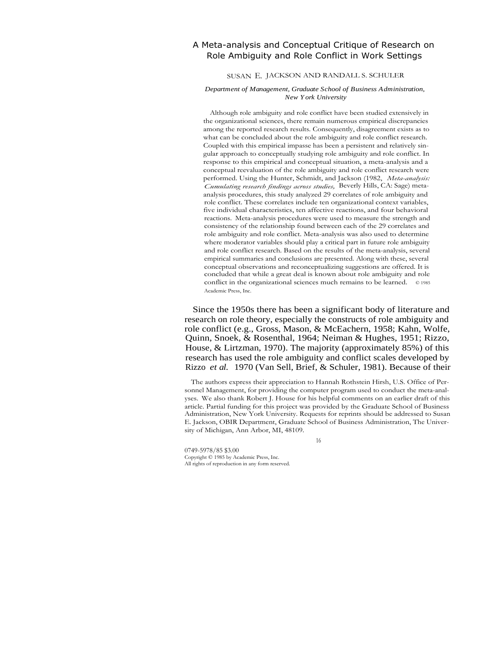## A Meta-analysis and Conceptual Critique of Research on Role Ambiguity and Role Conflict in Work Settings

#### SUSAN E. JACKSON AND RANDALL S. SCHULER

#### *Department of Management, Graduate School of Business Administration, New York University*

Although role ambiguity and role conflict have been studied extensively in the organizational sciences, there remain numerous empirical discrepancies among the reported research results. Consequently, disagreement exists as to what can be concluded about the role ambiguity and role conflict research. Coupled with this empirical impasse has been a persistent and relatively singular approach to conceptually studying role ambiguity and role conflict. In response to this empirical and conceptual situation, a meta-analysis and a conceptual reevaluation of the role ambiguity and role conflict research were performed. Using the Hunter, Schmidt, and Jackson (1982, *Meta-analysis: Cumulating research findings across studies,* Beverly Hills, CA: Sage) metaanalysis procedures, this study analyzed 29 correlates of role ambiguity and role conflict. These correlates include ten organizational context variables, five individual characteristics, ten affective reactions, and four behavioral reactions. Meta-analysis procedures were used to measure the strength and consistency of the relationship found between each of the 29 correlates and role ambiguity and role conflict. Meta-analysis was also used to determine where moderator variables should play a critical part in future role ambiguity and role conflict research. Based on the results of the meta-analysis, several empirical summaries and conclusions are presented. Along with these, several conceptual observations and reconceptualizing suggestions are offered. It is concluded that while a great deal is known about role ambiguity and role conflict in the organizational sciences much remains to be learned. © 1985 Academic Press, Inc.

Since the 1950s there has been a significant body of literature and research on role theory, especially the constructs of role ambiguity and role conflict (e.g., Gross, Mason, & McEachern, 1958; Kahn, Wolfe, Quinn, Snoek, & Rosenthal, 1964; Neiman & Hughes, 1951; Rizzo, House, & Lirtzman, 1970). The majority (approximately 85%) of this research has used the role ambiguity and conflict scales developed by Rizzo *et al.* 1970 (Van Sell, Brief, & Schuler, 1981). Because of their

The authors express their appreciation to Hannah Rothstein Hirsh, U.S. Office of Personnel Management, for providing the computer program used to conduct the meta-analyses. We also thank Robert J. House for his helpful comments on an earlier draft of this article. Partial funding for this project was provided by the Graduate School of Business Administration, New York University. Requests for reprints should be addressed to Susan E. Jackson, OBIR Department, Graduate School of Business Administration, The University of Michigan, Ann Arbor, MI, 48109.

16

0749-5978/85 \$3.00 Copyright © 1985 by Academic Press, Inc. All rights of reproduction in any form reserved.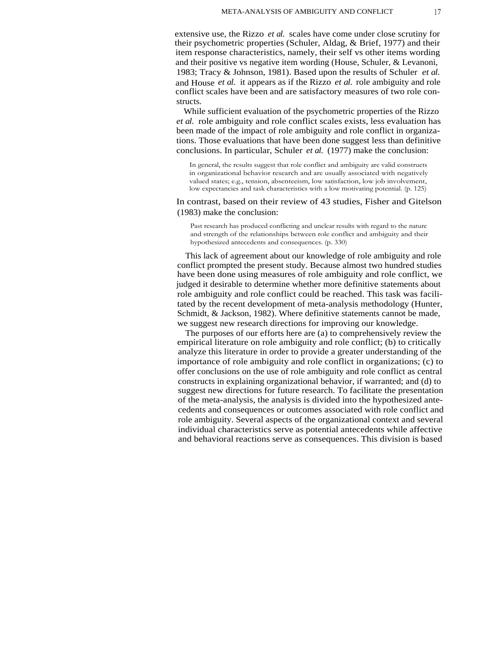extensive use, the Rizzo *et al.* scales have come under close scrutiny for their psychometric properties (Schuler, Aldag, & Brief, 1977) and their item response characteristics, namely, their self vs other items wording and their positive vs negative item wording (House, Schuler, & Levanoni, 1983; Tracy & Johnson, 1981). Based upon the results of Schuler *et al.* and House *et al.* it appears as if the Rizzo *et al.* role ambiguity and role conflict scales have been and are satisfactory measures of two role constructs.

While sufficient evaluation of the psychometric properties of the Rizzo *et al.* role ambiguity and role conflict scales exists, less evaluation has been made of the impact of role ambiguity and role conflict in organizations. Those evaluations that have been done suggest less than definitive conclusions. In particular, Schuler *et al.* (1977) make the conclusion:

In general, the results suggest that role conflict and ambiguity are valid constructs in organizational behavior research and are usually associated with negatively valued states; e.g., tension, absenteeism, low satisfaction, low job involvement, low expectancies and task characteristics with a low motivating potential. (p. 125)

In contrast, based on their review of 43 studies, Fisher and Gitelson (1983) make the conclusion:

Past research has produced conflicting and unclear results with regard to the nature and strength of the relationships between role conflict and ambiguity and their hypothesized antecedents and consequences. (p. 330)

This lack of agreement about our knowledge of role ambiguity and role conflict prompted the present study. Because almost two hundred studies have been done using measures of role ambiguity and role conflict, we judged it desirable to determine whether more definitive statements about role ambiguity and role conflict could be reached. This task was facilitated by the recent development of meta-analysis methodology (Hunter, Schmidt, & Jackson, 1982). Where definitive statements cannot be made, we suggest new research directions for improving our knowledge.

The purposes of our efforts here are (a) to comprehensively review the empirical literature on role ambiguity and role conflict; (b) to critically analyze this literature in order to provide a greater understanding of the importance of role ambiguity and role conflict in organizations; (c) to offer conclusions on the use of role ambiguity and role conflict as central constructs in explaining organizational behavior, if warranted; and (d) to suggest new directions for future research. To facilitate the presentation of the meta-analysis, the analysis is divided into the hypothesized antecedents and consequences or outcomes associated with role conflict and role ambiguity. Several aspects of the organizational context and several individual characteristics serve as potential antecedents while affective and behavioral reactions serve as consequences. This division is based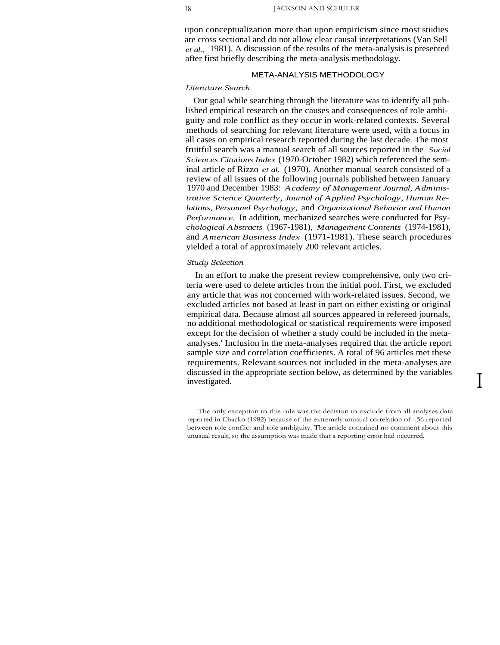upon conceptualization more than upon empiricism since most studies are cross sectional and do not allow clear causal interpretations (Van Sell *et al.,* 1981). A discussion of the results of the meta-analysis is presented after first briefly describing the meta-analysis methodology.

#### META-ANALYSIS METHODOLOGY

#### *Literature Search*

Our goal while searching through the literature was to identify all published empirical research on the causes and consequences of role ambiguity and role conflict as they occur in work-related contexts. Several methods of searching for relevant literature were used, with a focus in all cases on empirical research reported during the last decade. The most fruitful search was a manual search of all sources reported in the *Social Sciences Citations Index* (1970-October 1982) which referenced the seminal article of Rizzo *et al.* (1970). Another manual search consisted of a review of all issues of the following journals published between January 1970 and December 1983: *Academy of Management Journal, Administrative Science Quarterly, Journal of Applied Psychology, Human Relations, Personnel Psychology,* and *Organizational Behavior and Human Performance.* In addition, mechanized searches were conducted for Psy*chological Abstracts* (1967-1981), *Management Contents* (1974-1981), and *American Business Index* (1971-1981). These search procedures yielded a total of approximately 200 relevant articles.

#### *Study Selection*

In an effort to make the present review comprehensive, only two criteria were used to delete articles from the initial pool. First, we excluded any article that was not concerned with work-related issues. Second, we excluded articles not based at least in part on either existing or original empirical data. Because almost all sources appeared in refereed journals, no additional methodological or statistical requirements were imposed except for the decision of whether a study could be included in the metaanalyses.' Inclusion in the meta-analyses required that the article report sample size and correlation coefficients. A total of 96 articles met these requirements. Relevant sources not included in the meta-analyses are discussed in the appropriate section below, as determined by the variables investigated.

The only exception to this rule was the decision to exclude from all analyses data reported in Chacko (1982) because of the extremely unusual correlation of -.56 reported between role conflict and role ambiguity. The article contained no comment about this unusual result, so the assumption was made that a reporting error had occurred.

I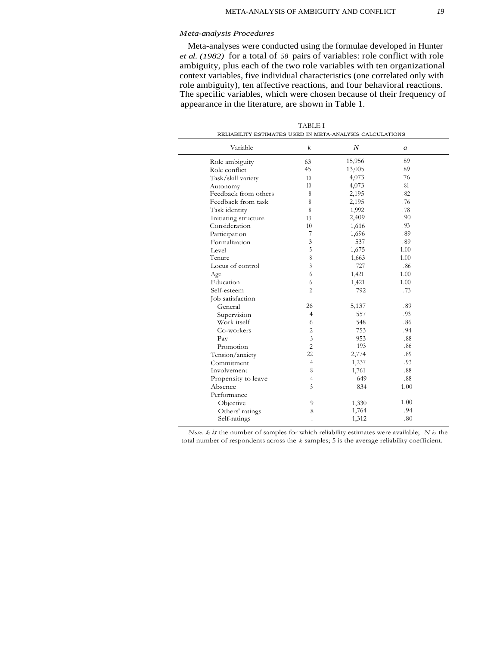#### *Meta-analysis Procedures*

 $\overline{a}$ 

Meta-analyses were conducted using the formulae developed in Hunter *et al. (1982)* for a total of *58* pairs of variables: role conflict with role ambiguity, plus each of the two role variables with ten organizational context variables, five individual characteristics (one correlated only with role ambiguity), ten affective reactions, and four behavioral reactions. The specific variables, which were chosen because of their frequency of appearance in the literature, are shown in Table 1.

| RELIABILITY ESTIMATES USED IN META-ANALYSIS CALCULATIONS |                  |        |      |  |
|----------------------------------------------------------|------------------|--------|------|--|
| Variable                                                 | $\boldsymbol{k}$ | N      | a    |  |
| Role ambiguity                                           | 63               | 15,956 | .89  |  |
| Role conflict                                            | 45               | 13,005 | .89  |  |
| Task/skill variety                                       | 10               | 4,073  | .76  |  |
| Autonomy                                                 | 10               | 4,073  | .81  |  |
| Feedback from others                                     | 8                | 2,195  | .82  |  |
| Feedback from task                                       | 8                | 2,195  | .76  |  |
| Task identity                                            | 8                | 1,992  | .78  |  |
| Initiating structure                                     | 13               | 2,409  | .90  |  |
| Consideration                                            | 10               | 1,616  | .93  |  |
| Participation                                            | 7                | 1,696  | .89  |  |
| Formalization                                            | 3                | 537    | .89  |  |
| Level                                                    | 5                | 1,675  | 1.00 |  |
| Tenure                                                   | 8                | 1,663  | 1.00 |  |
| Locus of control                                         | 3                | 727    | .86  |  |
| Age                                                      | 6                | 1,421  | 1.00 |  |
| Education                                                | 6                | 1,421  | 1.00 |  |
| Self-esteem                                              | 2                | 792    | .73  |  |
| Job satisfaction                                         |                  |        |      |  |
| General                                                  | 26               | 5,137  | .89  |  |
| Supervision                                              | $\overline{4}$   | 557    | .93  |  |
| Work itself                                              | 6                | 548    | .86  |  |
| Co-workers                                               | $\overline{2}$   | 753    | .94  |  |
| Pay                                                      | $\overline{3}$   | 953    | .88  |  |
| Promotion                                                | $\overline{2}$   | 193    | .86  |  |
| Tension/anxiety                                          | 22               | 2,774  | .89  |  |
| Commitment                                               | $\overline{4}$   | 1,237  | .93  |  |
| Involvement                                              | 8                | 1,761  | .88  |  |
| Propensity to leave                                      | 4                | 649    | .88  |  |
| Absence                                                  | 5                | 834    | 1.00 |  |
| Performance                                              |                  |        |      |  |
| Objective                                                | 9                | 1,330  | 1.00 |  |
| Others' ratings                                          | 8                | 1,764  | .94  |  |
| Self-ratings                                             | 1                | 1,312  | .80  |  |

TABLE I

*Note. k is* the number of samples for which reliability estimates were available; *N is* the total number of respondents across the *k* samples; 5 is the average reliability coefficient.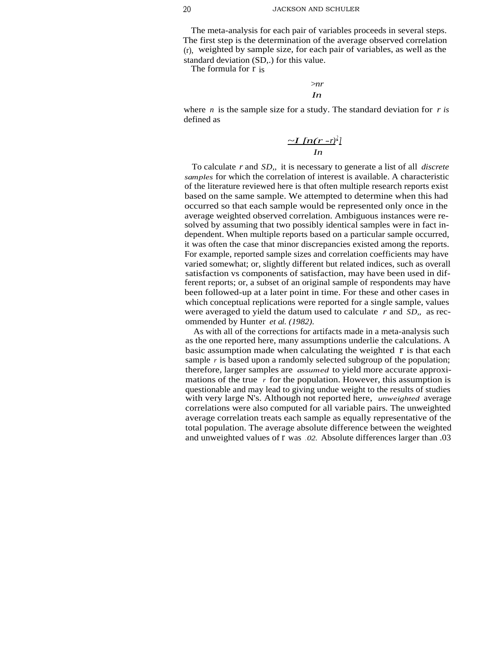The meta-analysis for each pair of variables proceeds in several steps. The first step is the determination of the average observed correlation (r), weighted by sample size, for each pair of variables, as well as the standard deviation (SD,.) for this value.

The formula for r is

*>nr In*

where *n* is the sample size for a study. The standard deviation for *r is* defined as

$$
\frac{\sim I \left[ n(r-r)^2 \right]}{In}
$$

To calculate *r* and *SD,,* it is necessary to generate a list of all *discrete samples* for which the correlation of interest is available. A characteristic of the literature reviewed here is that often multiple research reports exist based on the same sample. We attempted to determine when this had occurred so that each sample would be represented only once in the average weighted observed correlation. Ambiguous instances were resolved by assuming that two possibly identical samples were in fact independent. When multiple reports based on a particular sample occurred, it was often the case that minor discrepancies existed among the reports. For example, reported sample sizes and correlation coefficients may have varied somewhat; or, slightly different but related indices, such as overall satisfaction vs components of satisfaction, may have been used in different reports; or, a subset of an original sample of respondents may have been followed-up at a later point in time. For these and other cases in which conceptual replications were reported for a single sample, values were averaged to yield the datum used to calculate *r* and *SD,,* as recommended by Hunter *et al. (1982).*

As with all of the corrections for artifacts made in a meta-analysis such as the one reported here, many assumptions underlie the calculations. A basic assumption made when calculating the weighted  $r$  is that each sample *r* is based upon a randomly selected subgroup of the population; therefore, larger samples are *assumed* to yield more accurate approximations of the true  $r$  for the population. However, this assumption is questionable and may lead to giving undue weight to the results of studies with very large N's. Although not reported here, *unweighted* average correlations were also computed for all variable pairs. The unweighted average correlation treats each sample as equally representative of the total population. The average absolute difference between the weighted and unweighted values of r was .02. Absolute differences larger than .03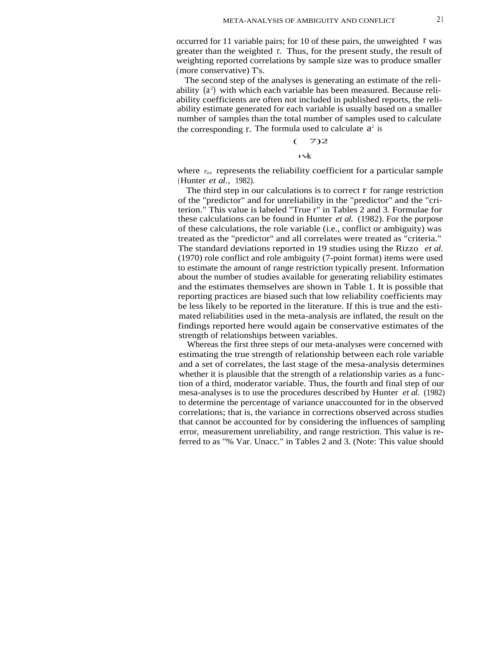occurred for 11 variable pairs; for 10 of these pairs, the unweighted  $r$  was greater than the weighted r. Thus, for the present study, the result of weighting reported correlations by sample size was to produce smaller (more conservative) T's.

The second step of the analyses is generating an estimate of the reliability  $(a^2)$  with which each variable has been measured. Because reliability coefficients are often not included in published reports, the reliability estimate generated for each variable is usually based on a smaller number of samples than the total number of samples used to calculate the corresponding  $r$ . The formula used to calculate  $a^2$  is

$$
(-7)2
$$

 $\mathbf{1} \times k$ 

where  $r_{xx}$  represents the reliability coefficient for a particular sample (Hunter *et al.,* 1982).

The third step in our calculations is to correct  $\bf{r}$  for range restriction of the "predictor" and for unreliability in the "predictor" and the "criterion." This value is labeled "True r" in Tables 2 and 3. Formulae for these calculations can be found in Hunter *et al.* (1982). For the purpose of these calculations, the role variable (i.e., conflict or ambiguity) was treated as the "predictor" and all correlates were treated as "criteria." The standard deviations reported in 19 studies using the Rizzo *et al.* (1970) role conflict and role ambiguity (7-point format) items were used to estimate the amount of range restriction typically present. Information about the number of studies available for generating reliability estimates and the estimates themselves are shown in Table 1. It is possible that reporting practices are biased such that low reliability coefficients may be less likely to be reported in the literature. If this is true and the estimated reliabilities used in the meta-analysis are inflated, the result on the findings reported here would again be conservative estimates of the strength of relationships between variables.

Whereas the first three steps of our meta-analyses were concerned with estimating the true strength of relationship between each role variable and a set of correlates, the last stage of the mesa-analysis determines whether it is plausible that the strength of a relationship varies as a function of a third, moderator variable. Thus, the fourth and final step of our mesa-analyses is to use the procedures described by Hunter *et al.* (1982) to determine the percentage of variance unaccounted for in the observed correlations; that is, the variance in corrections observed across studies that cannot be accounted for by considering the influences of sampling error, measurement unreliability, and range restriction. This value is referred to as "% Var. Unacc." in Tables 2 and 3. (Note: This value should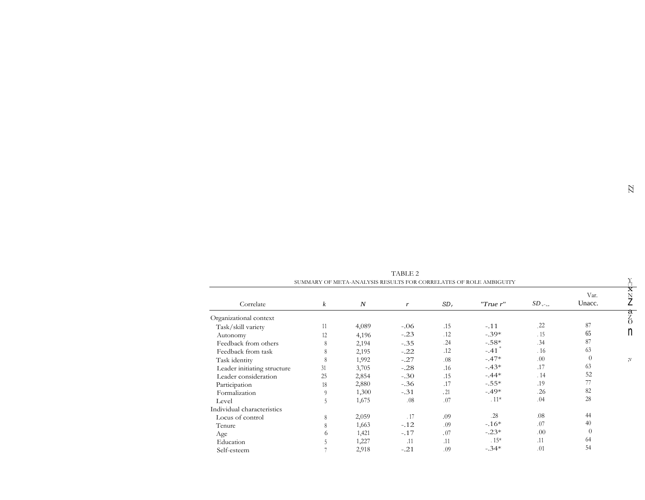|                             |                  |                  | TADLE 4 |        |                                                                   |                           |                |                            |
|-----------------------------|------------------|------------------|---------|--------|-------------------------------------------------------------------|---------------------------|----------------|----------------------------|
|                             |                  |                  |         |        | SUMMARY OF META-ANALYSIS RESULTS FOR CORRELATES OF ROLE AMBIGUITY |                           |                |                            |
| Correlate                   | $\boldsymbol{k}$ | $\boldsymbol{N}$ | r       | $SD_r$ | $T$ rue r''                                                       | $SD_{\tau^*_{\text{ne}}}$ | Var.<br>Unacc. | $\overline{\text{x}}$<br>N |
| Organizational context      |                  |                  |         |        |                                                                   |                           |                | a<br>Z                     |
| Task/skill variety          | 11               | 4,089            | $-.06$  | .15    | $-.11$                                                            | 22                        | 87             | $\Omega$                   |
| Autonomy                    | 12               | 4,196            | $-.23$  | .12    | $-.39*$                                                           | .15                       | 65             | n                          |
| Feedback from others        | 8                | 2,194            | $-.35$  | .24    | $-.58*$                                                           | .34                       | 87             |                            |
| Feedback from task          | 8                | 2,195            | $-.22$  | .12    | $-.41$ <sup>*</sup>                                               | .16                       | 63             |                            |
| Task identity               | 8                | 1,992            | $-.27$  | .08    | $-.47*$                                                           | .00.                      | $\Omega$       | ;v                         |
| Leader initiating structure | 31               | 3,705            | $-.28$  | .16    | $-.43*$                                                           | .17                       | 63             |                            |
| Leader consideration        | 25               | 2,854            | $-.30$  | .15    | $-.44*$                                                           | .14                       | 52             |                            |
| Participation               | 18               | 2,880            | $-.36$  | .17    | $-.55*$                                                           | .19                       | 77             |                            |
| Formalization               | 9                | 1,300            | $-.31$  | .21    | $-.49*$                                                           | .26                       | 82             |                            |
| Level                       | 5                | 1,675            | .08     | .07    | $.11*$                                                            | .04                       | 28             |                            |
| Individual characteristics  |                  |                  |         |        |                                                                   |                           |                |                            |
| Locus of control            | 8                | 2,059            | .17     | .09    | .28                                                               | .08                       | 44             |                            |
| Tenure                      | 8                | 1,663            | $-.12$  | .09    | $-16*$                                                            | .07                       | 40             |                            |
| Age                         | 6                | 1,421            | $-.17$  | .07    | $-.23*$                                                           | .00                       | $\Omega$       |                            |
| Education                   | C                | 1,227            | .11     | .11    | $.15*$                                                            | .11                       | 64             |                            |
| Self-esteem                 |                  | 2,918            | $-.21$  | .09    | $-.34*$                                                           | .01                       | 54             |                            |

TABLE 2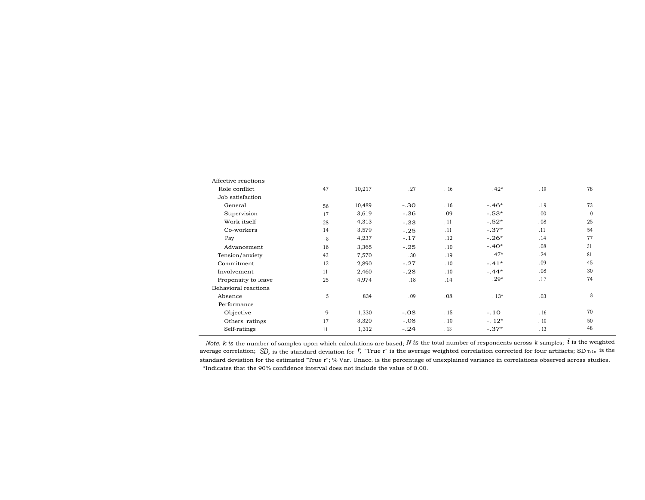| Affective reactions  |    |        |        |                |         |      |    |
|----------------------|----|--------|--------|----------------|---------|------|----|
| Role conflict        | 47 | 10,217 | .27    | .16            | $.42*$  | . 19 | 78 |
| Job satisfaction     |    |        |        |                |         |      |    |
| General              | 56 | 10,489 | $-.30$ | .16            | $-.46*$ | .19  | 73 |
| Supervision          | 17 | 3,619  | $-.36$ | .09            | $-.53*$ | .00. | 0  |
| Work itself          | 28 | 4,313  | $-.33$ | $\frac{11}{2}$ | $-.52*$ | .08  | 25 |
| Co-workers           | 14 | 3,579  | $-.25$ | .11            | $-.37*$ | .11  | 54 |
| Pay                  | 18 | 4,237  | $-.17$ | .12            | $-.26*$ | .14  | 77 |
| Advancement          | 16 | 3,365  | $-.25$ | .10            | $-.40*$ | .08  | 31 |
| Tension/anxiety      | 43 | 7,570  | .30    | .19            | $.47*$  | .24  | 81 |
| Commitment           | 12 | 2,890  | $-.27$ | .10            | $-.41*$ | .09  | 45 |
| Involvement          | 11 | 2,460  | $-.28$ | .10            | $-.44*$ | .08  | 30 |
| Propensity to leave  | 25 | 4,974  | .18    | .14            | $29*$   | .17  | 74 |
| Behavioral reactions |    |        |        |                |         |      |    |
| Absence              | 5  | 834    | .09    | .08            | $.13*$  | .03  | 8  |
| Performance          |    |        |        |                |         |      |    |
| Objective            | 9  | 1,330  | $-.08$ | .15            | $-.10$  | .16  | 70 |
| Others' ratings      | 17 | 3,320  | $-.08$ | .10            | $-.12*$ | .10  | 50 |
| Self-ratings         | 11 | 1,312  | $-.24$ | .13            | $-.37*$ | .13  | 48 |
|                      |    |        |        |                |         |      |    |

*Note. k is* the number of samples upon which calculations are based; N is the total number of respondents across k samples; i is the weighted average correlation; *SD*, is the standard deviation for *r*; "True r" is the average weighted correlation corrected for four artifacts; SD<sub>Tr1e</sub> is the standard deviation for the estimated "True r"; % Var. Unacc. is the percentage of unexplained variance in correlations observed across studies. \*Indicates that the 90% confidence interval does not include the value of 0.00.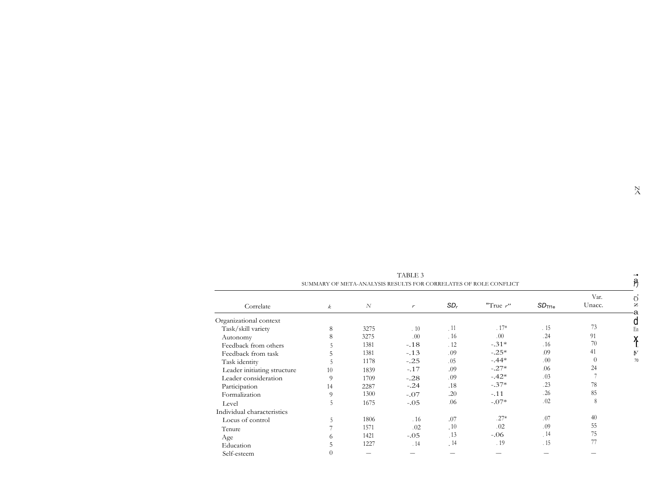| TABLE 3<br>SUMMARY OF META-ANALYSIS RESULTS FOR CORRELATES OF ROLE CONFLICT |          |      |                  |        |             |                    | $\sim$<br>Р,   |  |
|-----------------------------------------------------------------------------|----------|------|------------------|--------|-------------|--------------------|----------------|--|
| Correlate                                                                   | k        | N    | $\boldsymbol{r}$ | $SD_r$ | "True $r$ " | SD <sub>Tf1e</sub> | Var.<br>Unacc. |  |
| Organizational context                                                      |          |      |                  |        |             |                    |                |  |
| Task/skill variety                                                          | 8        | 3275 | .10              | .11    | $.17*$      | .15                | 73             |  |
| Autonomy                                                                    | 8        | 3275 | $.00 \,$         | 16     | .00.        | .24                | 91             |  |
| Feedback from others                                                        |          | 1381 | $-.18$           | .12    | $-.31*$     | .16                | 70             |  |
| Feedback from task                                                          | 5        | 1381 | $-.13$           | .09    | $-.25*$     | .09                | 41             |  |
| Task identity                                                               |          | 1178 | $-.25$           | .05    | $-.44*$     | .00.               | $\theta$       |  |
| Leader initiating structure                                                 | 10       | 1839 | $-.17$           | .09    | $-.27*$     | .06                | 24             |  |
| Leader consideration                                                        | 9        | 1709 | $-.28$           | .09    | $-.42*$     | .03                |                |  |
| Participation                                                               | 14       | 2287 | $-.24$           | .18    | $-.37*$     | .23                | 78             |  |
| Formalization                                                               | 9        | 1300 | $-.07$           | .20    | $-.11$      | .26                | 85             |  |
| Level                                                                       | 5        | 1675 | $-.05$           | .06    | $-.07*$     | .02                | 8              |  |
| Individual characteristics                                                  |          |      |                  |        |             |                    |                |  |
| Locus of control                                                            | 5        | 1806 | .16              | .07    | $.27*$      | .07                | 40             |  |
| Tenure                                                                      |          | 1571 | .02              | .10    | .02         | .09                | 55             |  |
| Age                                                                         | 6        | 1421 | $-.05$           | .13    | $-06$       | .14                | 75             |  |
| Education                                                                   | 5        | 1227 | .14              | .14    | .19         | .15                | 77             |  |
| Self-esteem                                                                 | $\theta$ |      |                  |        |             |                    |                |  |

TABLE 3 SUMMARY OF META-ANALYSIS RESULTS FOR CORRELATES OF ROLE CONFLICT  $\overrightarrow{A}$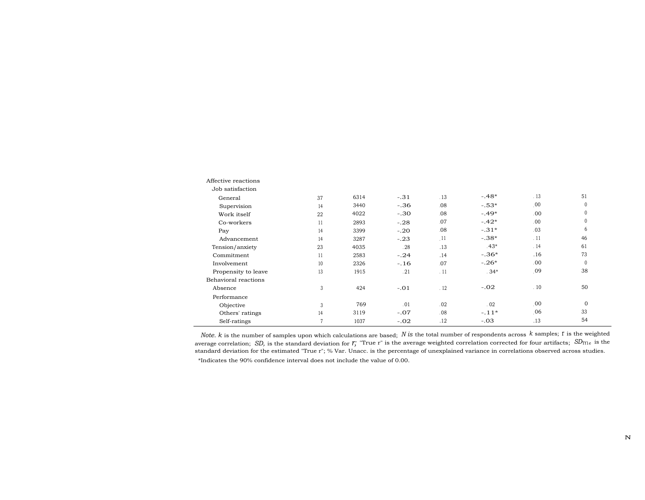| Affective reactions  |               |      |        |     |         |      |              |
|----------------------|---------------|------|--------|-----|---------|------|--------------|
| Job satisfaction     |               |      |        |     |         |      |              |
| General              | 37            | 6314 | $-.31$ | .13 | $-.48*$ | .13  | 51           |
| Supervision          | 14            | 3440 | $-.36$ | .08 | $-.53*$ | .00  | $\mathbf{0}$ |
| Work itself          | 22            | 4022 | $-.30$ | .08 | $-.49*$ | .00  | $\mathbf{0}$ |
| Co-workers           | 11            | 2893 | $-.28$ | .07 | $-.42*$ | .00. | $\mathbf{0}$ |
| Pay                  | 14            | 3399 | $-.20$ | .08 | $-.31*$ | .03  | 6            |
| Advancement          | 14            | 3287 | $-.23$ | 11  | $-.38*$ | .11  | 46           |
| Tension/anxiety      | 23            | 4035 | .28    | .13 | $.43*$  | .14  | 61           |
| Commitment           | 11            | 2583 | $-.24$ | .14 | $-.36*$ | .16  | 73           |
| Involvement          | 10            | 2326 | $-.16$ | .07 | $-.26*$ | .00  | $\Omega$     |
| Propensity to leave  | 13            | 1915 | .21    | .11 | $.34*$  | .09  | 38           |
| Behavioral reactions |               |      |        |     |         |      |              |
| Absence              | 3             | 424  | $-.01$ | .12 | $-.02$  | .10  | 50           |
| Performance          |               |      |        |     |         |      |              |
| Objective            | $\mathcal{E}$ | 769  | .01    | .02 | .02     | .00  | $\Omega$     |
| Others' ratings      | 14            | 3119 | $-.07$ | .08 | $-.11*$ | 06   | 33           |
| Self-ratings         |               | 1037 | $-.02$ | .12 | $-.03$  | .13  | 54           |

*Note. k* is the number of samples upon which calculations are based; *N is* the total number of respondents across *k* samples; r is the weighted average correlation; *SD*, is the standard deviation for *r*; "True r" is the average weighted correlation corrected for four artifacts; *SD*<sub>II1e</sub> is the standard deviation for the estimated "True r"; % Var. Unacc. is the percentage of unexplained variance in correlations observed across studies.

\*Indicates the 90% confidence interval does not include the value of 0.00.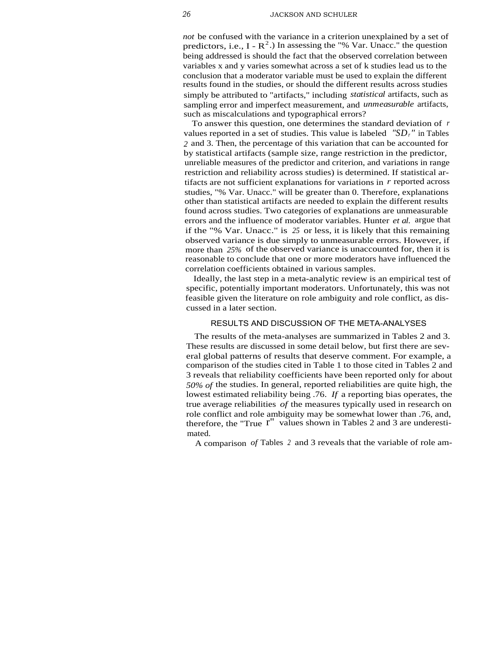*not* be confused with the variance in a criterion unexplained by a set of predictors, i.e.,  $I - R^2$ .) In assessing the "% Var. Unacc." the question being addressed is should the fact that the observed correlation between variables x and y varies somewhat across a set of k studies lead us to the conclusion that a moderator variable must be used to explain the different results found in the studies, or should the different results across studies simply be attributed to "artifacts," including *statistical* artifacts, such as sampling error and imperfect measurement, and *unmeasurable* artifacts, such as miscalculations and typographical errors?

To answer this question, one determines the standard deviation of *r* values reported in a set of studies. This value is labeled *"SDr"* in Tables *2* and 3. Then, the percentage of this variation that can be accounted for by statistical artifacts (sample size, range restriction in the predictor, unreliable measures of the predictor and criterion, and variations in range restriction and reliability across studies) is determined. If statistical artifacts are not sufficient explanations for variations in *r* reported across studies, "% Var. Unacc." will be greater than 0. Therefore, explanations other than statistical artifacts are needed to explain the different results found across studies. Two categories of explanations are unmeasurable errors and the influence of moderator variables. Hunter *et al.* argue that if the "% Var. Unacc." is *25* or less, it is likely that this remaining observed variance is due simply to unmeasurable errors. However, if more than *25%* of the observed variance is unaccounted for, then it is reasonable to conclude that one or more moderators have influenced the correlation coefficients obtained in various samples.

Ideally, the last step in a meta-analytic review is an empirical test of specific, potentially important moderators. Unfortunately, this was not feasible given the literature on role ambiguity and role conflict, as discussed in a later section.

#### RESULTS AND DISCUSSION OF THE META-ANALYSES

The results of the meta-analyses are summarized in Tables 2 and 3. These results are discussed in some detail below, but first there are several global patterns of results that deserve comment. For example, a comparison of the studies cited in Table 1 to those cited in Tables 2 and 3 reveals that reliability coefficients have been reported only for about *50% of* the studies. In general, reported reliabilities are quite high, the lowest estimated reliability being .76. *If* a reporting bias operates, the true average reliabilities *of* the measures typically used in research on role conflict and role ambiguity may be somewhat lower than .76, and, therefore, the "True  $r$ " values shown in Tables 2 and 3 are underestimated.

A comparison *of* Tables *<sup>2</sup>* and 3 reveals that the variable of role am-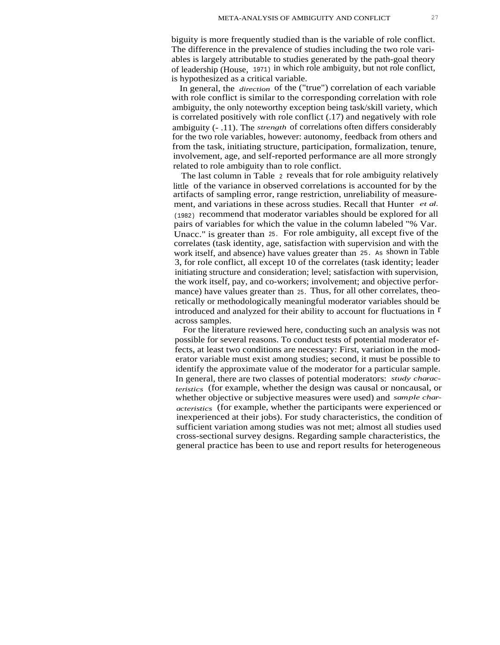biguity is more frequently studied than is the variable of role conflict. The difference in the prevalence of studies including the two role variables is largely attributable to studies generated by the path-goal theory of leadership (House, 1971) in which role ambiguity, but not role conflict, is hypothesized as a critical variable.

In general, the *direction* of the ("true") correlation of each variable with role conflict is similar to the corresponding correlation with role ambiguity, the only noteworthy exception being task/skill variety, which is correlated positively with role conflict (.17) and negatively with role ambiguity (- .11). The *strength* of correlations often differs considerably for the two role variables, however: autonomy, feedback from others and from the task, initiating structure, participation, formalization, tenure, involvement, age, and self-reported performance are all more strongly related to role ambiguity than to role conflict.

The last column in Table 2 reveals that for role ambiguity relatively little of the variance in observed correlations is accounted for by the artifacts of sampling error, range restriction, unreliability of measurement, and variations in these across studies. Recall that Hunter *et al.* (1982) recommend that moderator variables should be explored for all pairs of variables for which the value in the column labeled "% Var. Unacc." is greater than 25. For role ambiguity, all except five of the correlates (task identity, age, satisfaction with supervision and with the work itself, and absence) have values greater than 25. As shown in Table 3, for role conflict, all except 10 of the correlates (task identity; leader initiating structure and consideration; level; satisfaction with supervision, the work itself, pay, and co-workers; involvement; and objective performance) have values greater than 25. Thus, for all other correlates, theoretically or methodologically meaningful moderator variables should be introduced and analyzed for their ability to account for fluctuations in r across samples.

For the literature reviewed here, conducting such an analysis was not possible for several reasons. To conduct tests of potential moderator effects, at least two conditions are necessary: First, variation in the moderator variable must exist among studies; second, it must be possible to identify the approximate value of the moderator for a particular sample. In general, there are two classes of potential moderators: *study characteristics* (for example, whether the design was causal or noncausal, or whether objective or subjective measures were used) and *sample characteristics* (for example, whether the participants were experienced or inexperienced at their jobs). For study characteristics, the condition of sufficient variation among studies was not met; almost all studies used cross-sectional survey designs. Regarding sample characteristics, the general practice has been to use and report results for heterogeneous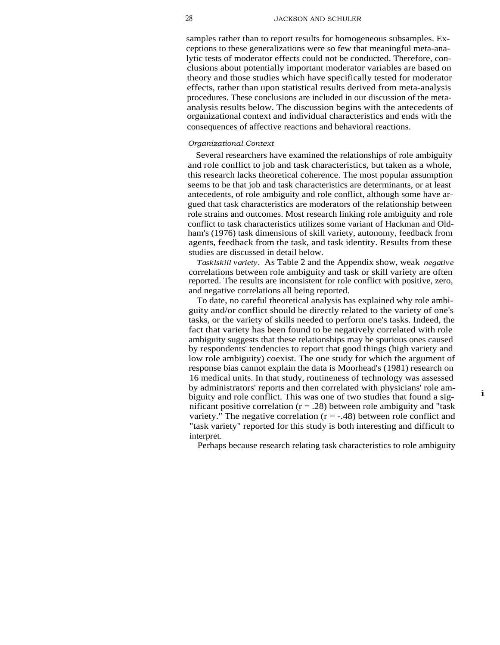samples rather than to report results for homogeneous subsamples. Exceptions to these generalizations were so few that meaningful meta-analytic tests of moderator effects could not be conducted. Therefore, conclusions about potentially important moderator variables are based on theory and those studies which have specifically tested for moderator effects, rather than upon statistical results derived from meta-analysis procedures. These conclusions are included in our discussion of the metaanalysis results below. The discussion begins with the antecedents of organizational context and individual characteristics and ends with the consequences of affective reactions and behavioral reactions.

#### *Organizational Context*

Several researchers have examined the relationships of role ambiguity and role conflict to job and task characteristics, but taken as a whole, this research lacks theoretical coherence. The most popular assumption seems to be that job and task characteristics are determinants, or at least antecedents, of role ambiguity and role conflict, although some have argued that task characteristics are moderators of the relationship between role strains and outcomes. Most research linking role ambiguity and role conflict to task characteristics utilizes some variant of Hackman and Oldham's (1976) task dimensions of skill variety, autonomy, feedback from agents, feedback from the task, and task identity. Results from these studies are discussed in detail below.

*Tasklskill variety.* As Table 2 and the Appendix show, weak *negative* correlations between role ambiguity and task or skill variety are often reported. The results are inconsistent for role conflict with positive, zero, and negative correlations all being reported.

To date, no careful theoretical analysis has explained why role ambiguity and/or conflict should be directly related to the variety of one's tasks, or the variety of skills needed to perform one's tasks. Indeed, the fact that variety has been found to be negatively correlated with role ambiguity suggests that these relationships may be spurious ones caused by respondents' tendencies to report that good things (high variety and low role ambiguity) coexist. The one study for which the argument of response bias cannot explain the data is Moorhead's (1981) research on 16 medical units. In that study, routineness of technology was assessed by administrators' reports and then correlated with physicians' role ambiguity and role conflict. This was one of two studies that found a significant positive correlation ( $r = .28$ ) between role ambiguity and "task variety." The negative correlation  $(r = -.48)$  between role conflict and "task variety" reported for this study is both interesting and difficult to interpret.

i

Perhaps because research relating task characteristics to role ambiguity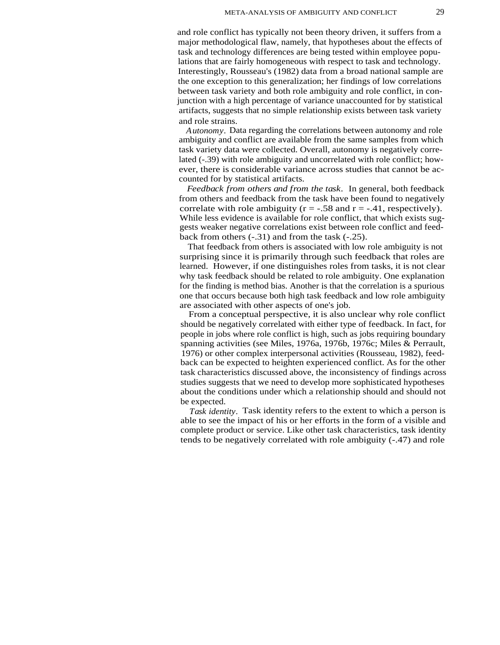and role conflict has typically not been theory driven, it suffers from a major methodological flaw, namely, that hypotheses about the effects of task and technology differences are being tested within employee populations that are fairly homogeneous with respect to task and technology. Interestingly, Rousseau's (1982) data from a broad national sample are the one exception to this generalization; her findings of low correlations between task variety and both role ambiguity and role conflict, in conjunction with a high percentage of variance unaccounted for by statistical artifacts, suggests that no simple relationship exists between task variety and role strains.

*Autonomy.* Data regarding the correlations between autonomy and role ambiguity and conflict are available from the same samples from which task variety data were collected. Overall, autonomy is negatively correlated (-.39) with role ambiguity and uncorrelated with role conflict; however, there is considerable variance across studies that cannot be accounted for by statistical artifacts.

*Feedback from others and from the task.* In general, both feedback from others and feedback from the task have been found to negatively correlate with role ambiguity ( $r = -0.58$  and  $r = -0.41$ , respectively). While less evidence is available for role conflict, that which exists suggests weaker negative correlations exist between role conflict and feedback from others (-.31) and from the task (-.25).

That feedback from others is associated with low role ambiguity is not surprising since it is primarily through such feedback that roles are learned. However, if one distinguishes roles from tasks, it is not clear why task feedback should be related to role ambiguity. One explanation for the finding is method bias. Another is that the correlation is a spurious one that occurs because both high task feedback and low role ambiguity are associated with other aspects of one's job.

From a conceptual perspective, it is also unclear why role conflict should be negatively correlated with either type of feedback. In fact, for people in jobs where role conflict is high, such as jobs requiring boundary spanning activities (see Miles, 1976a, 1976b, 1976c; Miles & Perrault, 1976) or other complex interpersonal activities (Rousseau, 1982), feedback can be expected to heighten experienced conflict. As for the other task characteristics discussed above, the inconsistency of findings across studies suggests that we need to develop more sophisticated hypotheses about the conditions under which a relationship should and should not be expected.

*Task identity.* Task identity refers to the extent to which a person is able to see the impact of his or her efforts in the form of a visible and complete product or service. Like other task characteristics, task identity tends to be negatively correlated with role ambiguity (-.47) and role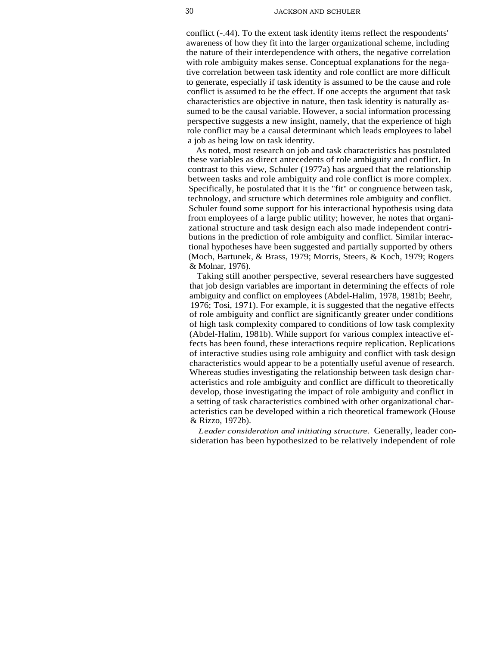conflict (-.44). To the extent task identity items reflect the respondents' awareness of how they fit into the larger organizational scheme, including the nature of their interdependence with others, the negative correlation with role ambiguity makes sense. Conceptual explanations for the negative correlation between task identity and role conflict are more difficult to generate, especially if task identity is assumed to be the cause and role conflict is assumed to be the effect. If one accepts the argument that task characteristics are objective in nature, then task identity is naturally assumed to be the causal variable. However, a social information processing perspective suggests a new insight, namely, that the experience of high role conflict may be a causal determinant which leads employees to label a job as being low on task identity.

As noted, most research on job and task characteristics has postulated these variables as direct antecedents of role ambiguity and conflict. In contrast to this view, Schuler (1977a) has argued that the relationship between tasks and role ambiguity and role conflict is more complex. Specifically, he postulated that it is the "fit" or congruence between task, technology, and structure which determines role ambiguity and conflict. Schuler found some support for his interactional hypothesis using data from employees of a large public utility; however, he notes that organizational structure and task design each also made independent contributions in the prediction of role ambiguity and conflict. Similar interactional hypotheses have been suggested and partially supported by others (Moch, Bartunek, & Brass, 1979; Morris, Steers, & Koch, 1979; Rogers & Molnar, 1976).

Taking still another perspective, several researchers have suggested that job design variables are important in determining the effects of role ambiguity and conflict on employees (Abdel-Halim, 1978, 1981b; Beehr, 1976; Tosi, 1971). For example, it is suggested that the negative effects of role ambiguity and conflict are significantly greater under conditions of high task complexity compared to conditions of low task complexity (Abdel-Halim, 1981b). While support for various complex inteactive effects has been found, these interactions require replication. Replications of interactive studies using role ambiguity and conflict with task design characteristics would appear to be a potentially useful avenue of research. Whereas studies investigating the relationship between task design characteristics and role ambiguity and conflict are difficult to theoretically develop, those investigating the impact of role ambiguity and conflict in a setting of task characteristics combined with other organizational characteristics can be developed within a rich theoretical framework (House & Rizzo, 1972b).

*Leader consideration and initiating structure.* Generally, leader consideration has been hypothesized to be relatively independent of role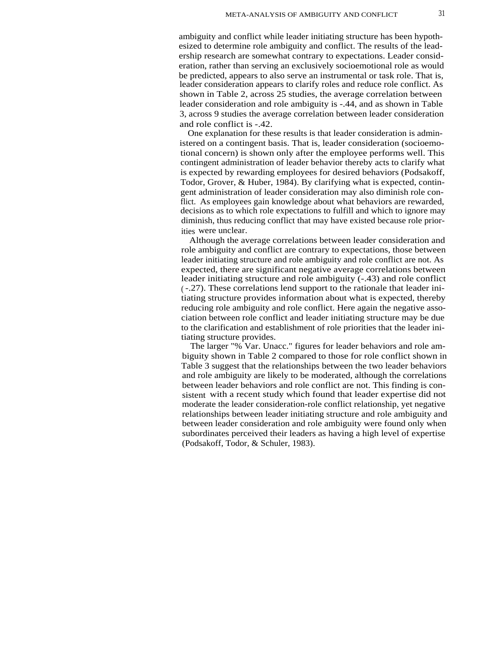ambiguity and conflict while leader initiating structure has been hypothesized to determine role ambiguity and conflict. The results of the leadership research are somewhat contrary to expectations. Leader consideration, rather than serving an exclusively socioemotional role as would be predicted, appears to also serve an instrumental or task role. That is, leader consideration appears to clarify roles and reduce role conflict. As shown in Table 2, across 25 studies, the average correlation between leader consideration and role ambiguity is -.44, and as shown in Table 3, across 9 studies the average correlation between leader consideration and role conflict is -.42.

One explanation for these results is that leader consideration is administered on a contingent basis. That is, leader consideration (socioemotional concern) is shown only after the employee performs well. This contingent administration of leader behavior thereby acts to clarify what is expected by rewarding employees for desired behaviors (Podsakoff, Todor, Grover, & Huber, 1984). By clarifying what is expected, contingent administration of leader consideration may also diminish role conflict. As employees gain knowledge about what behaviors are rewarded, decisions as to which role expectations to fulfill and which to ignore may diminish, thus reducing conflict that may have existed because role priorities were unclear.

Although the average correlations between leader consideration and role ambiguity and conflict are contrary to expectations, those between leader initiating structure and role ambiguity and role conflict are not. As expected, there are significant negative average correlations between leader initiating structure and role ambiguity (-.43) and role conflict ( -.27). These correlations lend support to the rationale that leader initiating structure provides information about what is expected, thereby reducing role ambiguity and role conflict. Here again the negative association between role conflict and leader initiating structure may be due to the clarification and establishment of role priorities that the leader initiating structure provides.

The larger "% Var. Unacc." figures for leader behaviors and role ambiguity shown in Table 2 compared to those for role conflict shown in Table 3 suggest that the relationships between the two leader behaviors and role ambiguity are likely to be moderated, although the correlations between leader behaviors and role conflict are not. This finding is consistent with a recent study which found that leader expertise did not moderate the leader consideration-role conflict relationship, yet negative relationships between leader initiating structure and role ambiguity and between leader consideration and role ambiguity were found only when subordinates perceived their leaders as having a high level of expertise (Podsakoff, Todor, & Schuler, 1983).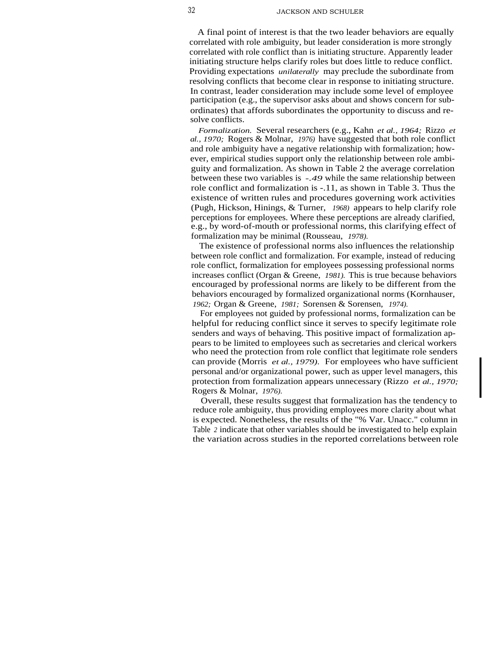A final point of interest is that the two leader behaviors are equally correlated with role ambiguity, but leader consideration is more strongly correlated with role conflict than is initiating structure. Apparently leader initiating structure helps clarify roles but does little to reduce conflict. Providing expectations *unilaterally* may preclude the subordinate from resolving conflicts that become clear in response to initiating structure. In contrast, leader consideration may include some level of employee participation (e.g., the supervisor asks about and shows concern for subordinates) that affords subordinates the opportunity to discuss and resolve conflicts.

*Formalization.* Several researchers (e.g., Kahn *et al., 1964;* Rizzo *et al., 1970;* Rogers & Molnar, *1976)* have suggested that both role conflict and role ambiguity have a negative relationship with formalization; however, empirical studies support only the relationship between role ambiguity and formalization. As shown in Table 2 the average correlation between these two variables is *-.49* while the same relationship between role conflict and formalization is -.11, as shown in Table 3. Thus the existence of written rules and procedures governing work activities (Pugh, Hickson, Hinings, & Turner, *1968)* appears to help clarify role perceptions for employees. Where these perceptions are already clarified, e.g., by word-of-mouth or professional norms, this clarifying effect of formalization may be minimal (Rousseau, *1978).*

The existence of professional norms also influences the relationship between role conflict and formalization. For example, instead of reducing role conflict, formalization for employees possessing professional norms increases conflict (Organ & Greene, *1981).* This is true because behaviors encouraged by professional norms are likely to be different from the behaviors encouraged by formalized organizational norms (Kornhauser, *1962;* Organ & Greene, *1981;* Sorensen & Sorensen, *1974).*

For employees not guided by professional norms, formalization can be helpful for reducing conflict since it serves to specify legitimate role senders and ways of behaving. This positive impact of formalization appears to be limited to employees such as secretaries and clerical workers who need the protection from role conflict that legitimate role senders can provide (Morris *et al., 1979).* For employees who have sufficient personal and/or organizational power, such as upper level managers, this protection from formalization appears unnecessary (Rizzo *et al., 1970;* Rogers & Molnar, *1976).*

Overall, these results suggest that formalization has the tendency to reduce role ambiguity, thus providing employees more clarity about what is expected. Nonetheless, the results of the "% Var. Unacc." column in Table *2* indicate that other variables should be investigated to help explain the variation across studies in the reported correlations between role I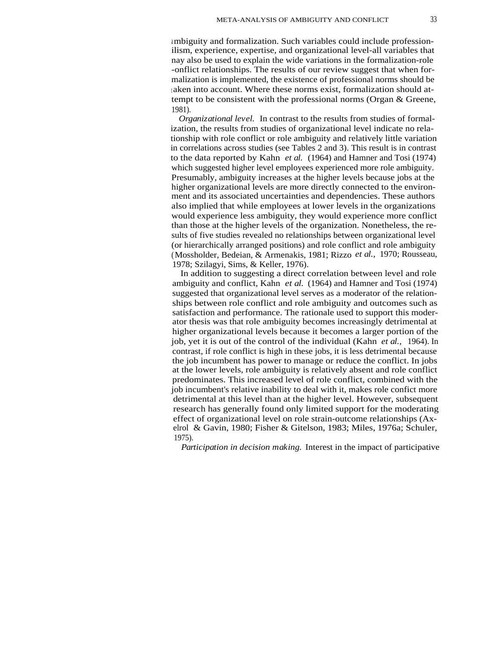ambiguity and formalization. Such variables could include professionilism, experience, expertise, and organizational level-all variables that nay also be used to explain the wide variations in the formalization-role -onflict relationships. The results of our review suggest that when formalization is implemented, the existence of professional norms should be <sup>t</sup> aken into account. Where these norms exist, formalization should attempt to be consistent with the professional norms (Organ & Greene, 1981).

*Organizational level.* In contrast to the results from studies of formalization, the results from studies of organizational level indicate no relationship with role conflict or role ambiguity and relatively little variation in correlations across studies (see Tables 2 and 3). This result is in contrast to the data reported by Kahn *et al.* (1964) and Hamner and Tosi (1974) which suggested higher level employees experienced more role ambiguity. Presumably, ambiguity increases at the higher levels because jobs at the higher organizational levels are more directly connected to the environment and its associated uncertainties and dependencies. These authors also implied that while employees at lower levels in the organizations would experience less ambiguity, they would experience more conflict than those at the higher levels of the organization. Nonetheless, the results of five studies revealed no relationships between organizational level (or hierarchically arranged positions) and role conflict and role ambiguity (Mossholder, Bedeian, & Armenakis, 1981; Rizzo *et al.,* 1970; Rousseau, 1978; Szilagyi, Sims, & Keller, 1976).

In addition to suggesting a direct correlation between level and role ambiguity and conflict, Kahn *et al.* (1964) and Hamner and Tosi (1974) suggested that organizational level serves as a moderator of the relationships between role conflict and role ambiguity and outcomes such as satisfaction and performance. The rationale used to support this moderator thesis was that role ambiguity becomes increasingly detrimental at higher organizational levels because it becomes a larger portion of the job, yet it is out of the control of the individual (Kahn *et al.,* 1964). In contrast, if role conflict is high in these jobs, it is less detrimental because the job incumbent has power to manage or reduce the conflict. In jobs at the lower levels, role ambiguity is relatively absent and role conflict predominates. This increased level of role conflict, combined with the job incumbent's relative inability to deal with it, makes role confict more detrimental at this level than at the higher level. However, subsequent research has generally found only limited support for the moderating effect of organizational level on role strain-outcome relationships (Axelrol & Gavin, 1980; Fisher & Gitelson, 1983; Miles, 1976a; Schuler, 1975).

*Participation in decision making.* Interest in the impact of participative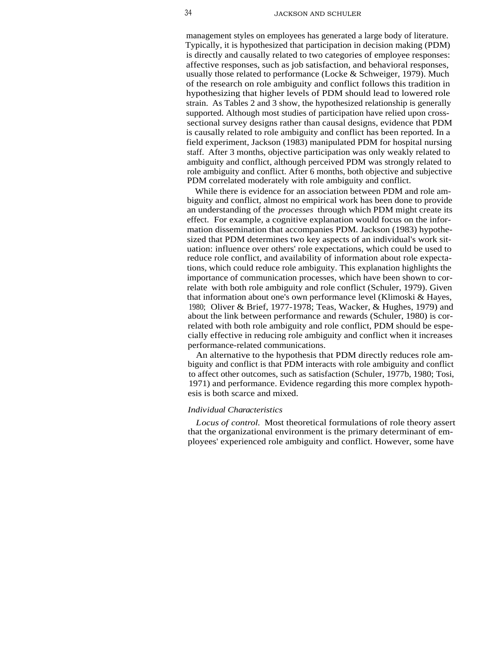management styles on employees has generated a large body of literature. Typically, it is hypothesized that participation in decision making (PDM) is directly and causally related to two categories of employee responses: affective responses, such as job satisfaction, and behavioral responses, usually those related to performance (Locke & Schweiger, 1979). Much of the research on role ambiguity and conflict follows this tradition in hypothesizing that higher levels of PDM should lead to lowered role strain. As Tables 2 and 3 show, the hypothesized relationship is generally supported. Although most studies of participation have relied upon crosssectional survey designs rather than causal designs, evidence that PDM is causally related to role ambiguity and conflict has been reported. In a field experiment, Jackson (1983) manipulated PDM for hospital nursing staff. After 3 months, objective participation was only weakly related to ambiguity and conflict, although perceived PDM was strongly related to role ambiguity and conflict. After 6 months, both objective and subjective PDM correlated moderately with role ambiguity and conflict.

While there is evidence for an association between PDM and role ambiguity and conflict, almost no empirical work has been done to provide an understanding of the *processes* through which PDM might create its effect. For example, a cognitive explanation would focus on the information dissemination that accompanies PDM. Jackson (1983) hypothesized that PDM determines two key aspects of an individual's work situation: influence over others' role expectations, which could be used to reduce role conflict, and availability of information about role expectations, which could reduce role ambiguity. This explanation highlights the importance of communication processes, which have been shown to correlate with both role ambiguity and role conflict (Schuler, 1979). Given that information about one's own performance level (Klimoski & Hayes, 1980; Oliver & Brief, 1977-1978; Teas, Wacker, & Hughes, 1979) and about the link between performance and rewards (Schuler, 1980) is correlated with both role ambiguity and role conflict, PDM should be especially effective in reducing role ambiguity and conflict when it increases performance-related communications.

An alternative to the hypothesis that PDM directly reduces role ambiguity and conflict is that PDM interacts with role ambiguity and conflict to affect other outcomes, such as satisfaction (Schuler, 1977b, 1980; Tosi, 1971) and performance. Evidence regarding this more complex hypothesis is both scarce and mixed.

#### *Individual Characteristics*

*Locus of control.* Most theoretical formulations of role theory assert that the organizational environment is the primary determinant of employees' experienced role ambiguity and conflict. However, some have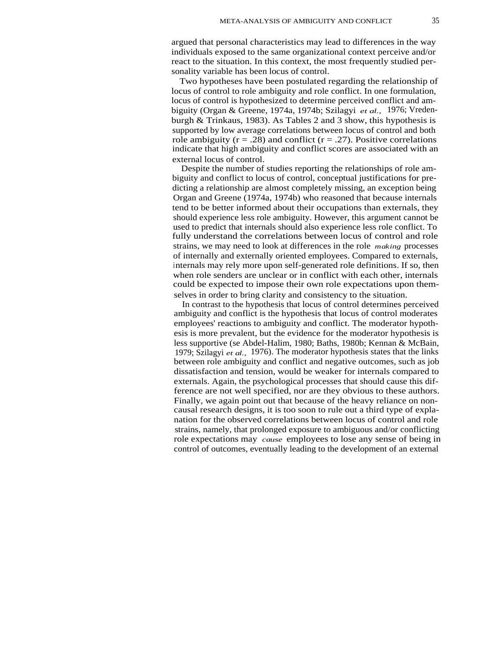argued that personal characteristics may lead to differences in the way individuals exposed to the same organizational context perceive and/or react to the situation. In this context, the most frequently studied personality variable has been locus of control.

Two hypotheses have been postulated regarding the relationship of locus of control to role ambiguity and role conflict. In one formulation, locus of control is hypothesized to determine perceived conflict and ambiguity (Organ & Greene, 1974a, 1974b; Szilagyi *et al.,* 1976; Vredenburgh & Trinkaus, 1983). As Tables 2 and 3 show, this hypothesis is supported by low average correlations between locus of control and both role ambiguity ( $r = .28$ ) and conflict ( $r = .27$ ). Positive correlations indicate that high ambiguity and conflict scores are associated with an external locus of control.

Despite the number of studies reporting the relationships of role ambiguity and conflict to locus of control, conceptual justifications for predicting a relationship are almost completely missing, an exception being Organ and Greene (1974a, 1974b) who reasoned that because internals tend to be better informed about their occupations than externals, they should experience less role ambiguity. However, this argument cannot be used to predict that internals should also experience less role conflict. To fully understand the correlations between locus of control and role strains, we may need to look at differences in the role *making* processes of internally and externally oriented employees. Compared to externals, internals may rely more upon self-generated role definitions. If so, then when role senders are unclear or in conflict with each other, internals could be expected to impose their own role expectations upon themselves in order to bring clarity and consistency to the situation.

In contrast to the hypothesis that locus of control determines perceived ambiguity and conflict is the hypothesis that locus of control moderates employees' reactions to ambiguity and conflict. The moderator hypothesis is more prevalent, but the evidence for the moderator hypothesis is less supportive (se Abdel-Halim, 1980; Baths, 1980b; Kennan & McBain, 1979; Szilagyi *et al.,* 1976). The moderator hypothesis states that the links between role ambiguity and conflict and negative outcomes, such as job dissatisfaction and tension, would be weaker for internals compared to externals. Again, the psychological processes that should cause this difference are not well specified, nor are they obvious to these authors. Finally, we again point out that because of the heavy reliance on noncausal research designs, it is too soon to rule out a third type of explanation for the observed correlations between locus of control and role strains, namely, that prolonged exposure to ambiguous and/or conflicting role expectations may *cause* employees to lose any sense of being in control of outcomes, eventually leading to the development of an external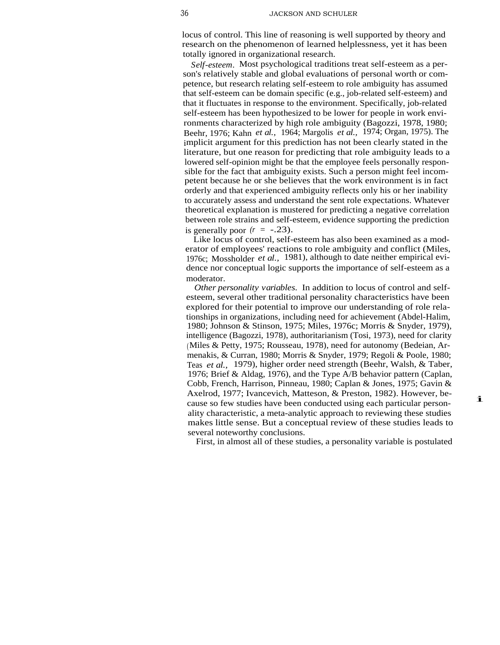locus of control. This line of reasoning is well supported by theory and research on the phenomenon of learned helplessness, yet it has been totally ignored in organizational research.

*Self-esteem.* Most psychological traditions treat self-esteem as a person's relatively stable and global evaluations of personal worth or competence, but research relating self-esteem to role ambiguity has assumed that self-esteem can be domain specific (e.g., job-related self-esteem) and that it fluctuates in response to the environment. Specifically, job-related self-esteem has been hypothesized to be lower for people in work environments characterized by high role ambiguity (Bagozzi, 1978, 1980; Beehr, 1976; Kahn *et al.,* 1964; Margolis *et al.,* 1974; Organ, 1975). The implicit argument for this prediction has not been clearly stated in the literature, but one reason for predicting that role ambiguity leads to a lowered self-opinion might be that the employee feels personally responsible for the fact that ambiguity exists. Such a person might feel incompetent because he or she believes that the work environment is in fact orderly and that experienced ambiguity reflects only his or her inability to accurately assess and understand the sent role expectations. Whatever theoretical explanation is mustered for predicting a negative correlation between role strains and self-esteem, evidence supporting the prediction is generally poor  $(r = -.23)$ .

Like locus of control, self-esteem has also been examined as a moderator of employees' reactions to role ambiguity and conflict (Miles, 1976c; Mossholder *et al.,* 1981), although to date neither empirical evidence nor conceptual logic supports the importance of self-esteem as a moderator.

*Other personality variables.* In addition to locus of control and selfesteem, several other traditional personality characteristics have been explored for their potential to improve our understanding of role relationships in organizations, including need for achievement (Abdel-Halim, 1980; Johnson & Stinson, 1975; Miles, 1976c; Morris & Snyder, 1979), intelligence (Bagozzi, 1978), authoritarianism (Tosi, 1973), need for clarity (Miles & Petty, 1975; Rousseau, 1978), need for autonomy (Bedeian, Armenakis, & Curran, 1980; Morris & Snyder, 1979; Regoli & Poole, 1980; Teas *et al.,* 1979), higher order need strength (Beehr, Walsh, & Taber, 1976; Brief & Aldag, 1976), and the Type A/B behavior pattern (Caplan, Cobb, French, Harrison, Pinneau, 1980; Caplan & Jones, 1975; Gavin & Axelrod, 1977; Ivancevich, Matteson, & Preston, 1982). However, because so few studies have been conducted using each particular personality characteristic, a meta-analytic approach to reviewing these studies makes little sense. But a conceptual review of these studies leads to several noteworthy conclusions.

First, in almost all of these studies, a personality variable is postulated

i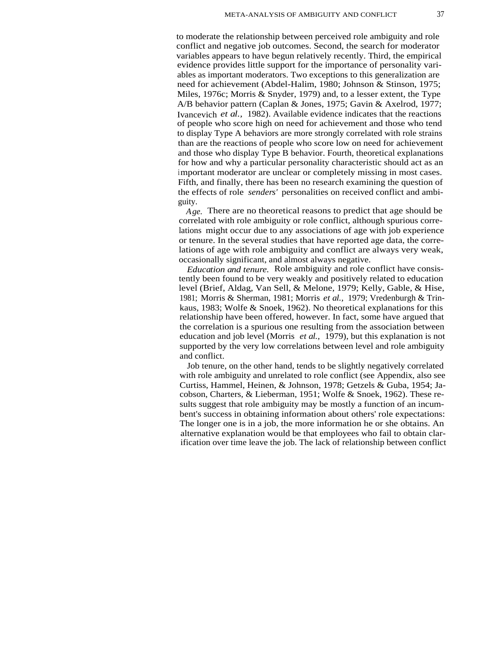to moderate the relationship between perceived role ambiguity and role conflict and negative job outcomes. Second, the search for moderator variables appears to have begun relatively recently. Third, the empirical evidence provides little support for the importance of personality variables as important moderators. Two exceptions to this generalization are need for achievement (Abdel-Halim, 1980; Johnson & Stinson, 1975; Miles, 1976c; Morris & Snyder, 1979) and, to a lesser extent, the Type A/B behavior pattern (Caplan & Jones, 1975; Gavin & Axelrod, 1977; Ivancevich *et al.,* 1982). Available evidence indicates that the reactions of people who score high on need for achievement and those who tend to display Type A behaviors are more strongly correlated with role strains than are the reactions of people who score low on need for achievement and those who display Type B behavior. Fourth, theoretical explanations for how and why a particular personality characteristic should act as an important moderator are unclear or completely missing in most cases. Fifth, and finally, there has been no research examining the question of the effects of role *senders'* personalities on received conflict and ambiguity.

*Age.* There are no theoretical reasons to predict that age should be correlated with role ambiguity or role conflict, although spurious correlations might occur due to any associations of age with job experience or tenure. In the several studies that have reported age data, the correlations of age with role ambiguity and conflict are always very weak, occasionally significant, and almost always negative.

*Education and tenure.* Role ambiguity and role conflict have consistently been found to be very weakly and positively related to education level (Brief, Aldag, Van Sell, & Melone, 1979; Kelly, Gable, & Hise, 1981; Morris & Sherman, 1981; Morris *et al.,* 1979; Vredenburgh & Trinkaus, 1983; Wolfe & Snoek, 1962). No theoretical explanations for this relationship have been offered, however. In fact, some have argued that the correlation is a spurious one resulting from the association between education and job level (Morris *et al.,* 1979), but this explanation is not supported by the very low correlations between level and role ambiguity and conflict.

Job tenure, on the other hand, tends to be slightly negatively correlated with role ambiguity and unrelated to role conflict (see Appendix, also see Curtiss, Hammel, Heinen, & Johnson, 1978; Getzels & Guba, 1954; Jacobson, Charters, & Lieberman, 1951; Wolfe & Snoek, 1962). These results suggest that role ambiguity may be mostly a function of an incumbent's success in obtaining information about others' role expectations: The longer one is in a job, the more information he or she obtains. An alternative explanation would be that employees who fail to obtain clarification over time leave the job. The lack of relationship between conflict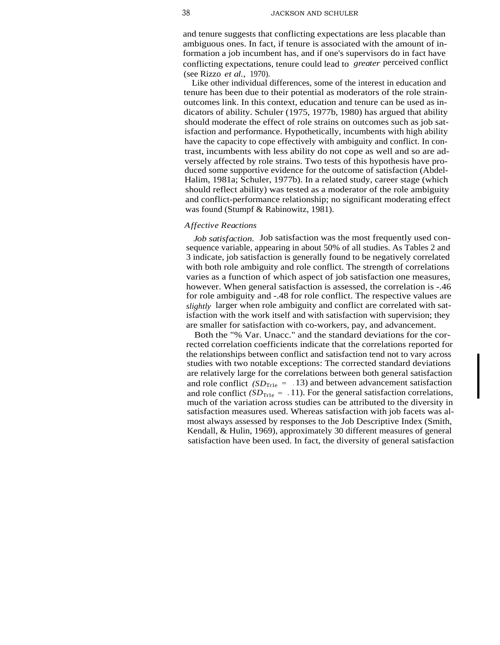and tenure suggests that conflicting expectations are less placable than ambiguous ones. In fact, if tenure is associated with the amount of information a job incumbent has, and if one's supervisors do in fact have conflicting expectations, tenure could lead to *greater* perceived conflict (see Rizzo *et al.,* 1970).

Like other individual differences, some of the interest in education and tenure has been due to their potential as moderators of the role strainoutcomes link. In this context, education and tenure can be used as indicators of ability. Schuler (1975, 1977b, 1980) has argued that ability should moderate the effect of role strains on outcomes such as job satisfaction and performance. Hypothetically, incumbents with high ability have the capacity to cope effectively with ambiguity and conflict. In contrast, incumbents with less ability do not cope as well and so are adversely affected by role strains. Two tests of this hypothesis have produced some supportive evidence for the outcome of satisfaction (Abdel-Halim, 1981a; Schuler, 1977b). In a related study, career stage (which should reflect ability) was tested as a moderator of the role ambiguity and conflict-performance relationship; no significant moderating effect was found (Stumpf & Rabinowitz, 1981).

#### *Affective Reactions*

*Job satisfaction.* Job satisfaction was the most frequently used consequence variable, appearing in about 50% of all studies. As Tables 2 and 3 indicate, job satisfaction is generally found to be negatively correlated with both role ambiguity and role conflict. The strength of correlations varies as a function of which aspect of job satisfaction one measures, however. When general satisfaction is assessed, the correlation is -.46 for role ambiguity and -.48 for role conflict. The respective values are *slightly* larger when role ambiguity and conflict are correlated with satisfaction with the work itself and with satisfaction with supervision; they are smaller for satisfaction with co-workers, pay, and advancement.

Both the "% Var. Unacc." and the standard deviations for the corrected correlation coefficients indicate that the correlations reported for the relationships between conflict and satisfaction tend not to vary across studies with two notable exceptions: The corrected standard deviations are relatively large for the correlations between both general satisfaction and role conflict  $(SD_{\text{True}} = .13)$  and between advancement satisfaction and role conflict  $(SD<sub>Tr1e</sub> = .11)$ . For the general satisfaction correlations, much of the variation across studies can be attributed to the diversity in satisfaction measures used. Whereas satisfaction with job facets was almost always assessed by responses to the Job Descriptive Index (Smith, Kendall, & Hulin, 1969), approximately 30 different measures of general satisfaction have been used. In fact, the diversity of general satisfaction

I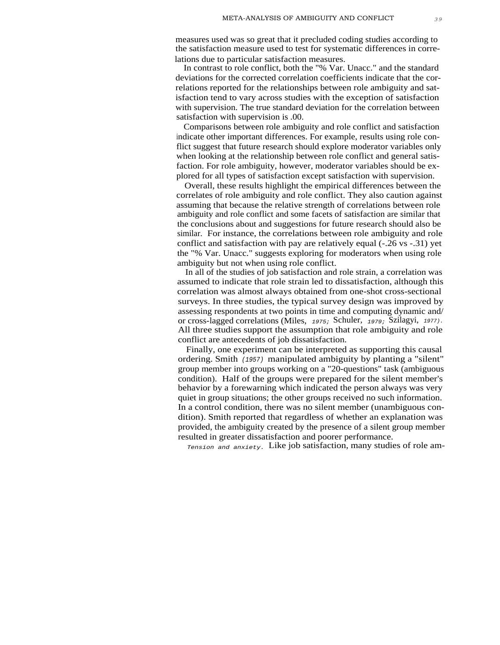measures used was so great that it precluded coding studies according to the satisfaction measure used to test for systematic differences in correlations due to particular satisfaction measures.

In contrast to role conflict, both the "% Var. Unacc." and the standard deviations for the corrected correlation coefficients indicate that the correlations reported for the relationships between role ambiguity and satisfaction tend to vary across studies with the exception of satisfaction with supervision. The true standard deviation for the correlation between satisfaction with supervision is .00.

Comparisons between role ambiguity and role conflict and satisfaction indicate other important differences. For example, results using role conflict suggest that future research should explore moderator variables only when looking at the relationship between role conflict and general satisfaction. For role ambiguity, however, moderator variables should be explored for all types of satisfaction except satisfaction with supervision.

Overall, these results highlight the empirical differences between the correlates of role ambiguity and role conflict. They also caution against assuming that because the relative strength of correlations between role ambiguity and role conflict and some facets of satisfaction are similar that the conclusions about and suggestions for future research should also be similar. For instance, the correlations between role ambiguity and role conflict and satisfaction with pay are relatively equal (-.26 vs -.31) yet the "% Var. Unacc." suggests exploring for moderators when using role ambiguity but not when using role conflict.

In all of the studies of job satisfaction and role strain, a correlation was assumed to indicate that role strain led to dissatisfaction, although this correlation was almost always obtained from one-shot cross-sectional surveys. In three studies, the typical survey design was improved by assessing respondents at two points in time and computing dynamic and/ or cross-lagged correlations (Miles, 1975; Schuler, 1979; Szilagyi, 1977). All three studies support the assumption that role ambiguity and role conflict are antecedents of job dissatisfaction.

Finally, one experiment can be interpreted as supporting this causal ordering. Smith (1957) manipulated ambiguity by planting a "silent" group member into groups working on a "20-questions" task (ambiguous condition). Half of the groups were prepared for the silent member's behavior by a forewarning which indicated the person always was very quiet in group situations; the other groups received no such information. In a control condition, there was no silent member (unambiguous condition). Smith reported that regardless of whether an explanation was provided, the ambiguity created by the presence of a silent group member resulted in greater dissatisfaction and poorer performance.

Tension and anxiety. Like job satisfaction, many studies of role am-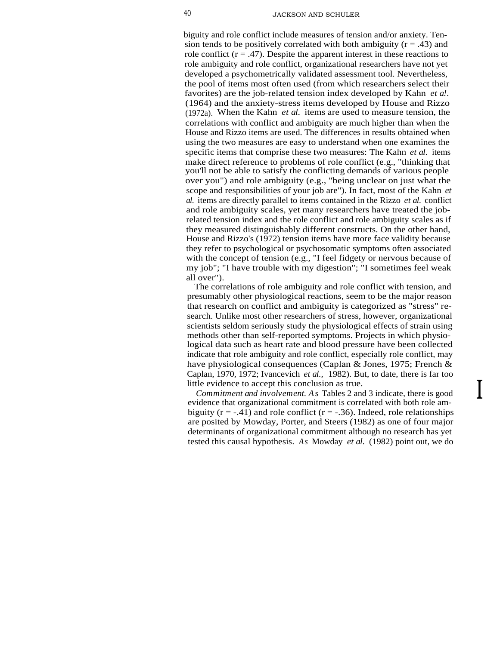biguity and role conflict include measures of tension and/or anxiety. Tension tends to be positively correlated with both ambiguity ( $r = .43$ ) and role conflict  $(r = .47)$ . Despite the apparent interest in these reactions to role ambiguity and role conflict, organizational researchers have not yet developed a psychometrically validated assessment tool. Nevertheless, the pool of items most often used (from which researchers select their favorites) are the job-related tension index developed by Kahn *et a!.* (1964) and the anxiety-stress items developed by House and Rizzo (1972a). When the Kahn *et al.* items are used to measure tension, the correlations with conflict and ambiguity are much higher than when the House and Rizzo items are used. The differences in results obtained when using the two measures are easy to understand when one examines the specific items that comprise these two measures: The Kahn *et al.* items make direct reference to problems of role conflict (e.g., "thinking that you'll not be able to satisfy the conflicting demands of various people over you") and role ambiguity (e.g., "being unclear on just what the scope and responsibilities of your job are"). In fact, most of the Kahn *et al.* items are directly parallel to items contained in the Rizzo *et al.* conflict and role ambiguity scales, yet many researchers have treated the jobrelated tension index and the role conflict and role ambiguity scales as if they measured distinguishably different constructs. On the other hand, House and Rizzo's (1972) tension items have more face validity because they refer to psychological or psychosomatic symptoms often associated with the concept of tension (e.g., "I feel fidgety or nervous because of my job"; "I have trouble with my digestion"; "I sometimes feel weak all over").

The correlations of role ambiguity and role conflict with tension, and presumably other physiological reactions, seem to be the major reason that research on conflict and ambiguity is categorized as "stress" research. Unlike most other researchers of stress, however, organizational scientists seldom seriously study the physiological effects of strain using methods other than self-reported symptoms. Projects in which physiological data such as heart rate and blood pressure have been collected indicate that role ambiguity and role conflict, especially role conflict, may have physiological consequences (Caplan & Jones, 1975; French & Caplan, 1970, 1972; Ivancevich *et al.,* 1982). But, to date, there is far too little evidence to accept this conclusion as true.

*Commitment and involvement. As* Tables 2 and 3 indicate, there is good evidence that organizational commitment is correlated with both role ambiguity ( $r = -0.41$ ) and role conflict ( $r = -0.36$ ). Indeed, role relationships are posited by Mowday, Porter, and Steers (1982) as one of four major determinants of organizational commitment although no research has yet tested this causal hypothesis. *As* Mowday *et al.* (1982) point out, we do

 $\overline{\mathbf{I}}$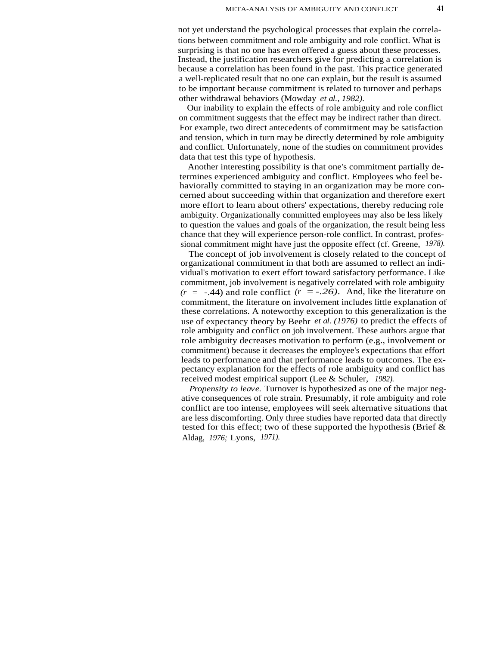not yet understand the psychological processes that explain the correlations between commitment and role ambiguity and role conflict. What is surprising is that no one has even offered a guess about these processes. Instead, the justification researchers give for predicting a correlation is because a correlation has been found in the past. This practice generated a well-replicated result that no one can explain, but the result is assumed to be important because commitment is related to turnover and perhaps other withdrawal behaviors (Mowday *et al., 1982).*

Our inability to explain the effects of role ambiguity and role conflict on commitment suggests that the effect may be indirect rather than direct. For example, two direct antecedents of commitment may be satisfaction and tension, which in turn may be directly determined by role ambiguity and conflict. Unfortunately, none of the studies on commitment provides data that test this type of hypothesis.

Another interesting possibility is that one's commitment partially determines experienced ambiguity and conflict. Employees who feel behaviorally committed to staying in an organization may be more concerned about succeeding within that organization and therefore exert more effort to learn about others' expectations, thereby reducing role ambiguity. Organizationally committed employees may also be less likely to question the values and goals of the organization, the result being less chance that they will experience person-role conflict. In contrast, professional commitment might have just the opposite effect (cf. Greene, *1978).*

The concept of job involvement is closely related to the concept of organizational commitment in that both are assumed to reflect an individual's motivation to exert effort toward satisfactory performance. Like commitment, job involvement is negatively correlated with role ambiguity  $(r = -.44)$  and role conflict  $(r = -.26)$ . And, like the literature on commitment, the literature on involvement includes little explanation of these correlations. A noteworthy exception to this generalization is the use of expectancy theory by Beehr *et al. (1976)* to predict the effects of role ambiguity and conflict on job involvement. These authors argue that role ambiguity decreases motivation to perform (e.g., involvement or commitment) because it decreases the employee's expectations that effort leads to performance and that performance leads to outcomes. The expectancy explanation for the effects of role ambiguity and conflict has received modest empirical support (Lee & Schuler, *1982).*

*Propensity to leave.* Turnover is hypothesized as one of the major negative consequences of role strain. Presumably, if role ambiguity and role conflict are too intense, employees will seek alternative situations that are less discomforting. Only three studies have reported data that directly tested for this effect; two of these supported the hypothesis (Brief & Aldag, *1976;* Lyons, *1971).*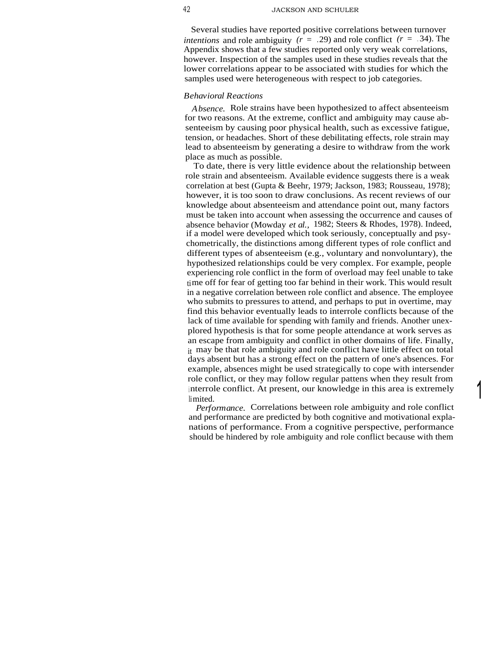Several studies have reported positive correlations between turnover *intentions* and role ambiguity  $(r = .29)$  and role conflict  $(r = .34)$ . The Appendix shows that a few studies reported only very weak correlations, however. Inspection of the samples used in these studies reveals that the lower correlations appear to be associated with studies for which the samples used were heterogeneous with respect to job categories.

#### *Behavioral Reactions*

*Absence.* Role strains have been hypothesized to affect absenteeism for two reasons. At the extreme, conflict and ambiguity may cause absenteeism by causing poor physical health, such as excessive fatigue, tension, or headaches. Short of these debilitating effects, role strain may lead to absenteeism by generating a desire to withdraw from the work place as much as possible.

To date, there is very little evidence about the relationship between role strain and absenteeism. Available evidence suggests there is a weak correlation at best (Gupta & Beehr, 1979; Jackson, 1983; Rousseau, 1978); however, it is too soon to draw conclusions. As recent reviews of our knowledge about absenteeism and attendance point out, many factors must be taken into account when assessing the occurrence and causes of absence behavior (Mowday *et al.,* 1982; Steers & Rhodes, 1978). Indeed, if a model were developed which took seriously, conceptually and psychometrically, the distinctions among different types of role conflict and different types of absenteeism (e.g., voluntary and nonvoluntary), the hypothesized relationships could be very complex. For example, people experiencing role conflict in the form of overload may feel unable to take time off for fear of getting too far behind in their work. This would result in a negative correlation between role conflict and absence. The employee who submits to pressures to attend, and perhaps to put in overtime, may find this behavior eventually leads to interrole conflicts because of the lack of time available for spending with family and friends. Another unexplored hypothesis is that for some people attendance at work serves as an escape from ambiguity and conflict in other domains of life. Finally, it may be that role ambiguity and role conflict have little effect on total days absent but has a strong effect on the pattern of one's absences. For example, absences might be used strategically to cope with intersender role conflict, or they may follow regular pattens when they result from interrole conflict. At present, our knowledge in this area is extremely limited.

*Performance.* Correlations between role ambiguity and role conflict and performance are predicted by both cognitive and motivational explanations of performance. From a cognitive perspective, performance should be hindered by role ambiguity and role conflict because with them

1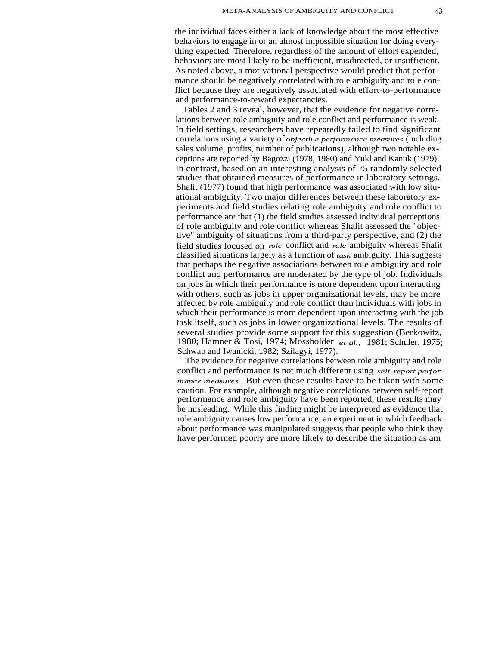the individual faces either a lack of knowledge about the most effective behaviors to engage in or an almost impossible situation for doing everything expected. Therefore, regardless of the amount of effort expended, behaviors are most likely to be inefficient, misdirected, or insufficient. As noted above, a motivational perspective would predict that performance should be negatively correlated with role ambiguity and role conflict because they are negatively associated with effort-to-performance and performance-to-reward expectancies.

Tables 2 and 3 reveal, however, that the evidence for negative correlations between role ambiguity and role conflict and performance is weak. In field settings, researchers have repeatedly failed to find significant correlations using a variety of *objective performance measures* (including sales volume, profits, number of publications), although two notable exceptions are reported by Bagozzi (1978, 1980) and Yukl and Kanuk (1979). In contrast, based on an interesting analysis of 75 randomly selected studies that obtained measures of performance in laboratory settings, Shalit (1977) found that high performance was associated with low situational ambiguity. Two major differences between these laboratory experiments and field studies relating role ambiguity and role conflict to performance are that (1) the field studies assessed individual perceptions of role ambiguity and role conflict whereas Shalit assessed the "objective" ambiguity of situations from a third-party perspective, and (2) the field studies focused on *role* conflict and *role* ambiguity whereas Shalit classified situations largely as a function of *task* ambiguity. This suggests that perhaps the negative associations between role ambiguity and role conflict and performance are moderated by the type of job. Individuals on jobs in which their performance is more dependent upon interacting with others, such as jobs in upper organizational levels, may be more affected by role ambiguity and role conflict than individuals with jobs in which their performance is more dependent upon interacting with the job task itself, such as jobs in lower organizational levels. The results of several studies provide some support for this suggestion (Berkowitz, 1980; Hamner & Tosi, 1974; Mossholder *et al.,* 1981; Schuler, 1975; Schwab and Iwanicki, 1982; Szilagyi, 1977).

The evidence for negative correlations between role ambiguity and role conflict and performance is not much different using *self-report performance measures.* But even these results have to be taken with some caution. For example, although negative correlations between self-report performance and role ambiguity have been reported, these results may be misleading. While this finding might be interpreted as evidence that role ambiguity causes low performance, an experiment in which feedback about performance was manipulated suggests that people who think they have performed poorly are more likely to describe the situation as am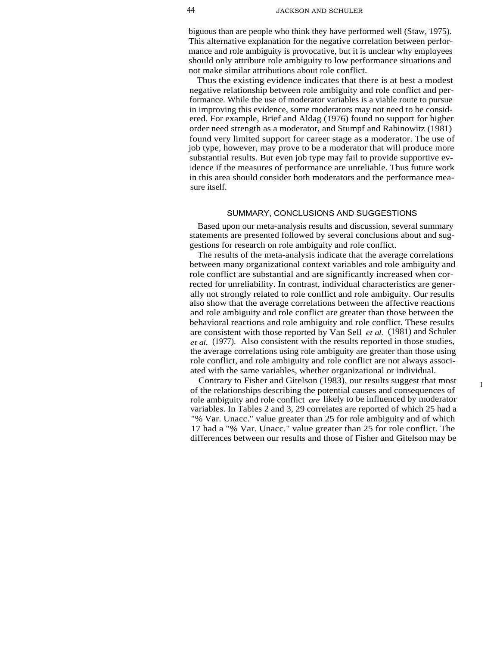biguous than are people who think they have performed well (Staw, 1975). This alternative explanation for the negative correlation between performance and role ambiguity is provocative, but it is unclear why employees should only attribute role ambiguity to low performance situations and not make similar attributions about role conflict.

Thus the existing evidence indicates that there is at best a modest negative relationship between role ambiguity and role conflict and performance. While the use of moderator variables is a viable route to pursue in improving this evidence, some moderators may not need to be considered. For example, Brief and Aldag (1976) found no support for higher order need strength as a moderator, and Stumpf and Rabinowitz (1981) found very limited support for career stage as a moderator. The use of job type, however, may prove to be a moderator that will produce more substantial results. But even job type may fail to provide supportive evidence if the measures of performance are unreliable. Thus future work in this area should consider both moderators and the performance measure itself.

#### SUMMARY, CONCLUSIONS AND SUGGESTIONS

Based upon our meta-analysis results and discussion, several summary statements are presented followed by several conclusions about and suggestions for research on role ambiguity and role conflict.

The results of the meta-analysis indicate that the average correlations between many organizational context variables and role ambiguity and role conflict are substantial and are significantly increased when corrected for unreliability. In contrast, individual characteristics are generally not strongly related to role conflict and role ambiguity. Our results also show that the average correlations between the affective reactions and role ambiguity and role conflict are greater than those between the behavioral reactions and role ambiguity and role conflict. These results are consistent with those reported by Van Sell *et al.* (1981) and Schuler *et al.* (1977). Also consistent with the results reported in those studies, the average correlations using role ambiguity are greater than those using role conflict, and role ambiguity and role conflict are not always associated with the same variables, whether organizational or individual.

Contrary to Fisher and Gitelson (1983), our results suggest that most of the relationships describing the potential causes and consequences of role ambiguity and role conflict *are* likely to be influenced by moderator variables. In Tables 2 and 3, 29 correlates are reported of which 25 had a "% Var. Unacc." value greater than 25 for role ambiguity and of which 17 had a "% Var. Unacc." value greater than 25 for role conflict. The differences between our results and those of Fisher and Gitelson may be

I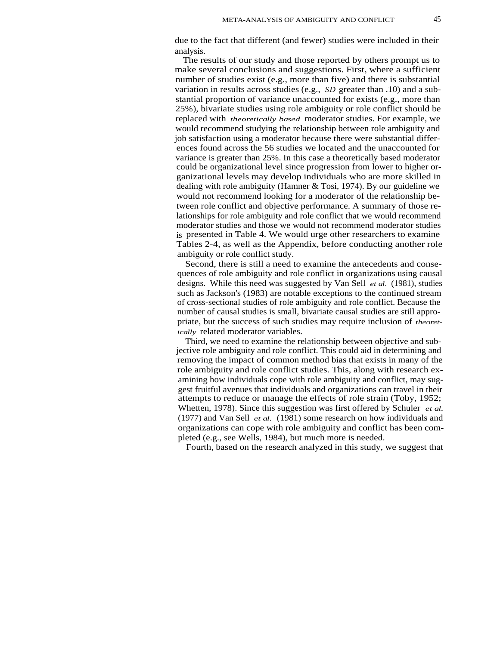due to the fact that different (and fewer) studies were included in their analysis.

The results of our study and those reported by others prompt us to make several conclusions and suggestions. First, where a sufficient number of studies exist (e.g., more than five) and there is substantial variation in results across studies (e.g., *SD* greater than .10) and a substantial proportion of variance unaccounted for exists (e.g., more than 25%), bivariate studies using role ambiguity or role conflict should be replaced with *theoretically based* moderator studies. For example, we would recommend studying the relationship between role ambiguity and job satisfaction using a moderator because there were substantial differences found across the 56 studies we located and the unaccounted for variance is greater than 25%. In this case a theoretically based moderator could be organizational level since progression from lower to higher organizational levels may develop individuals who are more skilled in dealing with role ambiguity (Hamner & Tosi, 1974). By our guideline we would not recommend looking for a moderator of the relationship between role conflict and objective performance. A summary of those relationships for role ambiguity and role conflict that we would recommend moderator studies and those we would not recommend moderator studies is presented in Table 4. We would urge other researchers to examine Tables 2-4, as well as the Appendix, before conducting another role ambiguity or role conflict study.

Second, there is still a need to examine the antecedents and consequences of role ambiguity and role conflict in organizations using causal designs. While this need was suggested by Van Sell *et al.* (1981), studies such as Jackson's (1983) are notable exceptions to the continued stream of cross-sectional studies of role ambiguity and role conflict. Because the number of causal studies is small, bivariate causal studies are still appropriate, but the success of such studies may require inclusion of *theoretically* related moderator variables.

Third, we need to examine the relationship between objective and subjective role ambiguity and role conflict. This could aid in determining and removing the impact of common method bias that exists in many of the role ambiguity and role conflict studies. This, along with research examining how individuals cope with role ambiguity and conflict, may suggest fruitful avenues that individuals and organizations can travel in their attempts to reduce or manage the effects of role strain (Toby, 1952; Whetten, 1978). Since this suggestion was first offered by Schuler *et al.* (1977) and Van Sell *et al.* (1981) some research on how individuals and organizations can cope with role ambiguity and conflict has been completed (e.g., see Wells, 1984), but much more is needed.

Fourth, based on the research analyzed in this study, we suggest that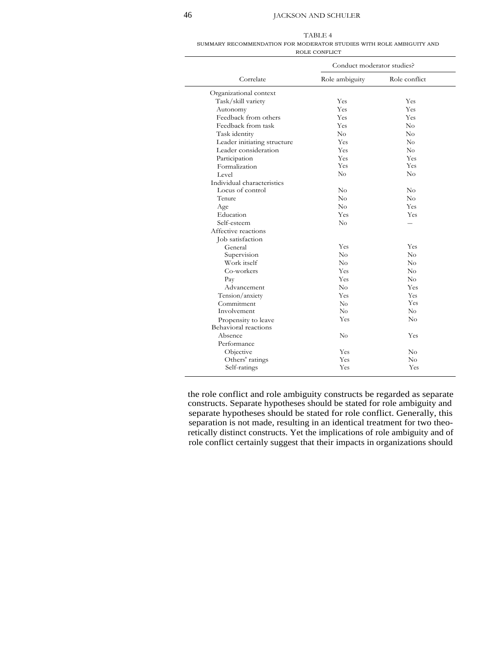### 46 JACKSON AND SCHULER

| ВL |  |
|----|--|
|    |  |

| SUMMARY RECOMMENDATION FOR MODERATOR STUDIES WITH ROLE AMBIGUITY AND |               |  |  |
|----------------------------------------------------------------------|---------------|--|--|
|                                                                      | ROLE CONFLICT |  |  |

|                             | Conduct moderator studies? |               |  |  |  |
|-----------------------------|----------------------------|---------------|--|--|--|
| Correlate                   | Role ambiguity             | Role conflict |  |  |  |
| Organizational context      |                            |               |  |  |  |
| Task/skill variety          | Yes                        | Yes           |  |  |  |
| Autonomy                    | Yes                        | Yes           |  |  |  |
| Feedback from others        | Yes                        | Yes           |  |  |  |
| Feedback from task          | Yes                        | $\rm No$      |  |  |  |
| Task identity               | No                         | $\rm No$      |  |  |  |
| Leader initiating structure | Yes                        | No            |  |  |  |
| Leader consideration        | Yes                        | No            |  |  |  |
| Participation               | Yes                        | Yes           |  |  |  |
| Formalization               | Yes                        | Yes           |  |  |  |
| Level                       | $\rm No$                   | $\rm No$      |  |  |  |
| Individual characteristics  |                            |               |  |  |  |
| Locus of control            | No                         | No            |  |  |  |
| Tenure                      | No                         | No            |  |  |  |
| Age                         | No                         | Yes           |  |  |  |
| Education                   | Yes                        | Yes           |  |  |  |
| Self-esteem                 | No                         |               |  |  |  |
| Affective reactions         |                            |               |  |  |  |
| Job satisfaction            |                            |               |  |  |  |
| General                     | Yes                        | Yes           |  |  |  |
| Supervision                 | $\rm No$                   | $\rm No$      |  |  |  |
| Work itself                 | No                         | $\rm No$      |  |  |  |
| Co-workers                  | <b>Yes</b>                 | No            |  |  |  |
| Pay                         | Yes                        | $\rm No$      |  |  |  |
| Advancement                 | $\rm No$                   | Yes           |  |  |  |
| Tension/anxiety             | Yes                        | Yes           |  |  |  |
| Commitment                  | No                         | Yes           |  |  |  |
| Involvement                 | No                         | No            |  |  |  |
| Propensity to leave         | Yes                        | No            |  |  |  |
| Behavioral reactions        |                            |               |  |  |  |
| Absence                     | $\rm No$                   | Yes           |  |  |  |
| Performance                 |                            |               |  |  |  |
| Objective                   | Yes                        | No            |  |  |  |
| Others' ratings             | Yes                        | No            |  |  |  |
| Self-ratings                | Yes                        | Yes           |  |  |  |

the role conflict and role ambiguity constructs be regarded as separate constructs. Separate hypotheses should be stated for role ambiguity and separate hypotheses should be stated for role conflict. Generally, this separation is not made, resulting in an identical treatment for two theoretically distinct constructs. Yet the implications of role ambiguity and of role conflict certainly suggest that their impacts in organizations should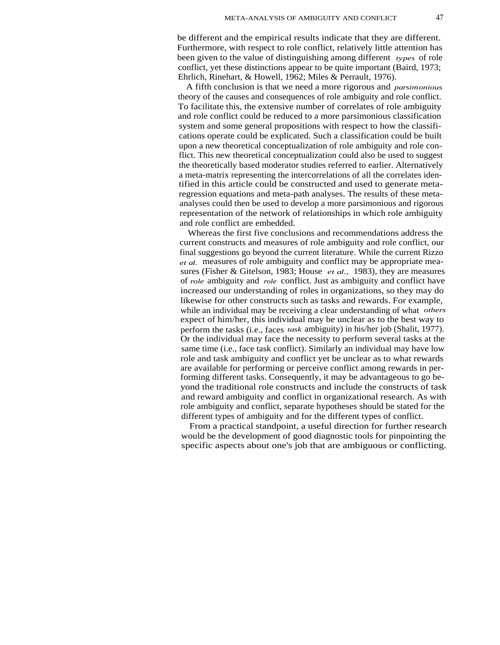be different and the empirical results indicate that they are different. Furthermore, with respect to role conflict, relatively little attention has been given to the value of distinguishing among different *types* of role conflict, yet these distinctions appear to be quite important (Baird, 1973; Ehrlich, Rinehart, & Howell, 1962; Miles & Perrault, 1976).

A fifth conclusion is that we need a more rigorous and *parsimonious* theory of the causes and consequences of role ambiguity and role conflict. To facilitate this, the extensive number of correlates of role ambiguity and role conflict could be reduced to a more parsimonious classification system and some general propositions with respect to how the classifications operate could be explicated. Such a classification could be built upon a new theoretical conceptualization of role ambiguity and role conflict. This new theoretical conceptualization could also be used to suggest the theoretically based moderator studies referred to earlier. Alternatively a meta-matrix representing the intercorrelations of all the correlates identified in this article could be constructed and used to generate metaregression equations and meta-path analyses. The results of these metaanalyses could then be used to develop a more parsimonious and rigorous representation of the network of relationships in which role ambiguity and role conflict are embedded.

Whereas the first five conclusions and recommendations address the current constructs and measures of role ambiguity and role conflict, our final suggestions go beyond the current literature. While the current Rizzo *et al.* measures of role ambiguity and conflict may be appropriate measures (Fisher & Gitelson, 1983; House *et al.,* 1983), they are measures of *role* ambiguity and *role* conflict. Just as ambiguity and conflict have increased our understanding of roles in organizations, so they may do likewise for other constructs such as tasks and rewards. For example, while an individual may be receiving a clear understanding of what *others* expect of him/her, this individual may be unclear as to the best way to perform the tasks (i.e., faces *task* ambiguity) in his/her job (Shalit, 1977). Or the individual may face the necessity to perform several tasks at the same time (i.e., face task conflict). Similarly an individual may have low role and task ambiguity and conflict yet be unclear as to what rewards are available for performing or perceive conflict among rewards in performing different tasks. Consequently, it may be advantageous to go beyond the traditional role constructs and include the constructs of task and reward ambiguity and conflict in organizational research. As with role ambiguity and conflict, separate hypotheses should be stated for the different types of ambiguity and for the different types of conflict.

From a practical standpoint, a useful direction for further research would be the development of good diagnostic tools for pinpointing the specific aspects about one's job that are ambiguous or conflicting.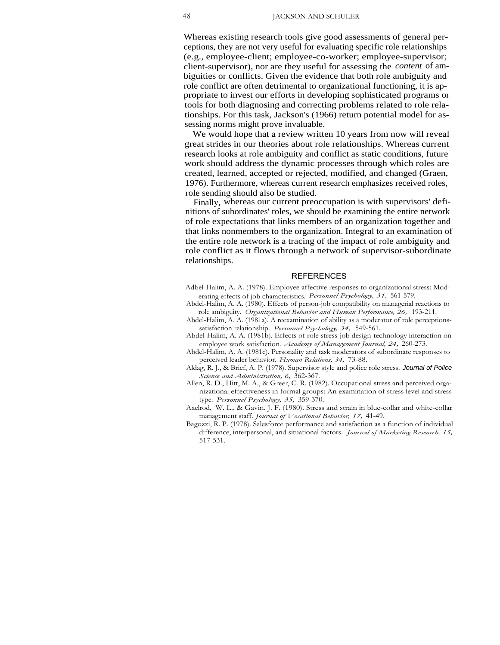Whereas existing research tools give good assessments of general perceptions, they are not very useful for evaluating specific role relationships (e.g., employee-client; employee-co-worker; employee-supervisor; client-supervisor), nor are they useful for assessing the *content* of ambiguities or conflicts. Given the evidence that both role ambiguity and role conflict are often detrimental to organizational functioning, it is appropriate to invest our efforts in developing sophisticated programs or tools for both diagnosing and correcting problems related to role relationships. For this task, Jackson's (1966) return potential model for assessing norms might prove invaluable.

We would hope that a review written 10 years from now will reveal great strides in our theories about role relationships. Whereas current research looks at role ambiguity and conflict as static conditions, future work should address the dynamic processes through which roles are created, learned, accepted or rejected, modified, and changed (Graen, 1976). Furthermore, whereas current research emphasizes received roles, role sending should also be studied.

Finally, whereas our current preoccupation is with supervisors' definitions of subordinates' roles, we should be examining the entire network of role expectations that links members of an organization together and that links nonmembers to the organization. Integral to an examination of the entire role network is a tracing of the impact of role ambiguity and role conflict as it flows through a network of supervisor-subordinate relationships.

#### REFERENCES

- Adbel-Halim, A. A. (1978). Employee affective responses to organizational stress: Moderating effects of job characteristics. *Personnel Psychology, 31,* 561-579.
- Abdel-Halim, A. A. (1980). Effects of person-job compatibility on managerial reactions to role ambiguity. *Organizational Behavior and Human Performance, 26,* 193-211.
- Abdel-Halim, A. A. (1981a). A reexamination of ability as a moderator of role perceptionssatisfaction relationship. *Personnel Psychology, 34,* 549-561.
- Abdel-Halim, A. A. (1981b). Effects of role stress-job design-technology interaction on employee work satisfaction. *Academy of Management Journal, 24,* 260-273.
- Abdel-Halim, A. A. (1981c). Personality and task moderators of subordinate responses to perceived leader behavior. *Human Relations, 34,* 73-88.
- Aldag, R. J., & Brief, A. P. (1978). Supervisor style and police role stress. Journal of Police *Science and Administration, 6,* 362-367.
- Allen, R. D., Hitt, M. A., & Greer, C. R. (1982). Occupational stress and perceived organizational effectiveness in formal groups: An examination of stress level and stress type. *Personnel Psychology, 35,* 359-370.
- Axelrod, W. L., & Gavin, J. F. (1980). Stress and strain in blue-collar and white-collar management staff. *Journal of Vocational Behavior, 17,* 41-49.
- Bagozzi, R. P. (1978). Salesforce performance and satisfaction as a function of individual difference, interpersonal, and situational factors. *Journal of Marketing Research, 15,* 517-531.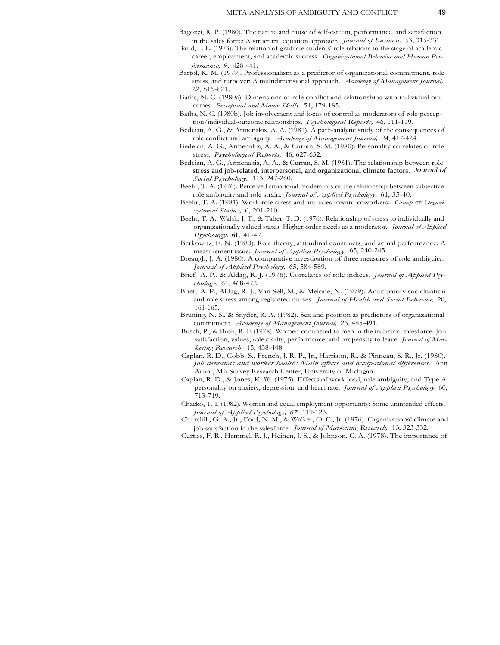- Bagozzi, R. P. (1980). The nature and cause of self-esteem, performance, and satisfaction in the sales force: A structural equation approach. *Journal of Business,* 53, 315-331.
- Baird, L. L. (1973). The relation of graduate students' role relations to the stage of academic career, employment, and academic success. *Organizational Behavior and Human Performance, 9,* 428-441.
- Bartol, K. M. (1979). Professionalism as a predictor of organizational commitment, role stress, and turnover: A multidimensional approach. *Academy of Management Journal,* 22, 815-821.
- Baths, N. C. (1980a). Dimensions of role conflict and relationships with individual outcomes. *Perceptual and Motor Skills,* 51, 179-185.
- Baths, N. C. (1980b). Job involvement and locus of control as moderators of role-perception/individual-outcome relationships. *Psychological Reports,* 46, 111-119.
- Bedeian, A. G., & Armenakis, A. A. (1981). A path-analytic study of the consequences of role conflict and ambiguity. *Academy of Management Journal,* 24, 417-424.
- Bedeian, A. G., Armenakis, A. A., & Curran, S. M. (1980). Personality correlates of role stress. *Psychological Reports,* 46, 627-632.
- Bedeian, A. G., Armenakis, A. A., & Curran, S. M. (1981). The relationship between role stress and job-related, interpersonal, and organizational climate factors. *Journal of Social Psychology,* 113, 247-260.
- Beehr, T. A. (1976). Perceived situational moderators of the relationship between subjective role ambiguity and role strain. *Journal of Applied Psychology,* 61, 35-40.
- Beehr, T. A. (1981). Work-role stress and attitudes toward coworkers. *Group & Organizational Studies,* 6, 201-210.
- Beehr, T. A., Walsh, J. T., & Taber, T. D. (1976). Relationship of stress to individually and organizationally valued states: Higher order needs as a moderator. *Journal of Applied Psychology,* **61,** 41-47.
- Berkowitz, E. N. (1980). Role theory, attitudinal constructs, and actual performance: A measurement issue. *Journal of Applied Psychology,* 65, 240-245.
- Breaugh, J. A. (1980). A comparative investigation of three measures of role ambiguity. *Journal of Applied Psychology,* 65, 584-589.
- Brief, A. P., & Aldag, R. J. (1976). Correlates of role indices. *Journal of Applied Psychology,* 61, 468-472.
- Brief, A. P., Aldag, R. J., Van Sell, M., & Melone, N. (1979). Anticipatory socialization and role stress among registered nurses. *Journal of Health and Social Behavior,* 20, 161-165.
- Bruning, N. S., & Snyder, R. A. (1982). Sex and position as predictors of organizational commitment. *Academy of Management Journal,* 26, 485-491.
- Busch, P., & Bush, R. E (1978). Women contrasted to men in the industrial salesforce: Job satisfaction, values, role clarity, performance, and propensity to leave. *Journal of Marketing Research,* 15, 438-448.
- Caplan, R. D., Cobb, S., French, J. R. P., Jr., Harrison, R., & Pinneau, S. R., Jr. (1980). *Job demands and worker health: Main effects and occupational differences.* Ann Arbor, MI: Survey Research Center, University of Michigan.
- Caplan, R. D., & Jones, K. W. (1975). Effects of work load, role ambiguity, and Type A personality on anxiety, depression, and heart rate. *Journal of Applied Psychology,* 60, 713-719.
- Chacko, T. I. (1982). Women and equal employment opportunity: Some unintended effects. *Journal of Applied Psychology, 67,* 119-123.
- Churchill, G. A., Jr., Ford, N. M., & Walker, O. C., Jr. (1976). Organizational climate and job satisfaction in the salesforce. *Journal of Marketing Research,* 13, 323-332.
- Curtiss, F. R., Hammel, R. J., Heinen, J. S., & Johnson, C. A. (1978). The importance of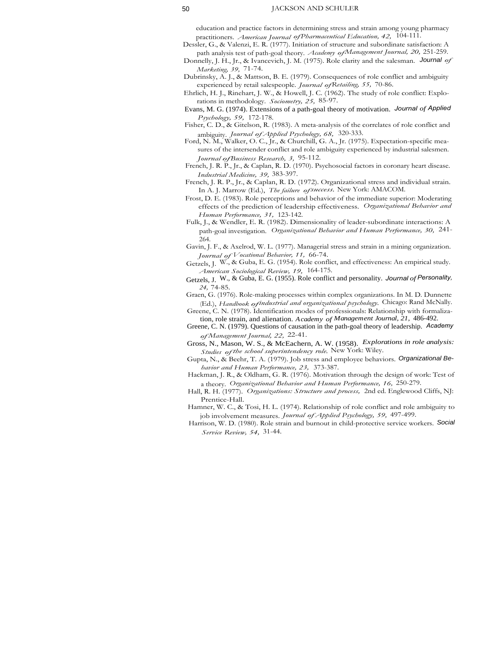#### 50 JACKSON AND SCHULER

education and practice factors in determining stress and strain among young pharmacy practitioners. *American Journal ofPharmaceutical Education, 42,* 104-111.

Dessler, G., & Valenzi, E. R. (1977). Initiation of structure and subordinate satisfaction: A path analysis test of path-goal theory. *Academy ofManagement Journal, 20,* 251-259.

Donnelly, J. H., Jr., & Ivancevich, J. M. (1975). Role clarity and the salesman. Journal *of Marketing, 39,* 71-74.

Dubrinsky, A. J., & Mattson, B. E. (1979). Consequences of role conflict and ambiguity experienced by retail salespeople. *Journal ofRetailing, 55,* 70-86.

Ehrlich, H. J., Rinehart, J. W., & Howell, J. C. (1962). The study of role conflict: Explorations in methodology. *Sociometry, 25,* 85-97.

Evans, M. G. (1974). Extensions of a path-goal theory of motivation. *Journal of Applied Psychology, 59,* 172-178.

Fisher, C. D., & Gitelson, R. (1983). A meta-analysis of the correlates of role conflict and ambiguity. *Journal of Applied Psychology, 68,* 320-333.

Ford, N. M., Walker, O. C., Jr., & Churchill, G. A., Jr. (1975). Expectation-specific measures of the intersender conflict and role ambiguity experienced by industrial salesmen. *JournalofBusiness Research, 3,* 95-112.

French, J. R. P., Jr., & Caplan, R. D. (1970). Psychosocial factors in coronary heart disease. *Industrial Medicine, 39,* 383-397.

French, J. R. P., Jr., & Caplan, R. D. (1972). Organizational stress and individual strain. In A. J. Marrow (Ed.), *The failure ofsuccess.* New York: AMACOM.

Frost, D. E. (1983). Role perceptions and behavior of the immediate superior: Moderating effects of the prediction of leadership effectiveness. *Organizational Behavior and Human Performance, 31,* 123-142.

Fulk, J., & Wendler, E. R. (1982). Dimensionality of leader-subordinate interactions: A path-goal investigation. *Organizational Behavior and Human Performance, 30,* 241- 264.

Gavin, J. F., & Axelrod, W. L. (1977). Managerial stress and strain in a mining organization. *Journal of Vocational Behavior, 11,* 66-74.

Getzels, J. W., & Guba, E. G. (1954). Role conflict, and effectiveness: An empirical study. *American Sociological Review, 19,* 164-175.

Getzels, J. W., & Guba, E. G. (1955). Role conflict and personality. *Journal ofPersonality, 24,* 74-85.

Graen, G. (1976). Role-making processes within complex organizations. In M. D. Dunnette (Ed.), *Handbook ofindustrial and organizational psychology.* Chicago: Rand McNally.

Greene, C. N. (1978). Identification modes of professionals: Relationship with formalization, role strain, and alienation. *Academy of Management Journal, 21,* 486-492.

Greene, C. N. (1979). Questions of causation in the path-goal theory of leadership. *Academy of Management Journal, 22,* 22-41.

Gross, N., Mason, W. S., & McEachern, A. W. (1958). *Explorations in role analysis: Studies of the school superintendency role.* New York: Wiley.

Gupta, N., & Beehr, T. A. (1979). Job stress and employee behaviors. Organizational Be*havior and Human Performance, 23,* 373-387.

Hackman, J. R., & Oldham, G. R. (1976). Motivation through the design of work: Test of a theory. *Organizational Behavior and Human Performance, 16,* 250-279.

Hall, R. H. (1977). *Organizations: Structure and process,* 2nd ed. Englewood Cliffs, NJ: Prentice-Hall.

Hamner, W. C., & Tosi, H. L. (1974). Relationship of role conflict and role ambiguity to job involvement measures. *Journal of Applied Psychology, 59,* 497-499.

Harrison, W. D. (1980). Role strain and burnout in child-protective service workers. Social *Service Review, 54,* 31-44.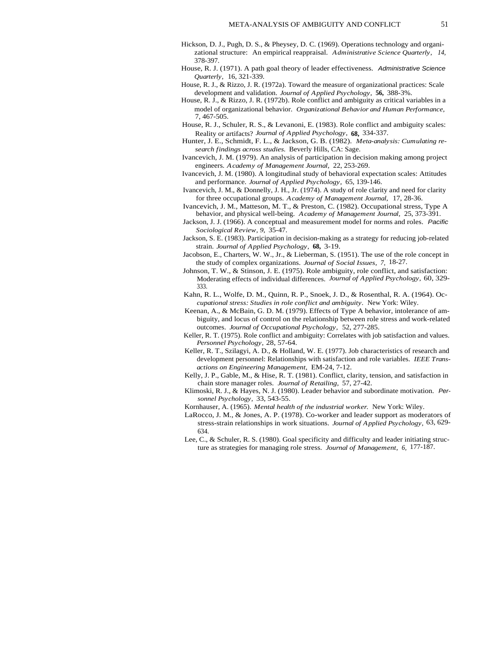- Hickson, D. J., Pugh, D. S., & Pheysey, D. C. (1969). Operations technology and organizational structure: An empirical reappraisal. *Administrative Science Quarterly, 14,* 378-397.
- House, R. J. (1971). A path goal theory of leader effectiveness. Administrative Science *Quarterly,* 16, 321-339.
- House, R. J., & Rizzo, J. R. (1972a). Toward the measure of organizational practices: Scale development and validation. *Journal of Applied Psychology,* **56,** 388-3%.
- House, R. J., & Rizzo, J. R. (1972b). Role conflict and ambiguity as critical variables in a model of organizational behavior. *Organizational Behavior and Human Performance,* 7, 467-505.
- House, R. J., Schuler, R. S., & Levanoni, E. (1983). Role conflict and ambiguity scales: Reality or artifacts? *Journal of Applied Psychology,* **68,** 334-337.
- Hunter, J. E., Schmidt, F. L., & Jackson, G. B. (1982). *Meta-analysis: Cumulating research findings across studies.* Beverly Hills, CA: Sage.
- Ivancevich, J. M. (1979). An analysis of participation in decision making among project engineers. *Academy of Management Journal,* 22, 253-269.
- Ivancevich, J. M. (1980). A longitudinal study of behavioral expectation scales: Attitudes and performance. *Journal of Applied Psychology,* 65, 139-146.
- Ivancevich, J. M., & Donnelly, J. H., Jr. (1974). A study of role clarity and need for clarity for three occupational groups. *Academy of Management Journal,* 17, 28-36.
- Ivancevich, J. M., Matteson, M. T., & Preston, C. (1982). Occupational stress, Type A behavior, and physical well-being. *Academy of Management Journal,* 25, 373-391.
- Jackson, J. J. (1966). A conceptual and measurement model for norms and roles. Pacific *Sociological Review, 9,* 35-47.
- Jackson, S. E. (1983). Participation in decision-making as a strategy for reducing job-related strain. *Journal of Applied Psychology,* **68,** 3-19.
- Jacobson, E., Charters, W. W., Jr., & Lieberman, S. (1951). The use of the role concept in the study of complex organizations. *Journal of Social Issues, 7,* 18-27.
- Johnson, T. W., & Stinson, J. E. (1975). Role ambiguity, role conflict, and satisfaction: Moderating effects of individual differences. *Journal of Applied Psychology,* 60, 329- 333.
- Kahn, R. L., Wolfe, D. M., Quinn, R. P., Snoek, J. D., & Rosenthal, R. A. (1964). Oc*cupational stress: Studies in role conflict and ambiguity.* New York: Wiley.
- Keenan, A., & McBain, G. D. M. (1979). Effects of Type A behavior, intolerance of ambiguity, and locus of control on the relationship between role stress and work-related outcomes. *Journal of Occupational Psychology,* 52, 277-285.
- Keller, R. T. (1975). Role conflict and ambiguity: Correlates with job satisfaction and values. *Personnel Psychology,* 28, 57-64.
- Keller, R. T., Szilagyi, A. D., & Holland, W. E. (1977). Job characteristics of research and development personnel: Relationships with satisfaction and role variables. *IEEE Transactions on Engineering Management,* EM-24, 7-12.
- Kelly, J. P., Gable, M., & Hise, R. T. (1981). Conflict, clarity, tension, and satisfaction in chain store manager roles. *Journal of Retailing,* 57, 27-42.
- Klimoski, R. J., & Hayes, N. J. (1980). Leader behavior and subordinate motivation. Per*sonnel Psychology,* 33, 543-55.
- Kornhauser, A. (1965). *Mental health of the industrial worker.* New York: Wiley.
- LaRocco, J. M., & Jones, A. P. (1978). Co-worker and leader support as moderators of stress-strain relationships in work situations. *Journal of Applied Psychology,* 63, 629- 634.
- Lee, C., & Schuler, R. S. (1980). Goal specificity and difficulty and leader initiating structure as strategies for managing role stress. *Journal of Management, 6,* 177-187.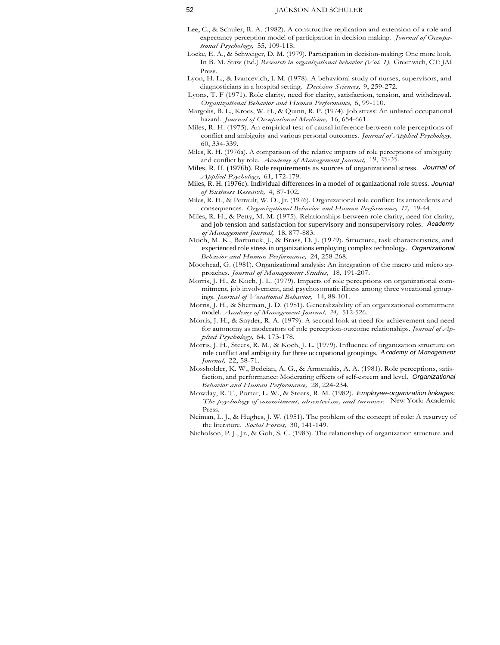- Lee, C., & Schuler, R. A. (1982). A constructive replication and extension of a role and expectancy perception model of participation in decision making. *Journal of Occupational Psychology,* 55, 109-118.
- Locke, E. A., & Schweiger, D. M. (1979). Participation in decision-making: One more look. In B. M. Staw (Ed.) *Research in organizational behavior (Vol. 1).* Greenwich, CT: JAI Press.
- Lyon, H. L., & Ivancevich, J. M. (1978). A behavioral study of nurses, supervisors, and diagnosticians in a hospital setting. *Decision Sciences,* 9, 259-272.
- Lyons, T. F (1971). Role clarity, need for clarity, satisfaction, tension, and withdrawal. *Organizational Behavior and Human Performance,* 6, 99-110.
- Margolis, B. L., Kroes, W. H., & Quinn, R. P. (1974). Job stress: An unlisted occupational hazard. *Journal of Occupational Medicine,* 16, 654-661.
- Miles, R. H. (1975). An empirical test of causal inference between role perceptions of conflict and ambiguity and various personal outcomes. *Journal of Applied Psychology,* 60, 334-339.
- Miles, R. H. (1976a). A comparison of the relative impacts of role perceptions of ambiguity and conflict by role. *Academy of Management Journal,* 19, 25-35.
- Miles, R. H. (1976b). Role requirements as sources of organizational stress. *Journal of Applied Psychology,* 61, 172-179.
- Miles, R. H. (1976c). Individual differences in a model of organizational role stress. *Journal of Business Research,* 4, 87-102.
- Miles, R. H., & Perrault, W. D., Jr. (1976). Organizational role conflict: Its antecedents and consequences. *Organizational Behavior and Human Performance, 17,* 19-44.
- Miles, R. H., & Petty, M. M. (1975). Relationships between role clarity, need for clarity, and job tension and satisfaction for supervisory and nonsupervisory roles. *Academy of Management Journal,* 18, 877-883.
- Moch, M. K., Bartunek, J., & Brass, D. J. (1979). Structure, task characteristics, and experienced role stress in organizations employing complex technology. *Organizational Behavior and Human Performance,* 24, 258-268.
- Moorhead, G. (1981). Organizational analysis: An integration of the macro and micro approaches. *Journal of Management Studies,* 18, 191-207.
- Morris, J. H., & Koch, J. L. (1979). Impacts of role perceptions on organizational commitment, job involvement, and psychosomatic illness among three vocational groupings. *Journal of Vocational Behavior,* 14, 88-101.
- Morris, J. H., & Sherman, J. D. (1981). Generalizability of an organizational commitment model. *Academy of Management Journal, 24,* 512-526.
- Morris, J. H., & Snyder, R. A. (1979). A second look at need for achievement and need for autonomy as moderators of role perception-outcome relationships. *Journal of Applied Psychology,* 64, 173-178.
- Morris, J. H., Steers, R. M., & Koch, J. L. (1979). Influence of organization structure on role conflict and ambiguity for three occupational groupings. *Academy of Management Journal,* 22, 58-71.
- Mossholder, K. W., Bedeian, A. G., & Armenakis, A. A. (1981). Role perceptions, satisfaction, and performance: Moderating effects of self-esteem and level. Organizational *Behavior and Human Performance,* 28, 224-234.
- Mowday, R. T., Porter, L. W., & Steers, R. M. (1982). Employee-organization linkages: *The psychology of commitment, absenteeism, and turnover.* New York: Academic Press.
- Neiman, L. J., & Hughes, J. W. (1951). The problem of the concept of role: A resurvey of the literature. *Social Forces,* 30, 141-149.
- Nicholson, P. J., Jr., & Goh, S. C. (1983). The relationship of organization structure and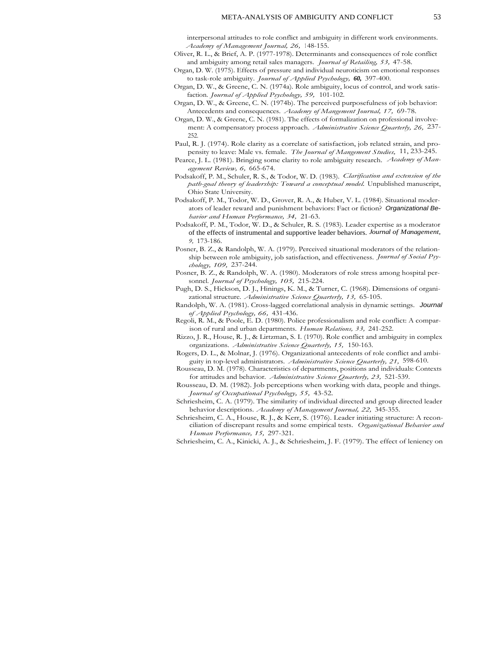interpersonal attitudes to role conflict and ambiguity in different work environments. *Academy of Management Journal, 26,* <sup>1</sup> 48-155.

- Oliver, R. L., & Brief, A. P. (1977-1978). Determinants and consequences of role conflict and ambiguity among retail sales managers. *Journal of Retailing, 53,* 47-58.
- Organ, D. W. (1975). Effects of pressure and individual neuroticism on emotional responses to task-role ambiguity. *Journal of Applied Psychology, 60,* 397-400.
- Organ, D. W., & Greene, C. N. (1974a). Role ambiguity, locus of control, and work satisfaction. *Journal of Applied Psychology, 59,* 101-102.
- Organ, D. W., & Greene, C. N. (1974b). The perceived purposefulness of job behavior: Antecedents and consequences. *Academy of Mangement Journal, 17,* 69-78.
- Organ, D. W., & Greene, C. N. (1981). The effects of formalization on professional involvement: A compensatory process approach. *Administrative Science Quarterly, 26,* 237- 252.
- Paul, R. J. (1974). Role clarity as a correlate of satisfaction, job related strain, and propensity to leave: Male vs. female. *The Journal of Mangement Studies,* 11, 233-245.
- Pearce, J. L. (1981). Bringing some clarity to role ambiguity research. *Academy of Management Review, 6,* 665-674.
- Podsakoff, P. M., Schuler, R. S., & Todor, W. D. (1983). *Clarification and extension of the path-goal theory of leadership: Toward a conceptual model.* Unpublished manuscript, Ohio State University.
- Podsakoff, P. M., Todor, W. D., Grover, R. A., & Huber, V. L. (1984). Situational moderators of leader reward and punishment behaviors: Fact or fiction? Organizational Be*havior and Human Performance, 34,* 21-63.
- Podsakoff, P. M., Todor, W. D., & Schuler, R. S. (1983). Leader expertise as a moderator of the effects of instrumental and supportive leader behaviors. *Journal of Management, 9,* 173-186.
- Posner, B. Z., & Randolph, W. A. (1979). Perceived situational moderators of the relationship between role ambiguity, job satisfaction, and effectiveness. *Journal of Social Psychology, 109,* 237-244.
- Posner, B. Z., & Randolph, W. A. (1980). Moderators of role stress among hospital personnel. *Journal of Psychology, 105,* 215-224.
- Pugh, D. S., Hickson, D. J., Hinings, K. M., & Turner, C. (1968). Dimensions of organizational structure. *Administrative Science Quarterly, 13,* 65-105.

Randolph, W. A. (1981). Cross-lagged correlational analysis in dynamic settings. Journal *of Applied Psychology, 66,* 431-436.

- Regoli, R. M., & Poole, E. D. (1980). Police professionalism and role conflict: A comparison of rural and urban departments. *Human Relations, 33,* 241-252.
- Rizzo, J. R., House, R. J., & Lirtzman, S. I. (1970). Role conflict and ambiguity in complex organizations. *Administrative Science Quarterly, 15,* 150-163.
- Rogers, D. L., & Molnar, J. (1976). Organizational antecedents of role conflict and ambiguity in top-level administrators. *Administrative Science Quarterly, 21,* 598-610.
- Rousseau, D. M. (1978). Characteristics of departments, positions and individuals: Contexts for attitudes and behavior. *Administrative Science Quarterly, 23,* 521-539.
- Rousseau, D. M. (1982). Job perceptions when working with data, people and things. *Journal of Occupational Psychology, 55,* 43-52.
- Schriesheim, C. A. (1979). The similarity of individual directed and group directed leader behavior descriptions. *Academy of Management Journal, 22,* 345-355.
- Schriesheim, C. A., House, R. J., & Kerr, S. (1976). Leader initiating structure: A reconciliation of discrepant results and some empirical tests. *Organizational Behavior and Human Performance, 15,* 297-321.
- Schriesheim, C. A., Kinicki, A. J., & Schriesheim, J. F. (1979). The effect of leniency on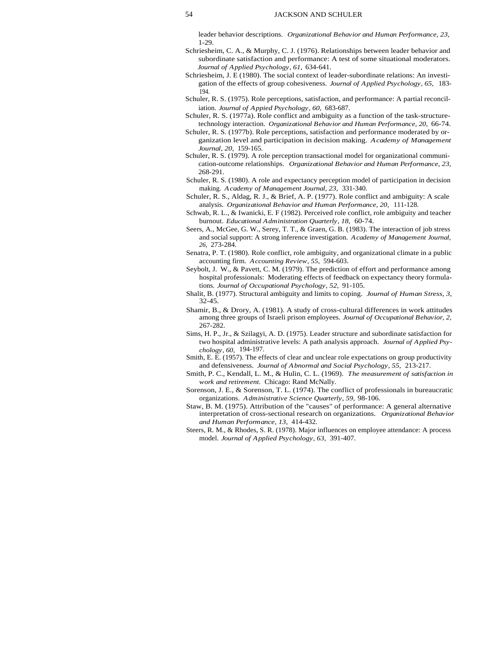leader behavior descriptions. *Organizational Behavior and Human Performance, 23,* 1-29.

- Schriesheim, C. A., & Murphy, C. J. (1976). Relationships between leader behavior and subordinate satisfaction and performance: A test of some situational moderators. *Journal of Applied Psychology, 61,* 634-641.
- Schriesheim, J. E (1980). The social context of leader-subordinate relations: An investigation of the effects of group cohesiveness. *Journal of Applied Psychology, 65,* 183- 194.
- Schuler, R. S. (1975). Role perceptions, satisfaction, and performance: A partial reconciliation. *Journal of Appied Psychology, 60,* 683-687.
- Schuler, R. S. (1977a). Role conflict and ambiguity as a function of the task-structuretechnology interaction. *Organizational Behavior and Human Performance, 20,* 66-74.
- Schuler, R. S. (1977b). Role perceptions, satisfaction and performance moderated by organization level and participation in decision making. *Academy of Management Journal, 20,* 159-165.
- Schuler, R. S. (1979). A role perception transactional model for organizational communication-outcome relationships. *Organizational Behavior and Human Performance, 23,* 268-291.
- Schuler, R. S. (1980). A role and expectancy perception model of participation in decision making. *Academy of Management Journal, 23,* 331-340.
- Schuler, R. S., Aldag, R. J., & Brief, A. P. (1977). Role conflict and ambiguity: A scale analysis. *Organizational Behavior and Human Performance, 20,* 111-128.
- Schwab, R. L., & Iwanicki, E. F (1982). Perceived role conflict, role ambiguity and teacher burnout. *Educational Administration Quarterly, 18,* 60-74.
- Seers, A., McGee, G. W., Serey, T. T., & Graen, G. B. (1983). The interaction of job stress and social support: A strong inference investigation. *Academy of Management Journal, 26,* 273-284.
- Senatra, P. T. (1980). Role conflict, role ambiguity, and organizational climate in a public accounting firm. *Accounting Review, 55,* 594-603.
- Seybolt, J. W., & Pavett, C. M. (1979). The prediction of effort and performance among hospital professionals: Moderating effects of feedback on expectancy theory formulations. *Journal of Occupational Psychology, 52,* 91-105.
- Shalit, B. (1977). Structural ambiguity and limits to coping. *Journal of Human Stress, 3,* 32-45.
- Shamir, B., & Drory, A. (1981). A study of cross-cultural differences in work attitudes among three groups of Israeli prison employees. *Journal of Occupational Behavior, 2,* 267-282.
- Sims, H. P., Jr., & Szilagyi, A. D. (1975). Leader structure and subordinate satisfaction for two hospital administrative levels: A path analysis approach. *Journal of Applied Psychology, 60,* 194-197.
- Smith, E. E. (1957). The effects of clear and unclear role expectations on group productivity and defensiveness. *Journal of Abnormal and Social Psychology, 55,* 213-217.
- Smith, P. C., Kendall, L. M., & Hulin, C. L. (1969). *The measurement of satisfaction in work and retirement.* Chicago: Rand McNally.
- Sorenson, J. E., & Sorenson, T. L. (1974). The conflict of professionals in bureaucratic organizations. *Administrative Science Quarterly, 59,* 98-106.
- Staw, B. M. (1975). Attribution of the "causes" of performance: A general alternative interpretation of cross-sectional research on organizations. *Organizational Behavior and Human Performance, 13,* 414-432.
- Steers, R. M., & Rhodes, S. R. (1978). Major influences on employee attendance: A process model. *Journal of Applied Psychology, 63,* 391-407.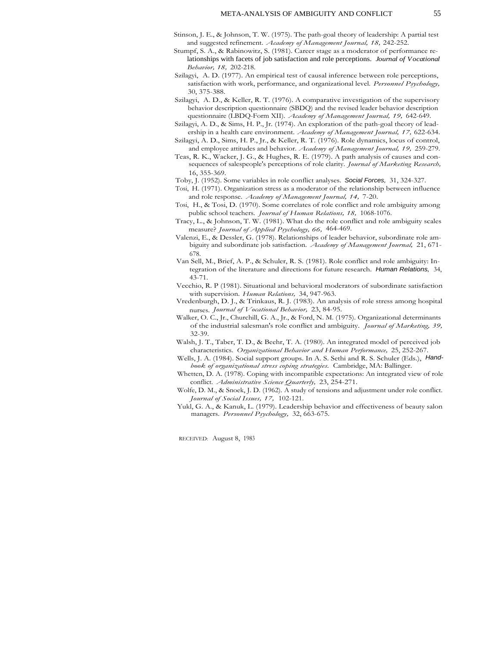- Stinson, J. E., & Johnson, T. W. (1975). The path-goal theory of leadership: A partial test and suggested refinement. *Academy of Management Journal, 18,* 242-252.
- Stumpf, S. A., & Rabinowitz, S. (1981). Career stage as a moderator of performance relationships with facets of job satisfaction and role perceptions. *Journal of Vocational Behavior, 18,* 202-218.
- Szilagyi, A. D. (1977). An empirical test of causal inference between role perceptions, satisfaction with work, performance, and organizational level. *Personnel Psychology,* 30, 375-388.
- Szilagyi, A. D., & Keller, R. T. (1976). A comparative investigation of the supervisory behavior description questionnaire (SBDQ) and the revised leader behavior description questionnaire (LBDQ-Form XII). *Academy of Management Journal, 19,* 642-649.

Szilagyi, A. D., & Sims, H. P., Jr. (1974). An exploration of the path-goal theory of leadership in a health care environment. *Academy of Management Journal, 17,* 622-634.

Szilagyi, A. D., Sims, H. P., Jr., & Keller, R. T. (1976). Role dynamics, locus of control, and employee attitudes and behavior. *Academy of Management Journal, 19,* 259-279.

- Teas, R. K., Wacker, J. G., & Hughes, R. E. (1979). A path analysis of causes and consequences of salespeople's perceptions of role clarity. *Journal of Marketing Research,* 16, 355-369.
- Toby, J. (1952). Some variables in role conflict analyses. Social Forces, 31, 324-327.
- Tosi, H. (1971). Organization stress as a moderator of the relationship between influence and role response. *Academy of Management Journal, 14,* 7-20.
- Tosi, H., & Tosi, D. (1970). Some correlates of role conflict and role ambiguity among public school teachers. *Journal of Human Relations, 18,* 1068-1076.
- Tracy, L., & Johnson, T. W. (1981). What do the role conflict and role ambiguity scales measure? *Journal of Applied Psychology, 66,* 464-469.
- Valenzi, E., & Dessler, G. (1978). Relationships of leader behavior, subordinate role ambiguity and subordinate job satisfaction. *Academy of Management Journal,* 21, 671- 678.
- Van Sell, M., Brief, A. P., & Schuler, R. S. (1981). Role conflict and role ambiguity: Integration of the literature and directions for future research. Human Relations, 34, 43-71.
- Vecchio, R. P (1981). Situational and behavioral moderators of subordinate satisfaction with supervision. *Human Relations,* 34, 947-963.
- Vredenburgh, D. J., & Trinkaus, R. J. (1983). An analysis of role stress among hospital nurses. *Journal of Vocational Behavior,* 23, 84-95.
- Walker, O. C., Jr., Churchill, G. A., Jr., & Ford, N. M. (1975). Organizational determinants of the industrial salesman's role conflict and ambiguity. *Journal of Marketing, 39,* 32-39.
- Walsh, J. T., Taber, T. D., & Beehr, T. A. (1980). An integrated model of perceived job characteristics. *Organizational Behavior and Human Performance,* 25, 252-267.
- Wells, J. A. (1984). Social support groups. In A. S. Sethi and R. S. Schuler (Eds.), Hand*book of organizational stress coping strategies.* Cambridge, MA: Ballinger.
- Whetten, D. A. (1978). Coping with incompatible expectations: An integrated view of role conflict. *Administrative Science Quarterly,* 23, 254-271.
- Wolfe, D. M., & Snoek, J. D. (1962). A study of tensions and adjustment under role conflict. *Journal of Social Issues, 17,* 102-121.
- Yukl, G. A., & Kanuk, L. (1979). Leadership behavior and effectiveness of beauty salon managers. *Personnel Psychology,* 32, 663-675.

RECEIVED: August 8, 1983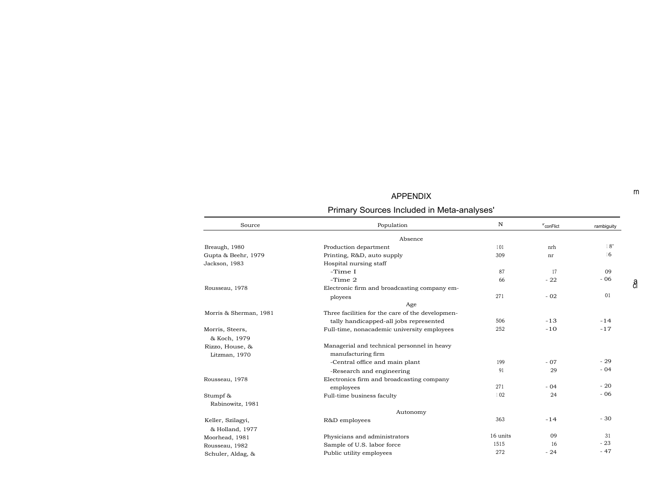# APPENDIX

| Primary Sources Included in Meta-analyses' |
|--------------------------------------------|
|--------------------------------------------|

| Source                 | Population                                       | N        | ${}^{\mathbf{r}}$ conFlict | rambiguity |
|------------------------|--------------------------------------------------|----------|----------------------------|------------|
|                        | Absence                                          |          |                            |            |
| Breaugh, 1980          | Production department                            | 101      | nrh                        | 18"        |
| Gupta & Beehr, 1979    | Printing, R&D, auto supply                       | 309      | nr                         | 16         |
| Jackson, 1983          | Hospital nursing staff                           |          |                            |            |
|                        | -Time I                                          | 87       | 17                         | 09         |
|                        | $-Time2$                                         | 66       | $-22$                      | $-06$      |
| Rousseau, 1978         | Electronic firm and broadcasting company em-     |          |                            |            |
|                        | ployees                                          | 271      | $-02$                      | 01         |
|                        | Age                                              |          |                            |            |
| Morris & Sherman, 1981 | Three facilities for the care of the developmen- |          |                            |            |
|                        | tally handicapped-all jobs represented           | 506      | $-13$                      | $-14$      |
| Morris, Steers,        | Full-time, nonacademic university employees      | 252      | $-10$                      | $-17$      |
| & Koch, 1979           |                                                  |          |                            |            |
| Rizzo, House, &        | Managerial and technical personnel in heavy      |          |                            |            |
| Litzman, 1970          | manufacturing firm                               |          |                            |            |
|                        | -Central office and main plant                   | 199      | $-07$                      | $-29$      |
|                        | -Research and engineering                        | 91       | 29                         | $-04$      |
| Rousseau, 1978         | Electronics firm and broadcasting company        |          |                            |            |
|                        | employees                                        | 271      | $-04$                      | $-20$      |
| Stumpf &               | Full-time business faculty                       | 102      | 24                         | $-06$      |
| Rabinowitz, 1981       |                                                  |          |                            |            |
|                        | Autonomy                                         |          |                            |            |
| Keller, Szilagyi,      | R&D employees                                    | 363      | $-14$                      | $-30$      |
| & Holland, 1977        |                                                  |          |                            |            |
| Moorhead, 1981         | Physicians and administrators                    | 16 units | 09                         | 31         |
| Rousseau, 1982         | Sample of U.S. labor force                       | 1515     | 16                         | $-23$      |
| Schuler, Aldag, &      | Public utility employees                         | 272      | $-24$                      | $-47$      |

rn

a ci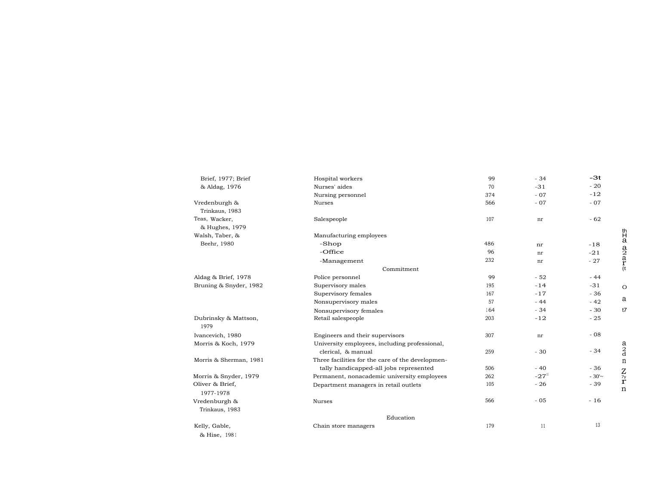| Brief, 1977; Brief           | Hospital workers                                 | 99  | $-34$   | $-3t$    |                                      |
|------------------------------|--------------------------------------------------|-----|---------|----------|--------------------------------------|
| & Aldag, 1976                | Nurses' aides                                    | 70  | $-31$   | $-20$    |                                      |
|                              | Nursing personnel                                | 374 | $-07$   | $-12$    |                                      |
| Vredenburgh &                | Nurses                                           | 566 | $-07$   | $-07$    |                                      |
| Trinkaus, 1983               |                                                  |     |         |          |                                      |
| Teas, Wacker.                | Salespeople                                      | 107 | nr      | $-62$    |                                      |
| & Hughes, 1979               |                                                  |     |         |          |                                      |
| Walsh, Taber, &              | Manufacturing employees                          |     |         |          | $\frac{th}{a}$                       |
| Beehr, 1980                  | -Shop                                            | 486 | nr      | $-18$    |                                      |
|                              | -Office                                          | 96  | nr      | $-21$    |                                      |
|                              | -Management                                      | 232 | nr      | $-27$    | $a_2$ <sub>a</sub> $r$ <sub>(t</sub> |
|                              | Commitment                                       |     |         |          |                                      |
| Aldag & Brief, 1978          | Police personnel                                 | 99  | $-52$   | $-44$    |                                      |
| Bruning & Snyder, 1982       | Supervisory males                                | 195 | $-14$   | $-31$    | $\circ$                              |
|                              | Supervisory females                              | 167 | $-17$   | $-36$    |                                      |
|                              | Nonsupervisory males                             | 57  | $-44$   | $-42$    | a                                    |
|                              | Nonsupervisory females                           | 164 | $-34$   | $-30$    | t7                                   |
| Dubrinsky & Mattson,<br>1979 | Retail salespeople                               | 203 | $-12$   | $-25$    |                                      |
| Ivancevich, 1980             | Engineers and their supervisors                  | 307 | nr      | $-08$    |                                      |
| Morris & Koch, 1979          | University employees, including professional,    |     |         |          |                                      |
|                              | clerical, & manual                               | 259 | $-30$   | $-34$    | $a_2$ <sub>d</sub>                   |
| Morris & Sherman, 1981       | Three facilities for the care of the developmen- |     |         |          | $\mathbf n$                          |
|                              | tally handicapped-all jobs represented           | 506 | $-40$   | $-36$    |                                      |
| Morris & Snyder, 1979        | Permanent, nonacademic university employees      | 262 | $-2711$ | $-30'$ ~ | $\frac{Z}{r}$                        |
| Oliver & Brief,              | Department managers in retail outlets            | 105 | $-26$   | $-39$    | $\mathbf n$                          |
| 1977-1978                    |                                                  |     |         |          |                                      |
| Vredenburgh &                | <b>Nurses</b>                                    | 566 | $-05$   | $-16$    |                                      |
| Trinkaus, 1983               |                                                  |     |         |          |                                      |
|                              | Education                                        |     |         |          |                                      |
| Kelly, Gable,                | Chain store managers                             | 179 | 11      | 13       |                                      |
| & Hise, 1981                 |                                                  |     |         |          |                                      |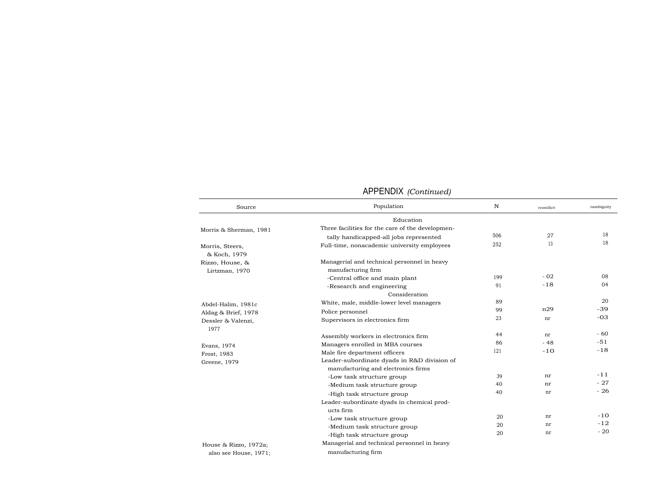| Source                            | Population                                                                         | $\mathbb N$ | rcontlict | rambiguity |
|-----------------------------------|------------------------------------------------------------------------------------|-------------|-----------|------------|
|                                   | Education                                                                          |             |           |            |
| Morris & Sherman, 1981            | Three facilities for the care of the developmen-                                   |             |           |            |
|                                   | tally handicapped-all jobs represented                                             | 506         | 27        | 18         |
| Morris, Steers,<br>& Koch, 1979   | Full-time, nonacademic university employees                                        | 252         | 13        | 18         |
| Rizzo, House, &<br>Lirtzman, 1970 | Managerial and technical personnel in heavy<br>manufacturing firm                  |             |           |            |
|                                   | -Central office and main plant                                                     | 199         | $-02$     | 08         |
|                                   | -Research and engineering                                                          | 91          | $-18$     | 04         |
|                                   | Consideration                                                                      |             |           |            |
| Abdel-Halim, 1981c                | White, male, middle-lower level managers                                           | 89          |           | 20         |
| Aldag & Brief, 1978               | Police personnel                                                                   | 99          | n29       | -39        |
| Dessler & Valenzi,<br>1977        | Supervisors in electronics firm                                                    | 23          | nr        | $-03$      |
|                                   | Assembly workers in electronics firm                                               | 44          | nr        | $-60$      |
| Evans, 1974                       | Managers enrolled in MBA courses                                                   | 86          | $-48$     | $-51$      |
| Frost, 1983                       | Male fire department officers                                                      | 121         | $-10$     | $-18$      |
| Greene, 1979                      | Leader-subordinate dyads in R&D division of<br>manufacturing and electronics firms |             |           |            |
|                                   | -Low task structure group                                                          | 39          | nr        | $-11$      |
|                                   | -Medium task structure group                                                       | 40          | nr        | $-27$      |
|                                   | -High task structure group                                                         | 40          | nr        | $-26$      |
|                                   | Leader-subordinate dyads in chemical prod-                                         |             |           |            |
|                                   | ucts firm                                                                          |             |           |            |
|                                   | -Low task structure group                                                          | 20          | nr        | $-10$      |
|                                   | -Medium task structure group                                                       | 20          | nr        | $-12$      |
|                                   | -High task structure group                                                         | 20          | nr        | $-20$      |
| House & Rizzo, 1972a;             | Managerial and technical personnel in heavy                                        |             |           |            |
| also see House, 1971;             | manufacturing firm                                                                 |             |           |            |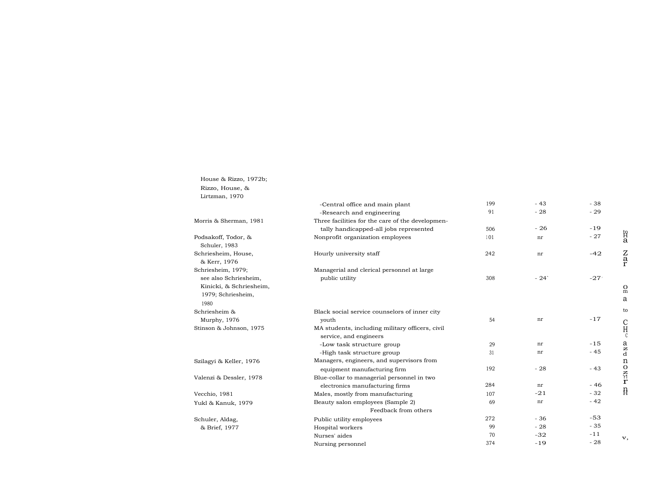| House & Rizzo, 1972b; |
|-----------------------|
| Rizzo, House, &       |
| Lirtzman, 1970        |

|                                                                                | -Central office and main plant                                            | 199 | $-43$              | $-38$  |                         |
|--------------------------------------------------------------------------------|---------------------------------------------------------------------------|-----|--------------------|--------|-------------------------|
|                                                                                | -Research and engineering                                                 | 91  | $-28$              | $-29$  |                         |
| Morris & Sherman, 1981                                                         | Three facilities for the care of the developmen-                          |     |                    |        |                         |
|                                                                                | tally handicapped-all jobs represented                                    | 506 | $-26$              | $-19$  |                         |
| Podsakoff, Todor, &<br>Schuler, 1983                                           | Nonprofit organization employees                                          | 101 | nr                 | $-27$  | 招<br>a                  |
| Schriesheim, House,<br>& Kerr, 1976                                            | Hourly university staff                                                   | 242 | nr                 | $-42$  | $\frac{z}{r}$           |
| Schriesheim, 1979;                                                             | Managerial and clerical personnel at large                                |     |                    |        |                         |
| see also Schriesheim,<br>Kinicki, & Schriesheim,<br>1979; Schriesheim,<br>1980 | public utility                                                            | 308 | $-24$ <sup>-</sup> | $-27'$ | $_{\rm m}^{\rm O}$<br>a |
| Schriesheim &                                                                  | Black social service counselors of inner city                             |     |                    |        | to                      |
| Murphy, 1976                                                                   | youth                                                                     | 54  | nr                 | $-17$  |                         |
| Stinson & Johnson, 1975                                                        | MA students, including military officers, civil<br>service, and engineers |     |                    |        | $\mathrm{C}_\mathrm{H}$ |
|                                                                                | -Low task structure group                                                 | 29  | nr                 | $-15$  | a                       |
|                                                                                | -High task structure group                                                | 31  | nr                 | $-45$  | $_{\rm d}^{\rm z}$      |
| Szilagyi & Keller, 1976                                                        | Managers, engineers, and supervisors from                                 |     |                    |        |                         |
|                                                                                | equipment manufacturing firm                                              | 192 | $-28$              | $-43$  |                         |
| Valenzi & Dessler, 1978                                                        | Blue-collar to managerial personnel in two                                |     |                    |        | $n$ o<br>$n \nleq n$    |
|                                                                                | electronics manufacturing firms                                           | 284 | nr                 | $-46$  |                         |
| Vecchio, 1981                                                                  | Males, mostly from manufacturing                                          | 107 | $-21$              | $-32$  | $\rm _H^n$              |
| Yukl & Kanuk, 1979                                                             | Beauty salon employees (Sample 2)                                         | 69  | nr                 | $-42$  |                         |
|                                                                                | Feedback from others                                                      |     |                    |        |                         |
| Schuler, Aldag,                                                                | Public utility employees                                                  | 272 | $-36$              | $-53$  |                         |
| & Brief, 1977                                                                  | Hospital workers                                                          | 99  | $-28$              | $-35$  |                         |
|                                                                                | Nurses' aides                                                             | 70  | $-32$              | $-11$  | v,                      |
|                                                                                | Nursing personnel                                                         | 374 | $-19$              | $-28$  |                         |
|                                                                                |                                                                           |     |                    |        |                         |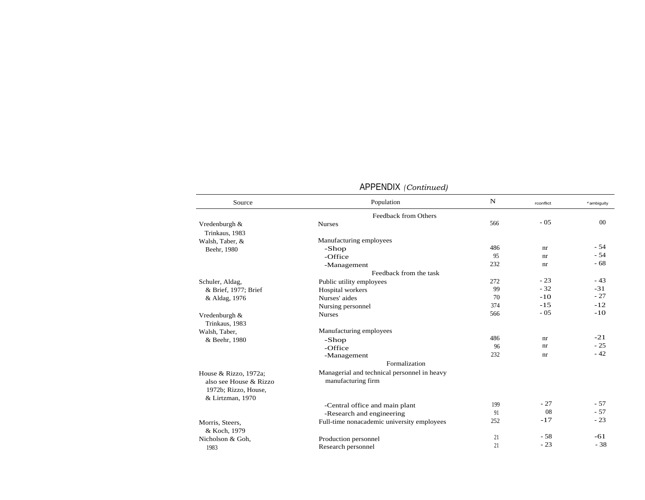| Source                                                                  | Population                                                        | $\mathbf N$ | rconflict | rambiguity |
|-------------------------------------------------------------------------|-------------------------------------------------------------------|-------------|-----------|------------|
|                                                                         | Feedback from Others                                              |             |           |            |
| Vredenburgh &                                                           | <b>Nurses</b>                                                     | 566         | $-05$     | 00         |
| Trinkaus, 1983                                                          |                                                                   |             |           |            |
| Walsh, Taber, &                                                         | Manufacturing employees                                           |             |           |            |
| Beehr, 1980                                                             | -Shop                                                             | 486         | nr        | $-54$      |
|                                                                         | -Office                                                           | 95          | nr        | $-54$      |
|                                                                         | -Management                                                       | 232         | nr        | $-68$      |
|                                                                         | Feedback from the task                                            |             |           |            |
| Schuler, Aldag,                                                         | Public utility employees                                          | 272         | $-23$     | $-43$      |
| & Brief, 1977; Brief                                                    | Hospital workers                                                  | 99          | $-32$     | $-31$      |
| & Aldag, 1976                                                           | Nurses' aides                                                     | 70          | $-10$     | $-27$      |
|                                                                         | Nursing personnel                                                 | 374         | $-15$     | $-12$      |
| Vredenburgh &<br>Trinkaus, 1983                                         | <b>Nurses</b>                                                     | 566         | $-05$     | $-10$      |
| Walsh, Taber,                                                           | Manufacturing employees                                           |             |           |            |
| & Beehr, 1980                                                           | -Shop                                                             | 486         | nr        | $-21$      |
|                                                                         | -Office                                                           | 96          | nr        | $-25$      |
|                                                                         | -Management                                                       | 232         | nr        | $-42$      |
|                                                                         | Formalization                                                     |             |           |            |
| House & Rizzo, 1972a;<br>also see House & Rizzo<br>1972b; Rizzo, House, | Managerial and technical personnel in heavy<br>manufacturing firm |             |           |            |
| & Lirtzman, 1970                                                        |                                                                   |             | $-27$     | $-57$      |
|                                                                         | -Central office and main plant                                    | 199         | 08        | $-57$      |
|                                                                         | -Research and engineering                                         | 91          |           | $-23$      |
| Morris, Steers,<br>& Koch, 1979                                         | Full-time nonacademic university employees                        | 252         | $-17$     |            |
| Nicholson & Goh,                                                        | Production personnel                                              | 21          | $-58$     | $-61$      |
| 1983                                                                    | Research personnel                                                | 21          | $-23$     | $-38$      |

#### APPENDIX *(Continued)*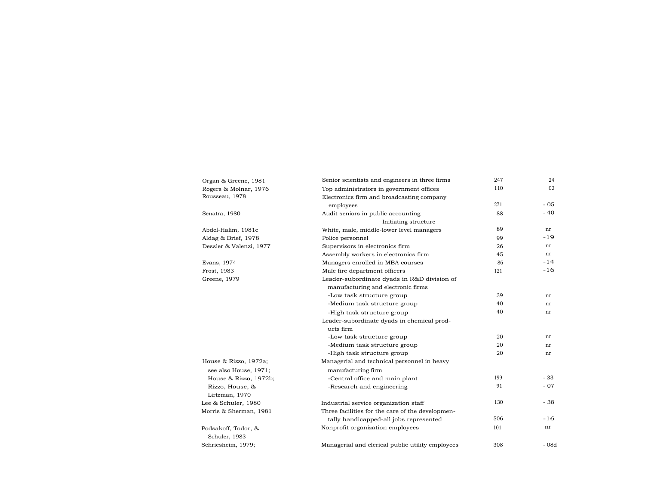| Organ & Greene, 1981    | Senior scientists and engineers in three firms   | 247 | 24     |
|-------------------------|--------------------------------------------------|-----|--------|
| Rogers & Molnar, 1976   | Top administrators in government offices         | 110 | 02     |
| Rousseau, 1978          | Electronics firm and broadcasting company        |     |        |
|                         | employees                                        | 271 | $-05$  |
| Senatra, 1980           | Audit seniors in public accounting               | 88  | $-40$  |
|                         | Initiating structure                             |     |        |
| Abdel-Halim, 1981c      | White, male, middle-lower level managers         | 89  | nr     |
| Aldag & Brief, 1978     | Police personnel                                 | 99  | $-19$  |
| Dessler & Valenzi, 1977 | Supervisors in electronics firm                  | 26  | nr     |
|                         | Assembly workers in electronics firm             | 45  | nr     |
| Evans, 1974             | Managers enrolled in MBA courses                 | 86  | $-14$  |
| Frost, 1983             | Male fire department officers                    | 121 | $-16$  |
| Greene, 1979            | Leader-subordinate dyads in R&D division of      |     |        |
|                         | manufacturing and electronic firms               |     |        |
|                         | -Low task structure group                        | 39  | nr     |
|                         | -Medium task structure group                     | 40  | nr     |
|                         | -High task structure group                       | 40  | nr     |
|                         | Leader-subordinate dyads in chemical prod-       |     |        |
|                         | ucts firm                                        |     |        |
|                         | -Low task structure group                        | 20  | nr     |
|                         | -Medium task structure group                     | 20  | nr     |
|                         | -High task structure group                       | 20  | nr     |
| House & Rizzo, 1972a;   | Managerial and technical personnel in heavy      |     |        |
| see also House, 1971;   | manufacturing firm                               |     |        |
| House & Rizzo, 1972b;   | -Central office and main plant                   | 199 | $-33$  |
| Rizzo, House, &         | -Research and engineering                        | 91  | $-07$  |
| Lirtzman, 1970          |                                                  |     |        |
| Lee & Schuler, 1980     | Industrial service organization staff            | 130 | $-38$  |
| Morris & Sherman, 1981  | Three facilities for the care of the developmen- |     |        |
|                         | tally handicapped-all jobs represented           | 506 | $-16$  |
| Podsakoff, Todor, &     | Nonprofit organization employees                 | 101 | nr     |
| Schuler, 1983           |                                                  |     |        |
| Schriesheim, 1979;      | Managerial and clerical public utility employees | 308 | $-08d$ |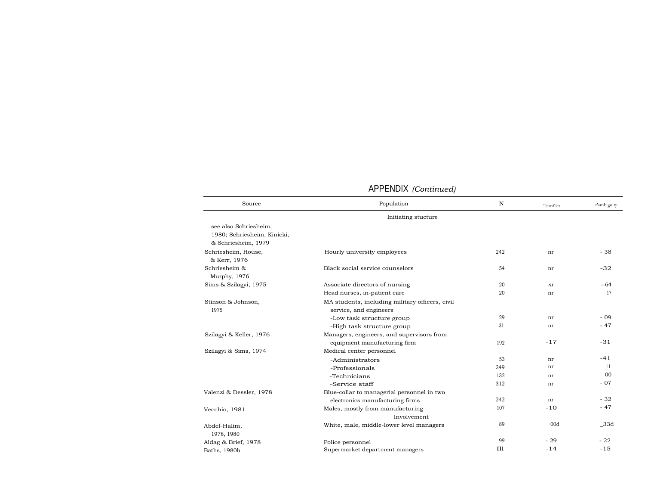|                                                                             | AFFLINDIA (Continued)                                                     |             |           |             |
|-----------------------------------------------------------------------------|---------------------------------------------------------------------------|-------------|-----------|-------------|
| Source                                                                      | Population                                                                | $\mathbf N$ | "conflict | r'ambiguity |
|                                                                             | Initiating stucture                                                       |             |           |             |
| see also Schriesheim.<br>1980; Schriesheim, Kinicki,<br>& Schriesheim, 1979 |                                                                           |             |           |             |
| Schriesheim, House,<br>& Kerr, 1976                                         | Hourly university employees                                               | 242         | nr        | $-38$       |
| Schriesheim &<br>Murphy, 1976                                               | Black social service counselors                                           | 54          | nr        | $-32$       |
| Sims & Szilagyi, 1975                                                       | Associate directors of nursing                                            | 20          | nr        | $-64$       |
|                                                                             | Head nurses, in-patient care                                              | 20          | nr        | 17          |
| Stinson & Johnson,<br>1975                                                  | MA students, including military officers, civil<br>service, and engineers |             |           |             |
|                                                                             | -Low task structure group                                                 | 29          | nr        | $-09$       |
|                                                                             | -High task structure group                                                | 31          | nr        | $-47$       |
| Szilagyi & Keller, 1976                                                     | Managers, engineers, and supervisors from                                 |             |           |             |
|                                                                             | equipment manufacturing firm                                              | 192         | $-17$     | $-31$       |
| Szilagyi & Sims, 1974                                                       | Medical center personnel                                                  |             |           |             |
|                                                                             | -Administrators                                                           | 53          | nr        | $-41$       |
|                                                                             | -Professionals                                                            | 249         | nr        | 11          |
|                                                                             | -Technicians                                                              | 132         | nr        | 00          |
|                                                                             | -Service staff                                                            | 312         | nr        | $-07$       |
| Valenzi & Dessler, 1978                                                     | Blue-collar to managerial personnel in two                                |             |           |             |
|                                                                             | electronics manufacturing firms                                           | 242         | nr        | $-32$       |
| Vecchio, 1981                                                               | Males, mostly from manufacturing                                          | 107         | $-10$     | $-47$       |
|                                                                             | Involvement                                                               |             |           |             |
| Abdel-Halim,<br>1978, 1980                                                  | White, male, middle-lower level managers                                  | 89          | 00d       | 33d         |
| Aldag & Brief, 1978                                                         | Police personnel                                                          | 99          | $-29$     | $-22$       |
| Baths, 1980b                                                                | Supermarket department managers                                           | <b>T11</b>  | $-14$     | $-15$       |

## APPENDIX *(Continued)*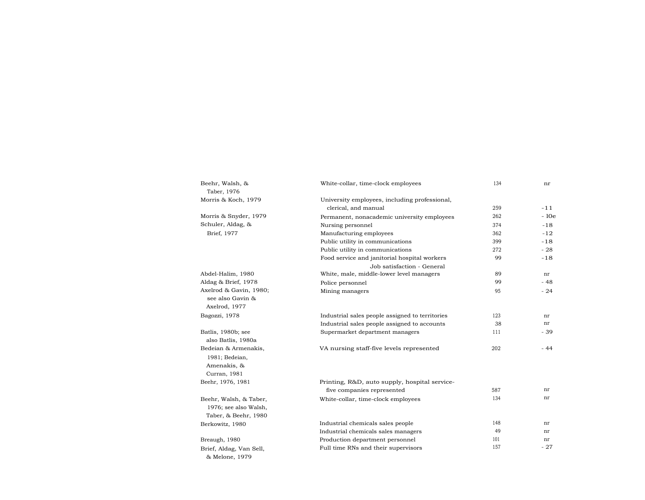| Beehr, Walsh, &<br>Taber, 1976                                        | White-collar, time-clock employees                                    | 134 | nr          |
|-----------------------------------------------------------------------|-----------------------------------------------------------------------|-----|-------------|
|                                                                       |                                                                       |     |             |
| Morris & Koch, 1979                                                   | University employees, including professional,<br>clerical, and manual | 259 | $-11$       |
| Morris & Snyder, 1979                                                 |                                                                       | 262 | $-10e$      |
| Schuler, Aldag, &                                                     | Permanent, nonacademic university employees                           |     |             |
|                                                                       | Nursing personnel                                                     | 374 | $-18$       |
| Brief, 1977                                                           | Manufacturing employees                                               | 362 | $-12$       |
|                                                                       | Public utility in communications                                      | 399 | $-18$       |
|                                                                       | Public utility in communications                                      | 272 | $-28$       |
|                                                                       | Food service and janitorial hospital workers                          | 99  | $-18$       |
|                                                                       | Job satisfaction - General                                            |     |             |
| Abdel-Halim, 1980                                                     | White, male, middle-lower level managers                              | 89  | nr          |
| Aldag & Brief, 1978                                                   | Police personnel                                                      | 99  | $-48$       |
| Axelrod & Gavin, 1980;<br>see also Gavin &<br>Axelrod, 1977           | Mining managers                                                       | 95  | $-24$       |
| Bagozzi, 1978                                                         | Industrial sales people assigned to territories                       | 123 | nr          |
|                                                                       | Industrial sales people assigned to accounts                          | 38  | nr          |
| Batlis, 1980b; see                                                    | Supermarket department managers                                       | 111 | - 39        |
| also Batlis, 1980a                                                    |                                                                       |     |             |
| Bedeian & Armenakis,<br>1981; Bedeian,<br>Amenakis, &<br>Curran, 1981 | VA nursing staff-five levels represented                              | 202 | - 44        |
| Beehr, 1976, 1981                                                     | Printing, R&D, auto supply, hospital service-                         |     |             |
|                                                                       | five companies represented                                            | 587 | nr          |
| Beehr, Walsh, & Taber,<br>1976; see also Walsh,                       | White-collar, time-clock employees                                    | 134 | nr          |
| Taber, & Beehr, 1980                                                  |                                                                       | 148 | nr          |
| Berkowitz, 1980                                                       | Industrial chemicals sales people                                     | 49  | nr          |
|                                                                       | Industrial chemicals sales managers                                   | 101 |             |
| Breaugh, 1980                                                         | Production department personnel                                       | 157 | nr<br>$-27$ |
| Brief, Aldag, Van Sell,<br>& Melone, 1979                             | Full time RNs and their supervisors                                   |     |             |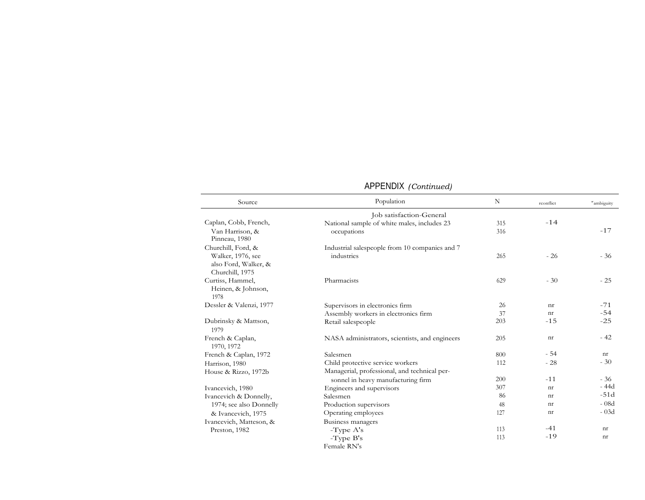|  | APPENDIX (Continued) |
|--|----------------------|
|--|----------------------|

| Source                                                                             | Population                                                   | $\mathbf N$ | rconflict | r <sub>ambiguity</sub> |
|------------------------------------------------------------------------------------|--------------------------------------------------------------|-------------|-----------|------------------------|
|                                                                                    | Job satisfaction-General                                     |             |           |                        |
| Caplan, Cobb, French,                                                              | National sample of white males, includes 23                  | 315         | $-14$     |                        |
| Van Harrison, &<br>Pinneau, 1980                                                   | occupations                                                  | 316         |           | $-17$                  |
| Churchill, Ford, &<br>Walker, 1976, see<br>also Ford, Walker, &<br>Churchill, 1975 | Industrial salespeople from 10 companies and 7<br>industries | 265         | $-26$     | $-36$                  |
| Curtiss, Hammel,<br>Heinen, & Johnson,<br>1978                                     | Pharmacists                                                  | 629         | $-30$     | $-25$                  |
| Dessler & Valenzi, 1977                                                            | Supervisors in electronics firm                              | 26          | nr        | $-71$                  |
|                                                                                    | Assembly workers in electronics firm                         | 37          | nr        | $-54$                  |
| Dubrinsky & Mattson,<br>1979                                                       | Retail salespeople                                           | 203         | $-15$     | $-25$                  |
| French & Caplan,<br>1970, 1972                                                     | NASA administrators, scientists, and engineers               | 205         | nr        | $-42$                  |
| French & Caplan, 1972                                                              | Salesmen                                                     | 800         | $-54$     | nr                     |
| Harrison, 1980                                                                     | Child protective service workers                             | 112         | $-28$     | $-30$                  |
| House & Rizzo, 1972b                                                               | Managerial, professional, and technical per-                 |             |           |                        |
|                                                                                    | sonnel in heavy manufacturing firm                           | 200         | $-11$     | $-36$                  |
| Ivancevich, 1980                                                                   | Engineers and supervisors                                    | 307         | nr        | - 44d                  |
| Ivancevich & Donnelly,                                                             | Salesmen                                                     | 86          | nr        | $-51d$                 |
| 1974; see also Donnelly                                                            | Production supervisors                                       | 48          | nr        | $-08d$                 |
| & Ivancevich, 1975                                                                 | Operating employees                                          | 127         | nr        | $-03d$                 |
| Ivancevich, Matteson, &                                                            | Business managers                                            |             |           |                        |
| Preston, 1982                                                                      | $-Type A's$                                                  | 113         | $-41$     | nr                     |
|                                                                                    | $-T$ ype $B$ 's                                              | 113         | $-19$     | nr                     |
|                                                                                    | Female RN's                                                  |             |           |                        |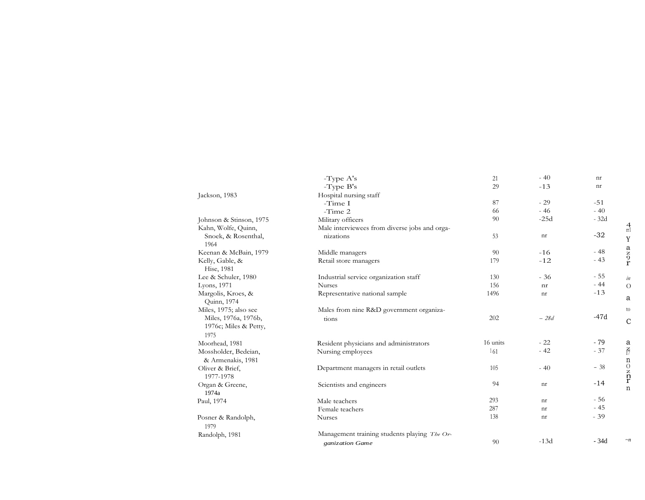|                                                | -Type A's<br>-Type B's                                             | 21<br>29        | $-40$<br>$-13$                                           | nr<br>$\mathop{\rm nr}\nolimits$ |                                                           |
|------------------------------------------------|--------------------------------------------------------------------|-----------------|----------------------------------------------------------|----------------------------------|-----------------------------------------------------------|
| Jackson, 1983                                  | Hospital nursing staff<br>-Time $\rm I$                            | 87              | $-29$                                                    | $-51$                            |                                                           |
|                                                | -Time $2\,$                                                        | 66              | $-46$                                                    | $-40$                            |                                                           |
| Johnson & Stinson, 1975<br>Kahn, Wolfe, Quinn, | Military officers<br>Male interviewees from diverse jobs and orga- | 90              | $-25d$                                                   | $-32d$                           | $\frac{4}{\pi}$                                           |
| Snoek, & Rosenthal,<br>1964                    | nizations                                                          | $53\,$          | $\mathop{\rm nr}\nolimits$                               | $-32$                            | $\mathbf Y$                                               |
| Keenan & McBain, 1979                          | Middle managers                                                    | 90              | $-16$                                                    | $-48$                            | $\frac{a}{z}$<br>$\frac{b}{r}$                            |
| Kelly, Gable, &<br>Hise, 1981                  | Retail store managers                                              | 179             | $-12$                                                    | $-43$                            |                                                           |
| Lee & Schuler, 1980                            | Industrial service organization staff                              | 130             | $-36$                                                    | $-55$<br>$-44$                   | in                                                        |
| Lyons, 1971<br>Margolis, Kroes, &              | Nurses<br>Representative national sample                           | 156<br>1496     | $\mathop{\rm nr}\nolimits$<br>$\mathop{\rm nr}\nolimits$ | $-13$                            | $\mathcal{O}$                                             |
| Quinn, 1974                                    |                                                                    |                 |                                                          |                                  | $\it a$                                                   |
|                                                | Males from nine R&D government organiza-                           | 202             | $ 28d\,$                                                 | $-47d$                           | to                                                        |
| Miles, 1975; also see                          |                                                                    |                 |                                                          |                                  | $\mathbf C$                                               |
| Miles, 1976a, 1976b,<br>1976c; Miles & Petty,  | tions                                                              |                 |                                                          |                                  |                                                           |
| 1975                                           |                                                                    |                 |                                                          |                                  |                                                           |
| Moorhead, 1981<br>Mossholder, Bedeian,         | Resident physicians and administrators<br>Nursing employees        | 16 units<br>161 | $-22$<br>$-42$                                           | $-79$<br>$-37$                   |                                                           |
| & Armenakis, 1981                              |                                                                    |                 |                                                          |                                  | $\frac{a}{\sqrt{7}}$                                      |
| Oliver & Brief,<br>1977-1978                   | Department managers in retail outlets                              | 105             | $-40$                                                    | $-38$                            |                                                           |
| Organ & Greene,                                | Scientists and engineers                                           | 94              | $\mathop{\rm nr}\nolimits$                               | $-14$                            | $\begin{array}{c} n \\ 0 \\ z \\ n \\ r \\ n \end{array}$ |
| 1974a<br>Paul, 1974                            | Male teachers                                                      | 293             | $\mathop{\rm nr}\nolimits$                               | $-56$                            |                                                           |
|                                                | Female teachers                                                    | 287             | $\mathop{\rm nr}\nolimits$                               | $-45$                            |                                                           |
| Posner & Randolph,<br>1979                     | Nurses                                                             | 138             | $\mathop{\rm nr}\nolimits$                               | $-39$                            |                                                           |
| Randolph, 1981                                 | Management training students playing The Or-<br>ganization Game    | 90              | $-13d$                                                   | $\mbox{-} 34\mbox{d}$            | $\mathord{\sim} n$                                        |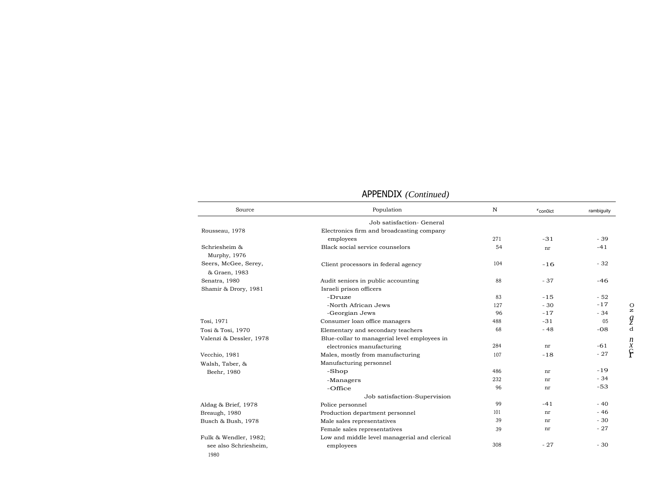| Source                                | Population                                   | $\mathbf N$ | $r$ con0ict | rambiguity     |
|---------------------------------------|----------------------------------------------|-------------|-------------|----------------|
|                                       | Job satisfaction- General                    |             |             |                |
| Rousseau, 1978                        | Electronics firm and broadcasting company    |             |             |                |
|                                       | employees                                    | 271         | $-31$       | $-39$          |
| Schriesheim &<br>Murphy, 1976         | Black social service counselors              | 54          | nr          | $-41$          |
| Seers, McGee, Serey,<br>& Graen, 1983 | Client processors in federal agency          | 104         | $-16$       | $-32$          |
| Senatra, 1980                         | Audit seniors in public accounting           | 88          | $-37$       | $-46$          |
| Shamir & Drory, 1981                  | Israeli prison officers                      |             |             |                |
|                                       | -Druze                                       | 83          | $-15$       | $-52$          |
|                                       | -North African Jews                          | 127         | $-30$       | $-17$          |
|                                       | -Georgian Jews                               | 96          | $-17$       | $-34$          |
| Tosi, 1971                            | Consumer loan office managers                | 488         | $-31$       | 0 <sub>5</sub> |
| Tosi & Tosi, 1970                     | Elementary and secondary teachers            | 68          | $-48$       | $-08$          |
| Valenzi & Dessler, 1978               | Blue-collar to managerial level employees in |             |             |                |
|                                       | electronics manufacturing                    | 284         | nr          | $-61$          |
| Vecchio, 1981                         | Males, mostly from manufacturing             | 107         | $-18$       | $-27$          |
| Walsh, Taber, &                       | Manufacturing personnel                      |             |             |                |
| Beehr, 1980                           | -Shop                                        | 486         | nr          | $-19$          |
|                                       | -Managers                                    | 232         | nr          | $-34$          |
|                                       | -Office                                      | 96          | nr          | $-53$          |
|                                       | Job satisfaction-Supervision                 |             |             |                |
| Aldag & Brief, 1978                   | Police personnel                             | 99          | $-41$       | $-40$          |
| Breaugh, 1980                         | Production department personnel              | 101         | nr          | $-46$          |
| Busch & Bush, 1978                    | Male sales representatives                   | 39          | nr          | $-30$          |
|                                       | Female sales representatives                 | 39          | nr          | $-27$          |
| Fulk & Wendler, 1982;                 | Low and middle level managerial and clerical |             |             |                |
| see also Schriesheim,<br>1980         | employees                                    | 308         | $-27$       | $-30$          |

# APPENDIX *(Continued)*

 $\overline{\phantom{0}}$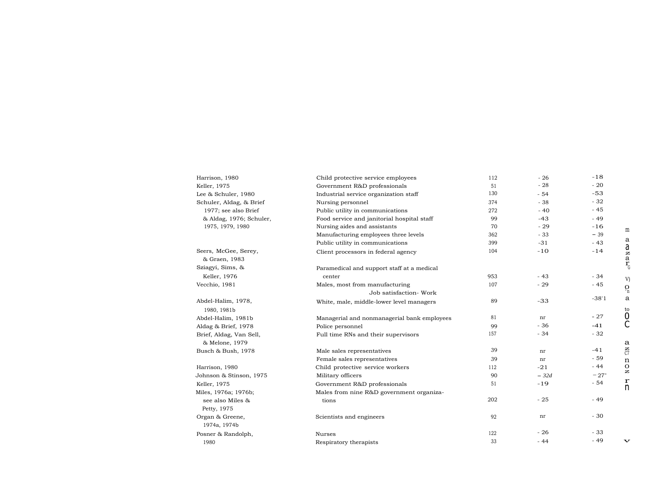| Harrison, 1980                        | Child protective service employees          | 112 | $-26$  | $-18$   |                                  |
|---------------------------------------|---------------------------------------------|-----|--------|---------|----------------------------------|
| Keller, 1975                          | Government R&D professionals                | 51  | $-28$  | $-20$   |                                  |
| Lee & Schuler, 1980                   | Industrial service organization staff       | 130 | $-54$  | $-53$   |                                  |
| Schuler, Aldag, & Brief               | Nursing personnel                           | 374 | $-38$  | $-32$   |                                  |
| 1977; see also Brief                  | Public utility in communications            | 272 | $-40$  | $-45$   |                                  |
| & Aldag, 1976; Schuler,               | Food service and janitorial hospital staff  | 99  | $-43$  | $-49$   |                                  |
| 1975, 1979, 1980                      | Nursing aides and assistants                | 70  | $-29$  | $-16$   | m                                |
|                                       | Manufacturing employees three levels        | 362 | $-33$  | $-39$   |                                  |
|                                       | Public utility in communications            | 399 | $-31$  | $-43$   | a                                |
| Seers, McGee, Serey,<br>& Graen, 1983 | Client processors in federal agency         | 104 | $-10$  | $-14$   | $\frac{a}{a}$                    |
| Sziagyi, Sims, &                      | Paramedical and support staff at a medical  |     |        |         |                                  |
| Keller, 1976                          | center                                      | 953 | $-43$  | $-34$   | V)                               |
| Vecchio, 1981                         | Males, most from manufacturing              | 107 | $-29$  | $-45$   |                                  |
|                                       | Job satisfaction- Work                      |     |        |         | $Q_{n}$                          |
| Abdel-Halim, 1978,                    | White, male, middle-lower level managers    | 89  | $-33$  | $-38'1$ | a                                |
| 1980, 1981b                           |                                             |     |        |         | to                               |
| Abdel-Halim, 1981b                    | Managerial and nonmanagerial bank employees | 81  | nr     | $-27$   | 0                                |
| Aldag & Brief, 1978                   | Police personnel                            | 99  | $-36$  | $-41$   | С                                |
| Brief, Aldag, Van Sell,               | Full time RNs and their supervisors         | 157 | $-34$  | $-32$   |                                  |
| & Melone, 1979                        |                                             |     |        |         | $\mathbf{a}$                     |
| Busch & Bush, 1978                    | Male sales representatives                  | 39  | nr     | $-41$   | $\tilde{c}$                      |
|                                       | Female sales representatives                | 39  | nr     | $-59$   | n                                |
| Harrison, 1980                        | Child protective service workers            | 112 | $-21$  | $-44$   | $\mathbf{O}$<br>$\boldsymbol{z}$ |
| Johnson & Stinson, 1975               | Military officers                           | 90  | $-32d$ | $-27"$  |                                  |
| Keller, 1975                          | Government R&D professionals                | 51  | $-19$  | $-54$   | $\mathbf r$<br>n                 |
| Miles, 1976a; 1976b;                  | Males from nine R&D government organiza-    |     |        |         |                                  |
| see also Miles &                      | tions                                       | 202 | $-25$  | $-49$   |                                  |
| Petty, 1975                           |                                             |     |        |         |                                  |
| Organ & Greene,<br>1974a, 1974b       | Scientists and engineers                    | 92  | nr     | $-30$   |                                  |
| Posner & Randolph,                    | Nurses                                      | 122 | $-26$  | $-33$   |                                  |
| 1980                                  | Respiratory therapists                      | 33  | $-44$  | $-49$   | $\mathbf{v}$                     |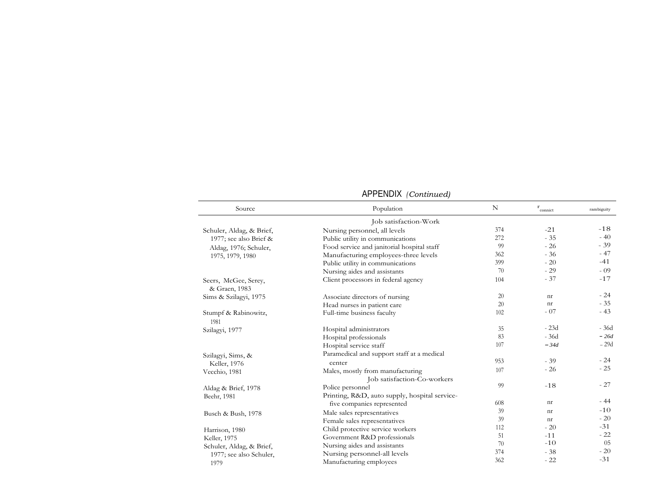| Source                                | Population                                    | N   | $\mathbf r$<br>connict | rambiguity |
|---------------------------------------|-----------------------------------------------|-----|------------------------|------------|
|                                       | Job satisfaction-Work                         |     |                        |            |
| Schuler, Aldag, & Brief,              | Nursing personnel, all levels                 | 374 | $-21$                  | $-18$      |
| 1977; see also Brief &                | Public utility in communications              | 272 | $-35$                  | $-40$      |
| Aldag, 1976; Schuler,                 | Food service and janitorial hospital staff    | 99  | $-26$                  | $-39$      |
| 1975, 1979, 1980                      | Manufacturing employees-three levels          | 362 | $-36$                  | $-47$      |
|                                       | Public utility in communications              | 399 | $-20$                  | $-41$      |
|                                       | Nursing aides and assistants                  | 70  | $-29$                  | $-09$      |
| Seers, McGee, Serey,<br>& Graen, 1983 | Client processors in federal agency           | 104 | $-37$                  | $-17$      |
| Sims & Szilagyi, 1975                 | Associate directors of nursing                | 20  | nr                     | $-24$      |
|                                       | Head nurses in patient care                   | 20  | nr                     | $-35$      |
| Stumpf & Rabinowitz,                  | Full-time business faculty                    | 102 | $-07$                  | $-43$      |
| 1981                                  |                                               |     |                        |            |
| Szilagyi, 1977                        | Hospital administrators                       | 35  | $-23d$                 | - 36d      |
|                                       | Hospital professionals                        | 83  | $-36d$                 | $-26d$     |
|                                       | Hospital service staff                        | 107 | $-34d$                 | $-29d$     |
| Szilagyi, Sims, &                     | Paramedical and support staff at a medical    |     |                        |            |
| Keller, 1976                          | center                                        | 953 | $-39$                  | $-24$      |
| Vecchio, 1981                         | Males, mostly from manufacturing              | 107 | $-26$                  | $-25$      |
|                                       | Job satisfaction-Co-workers                   |     |                        |            |
| Aldag & Brief, 1978                   | Police personnel                              | 99  | $-18$                  | $-27$      |
| Beehr, 1981                           | Printing, R&D, auto supply, hospital service- |     |                        |            |
|                                       | five companies represented                    | 608 | nr                     | $-44$      |
| Busch & Bush, 1978                    | Male sales representatives                    | 39  | nr                     | $-10$      |
|                                       | Female sales representatives                  | 39  | nr                     | $-20$      |
| Harrison, 1980                        | Child protective service workers              | 112 | $-20$                  | $-31$      |
| Keller, 1975                          | Government R&D professionals                  | 51  | $-11$                  | $-22$      |
| Schuler, Aldag, & Brief,              | Nursing aides and assistants                  | 70  | $-10$                  | 05         |
| 1977; see also Schuler,               | Nursing personnel-all levels                  | 374 | $-38$                  | $-20$      |
| 1979                                  | Manufacturing employees                       | 362 | $-22$                  | $-31$      |

#### APPENDIX *(Continued)*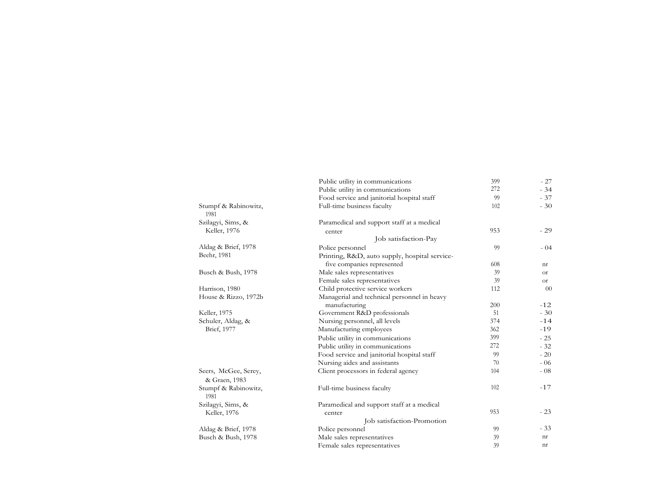|                                       | Public utility in communications                             | 399 | $-27$         |
|---------------------------------------|--------------------------------------------------------------|-----|---------------|
|                                       | Public utility in communications                             | 272 | $-34$         |
|                                       | Food service and janitorial hospital staff                   | 99  | $-37$         |
| Stumpf & Rabinowitz,<br>1981          | Full-time business faculty                                   | 102 | $-30$         |
| Szilagyi, Sims, &                     | Paramedical and support staff at a medical                   |     |               |
| Keller, 1976                          | center                                                       | 953 | $-29$         |
|                                       | Job satisfaction-Pay                                         |     |               |
| Aldag & Brief, 1978                   | Police personnel                                             | 99  | $-04$         |
| Beehr, 1981                           | Printing, R&D, auto supply, hospital service-                |     |               |
|                                       | five companies represented                                   | 608 | nr            |
| Busch & Bush, 1978                    | Male sales representatives                                   | 39  | <sub>Or</sub> |
|                                       | Female sales representatives                                 | 39  | 0r            |
| Harrison, 1980                        | Child protective service workers                             | 112 | $00\,$        |
| House & Rizzo, 1972b                  | Managerial and technical personnel in heavy<br>manufacturing | 200 | $-12$         |
| Keller, 1975                          | Government R&D professionals                                 | 51  | $-30$         |
| Schuler, Aldag, &                     | Nursing personnel, all levels                                | 374 | $-14$         |
| Brief, 1977                           | Manufacturing employees                                      | 362 | $-19$         |
|                                       | Public utility in communications                             | 399 | $-25$         |
|                                       | Public utility in communications                             | 272 | $-32$         |
|                                       | Food service and janitorial hospital staff                   | 99  | $-20$         |
|                                       | Nursing aides and assistants                                 | 70  | $-06$         |
|                                       |                                                              | 104 | $-08$         |
| Seers, McGee, Serey,<br>& Graen, 1983 | Client processors in federal agency                          |     |               |
| Stumpf & Rabinowitz,<br>1981          | Full-time business faculty                                   | 102 | $-17$         |
| Szilagyi, Sims, &                     | Paramedical and support staff at a medical                   |     |               |
| Keller, 1976                          | center                                                       | 953 | $-23$         |
|                                       | Job satisfaction-Promotion                                   |     |               |
| Aldag & Brief, 1978                   | Police personnel                                             | 99  | $-33$         |
| Busch & Bush, 1978                    | Male sales representatives                                   | 39  | nr            |
|                                       | Female sales representatives                                 | 39  | nr            |
|                                       |                                                              |     |               |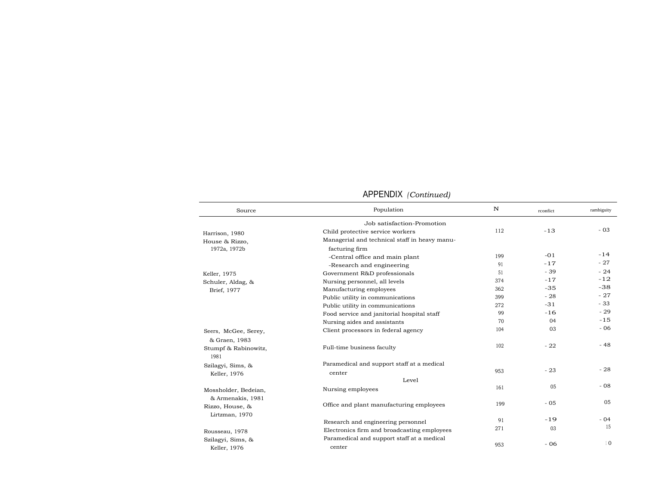| Source               | Population                                    | N   | rconfict | rambiguity      |
|----------------------|-----------------------------------------------|-----|----------|-----------------|
|                      | Job satisfaction-Promotion                    |     |          |                 |
| Harrison, 1980       | Child protective service workers              | 112 | $-13$    | $-03$           |
| House & Rizzo,       | Managerial and technical staff in heavy manu- |     |          |                 |
| 1972a, 1972b         | facturing firm                                |     |          |                 |
|                      | -Central office and main plant                | 199 | $-01$    | $-14$           |
|                      | -Research and engineering                     | 91  | $-17$    | $-27$           |
| Keller, 1975         | Government R&D professionals                  | 51  | $-39$    | $-24$           |
| Schuler, Aldag, &    | Nursing personnel, all levels                 | 374 | $-17$    | $-12$           |
| Brief, 1977          | Manufacturing employees                       | 362 | $-35$    | $-38$           |
|                      | Public utility in communications              | 399 | $-28$    | $-27$           |
|                      | Public utility in communications              | 272 | $-31$    | $-33$           |
|                      | Food service and janitorial hospital staff    | 99  | $-16$    | $-29$           |
|                      | Nursing aides and assistants                  | 70  | 04       | $-15$           |
| Seers, McGee, Serey, | Client processors in federal agency           | 104 | 03       | $-06$           |
| & Graen, 1983        |                                               |     |          |                 |
| Stumpf & Rabinowitz, | Full-time business faculty                    | 102 | $-22$    | $-48$           |
| 1981                 |                                               |     |          |                 |
| Szilagyi, Sims, &    | Paramedical and support staff at a medical    |     |          |                 |
| Keller, 1976         | center                                        | 953 | $-23$    | $-28$           |
|                      | Level                                         |     |          |                 |
| Mossholder, Bedeian, | Nursing employees                             | 161 | 05       | $-08$           |
| & Armenakis, 1981    |                                               |     |          |                 |
| Rizzo, House, &      | Office and plant manufacturing employees      | 199 | $-05$    | 05              |
| Lirtzman, 1970       |                                               |     |          |                 |
|                      | Research and engineering personnel            | 91  | $-19$    | $-04$           |
|                      | Electronics firm and broadcasting employees   | 271 | 03       | 15              |
| Rousseau, 1978       | Paramedical and support staff at a medical    |     |          |                 |
| Szilagyi, Sims, &    |                                               | 953 | $-06$    | $\overline{1}0$ |
| Keller, 1976         | center                                        |     |          |                 |

#### APPENDIX *(Continued)*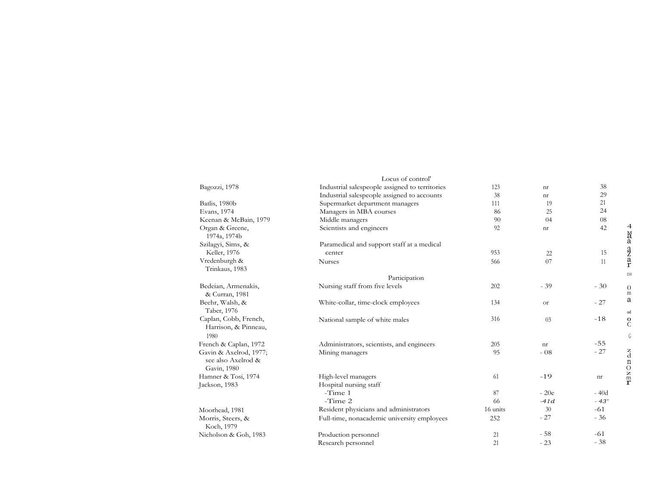|                                                             | Locus of control'                              |          |           |        |
|-------------------------------------------------------------|------------------------------------------------|----------|-----------|--------|
| Bagozzi, 1978                                               | Industrial salespeople assigned to territories | 123      | nr        | 38     |
|                                                             | Industrial salespeople assigned to accounts    | 38       | nr        | 29     |
| Batlis, 1980b                                               | Supermarket department managers                | 111      | 19        | 21     |
| Evans, 1974                                                 | Managers in MBA courses                        | 86       | 25        | 24     |
| Keenan & McBain, 1979                                       | Middle managers                                | 90       | 04        | 08     |
| Organ & Greene,<br>1974a, 1974b                             | Scientists and engineers                       | 92       | nr        | 42     |
| Szilagyi, Sims, &                                           | Paramedical and support staff at a medical     |          |           |        |
| Keller, 1976                                                | center                                         | 953      | 22        | 15     |
| Vredenburgh &<br>Trinkaus, 1983                             | <b>Nurses</b>                                  | 566      | 07        | 11     |
|                                                             | Participation                                  |          |           |        |
| Bedeian, Armenakis,<br>& Curran, 1981                       | Nursing staff from five levels                 | 202      | $-39$     | $-30$  |
| Beehr, Walsh, &<br>Taber, 1976                              | White-collar, time-clock employees             | 134      | <b>or</b> | $-27$  |
| Caplan, Cobb, French,<br>Harrison, & Pinneau,<br>1980       | National sample of white males                 | 316      | 03        | $-18$  |
| French & Caplan, 1972                                       | Administrators, scientists, and engineers      | 205      | nr        | $-55$  |
| Gavin & Axelrod, 1977;<br>see also Axelrod &<br>Gavin, 1980 | Mining managers                                | 95       | $-08$     | $-27$  |
| Hamner & Tosi, 1974                                         | High-level managers                            | 61       | $-19$     | nr     |
| Jackson, 1983                                               | Hospital nursing staff                         |          |           |        |
|                                                             | -Time 1                                        | 87       | $-20e$    | $-40d$ |
|                                                             | -Time 2                                        | 66       | $-41d$    | $-43"$ |
| Moorhead, 1981                                              | Resident physicians and administrators         | 16 units | 30        | $-61$  |
| Morris, Steers, &<br>Koch, 1979                             | Full-time, nonacademic university employees    | 252      | $-27$     | $-36$  |
| Nicholson & Goh, 1983                                       | Production personnel                           | 21       | $-58$     | $-61$  |
|                                                             | Research personnel                             | 21       | $-23$     | $-38$  |

4

Ma

aaz a r

coo

0<br>m a

od<br> $\overline{O}$ <br> $\overline{C}$ 

 ${\mathbb G}$ 

z

dnOzm

m<br>T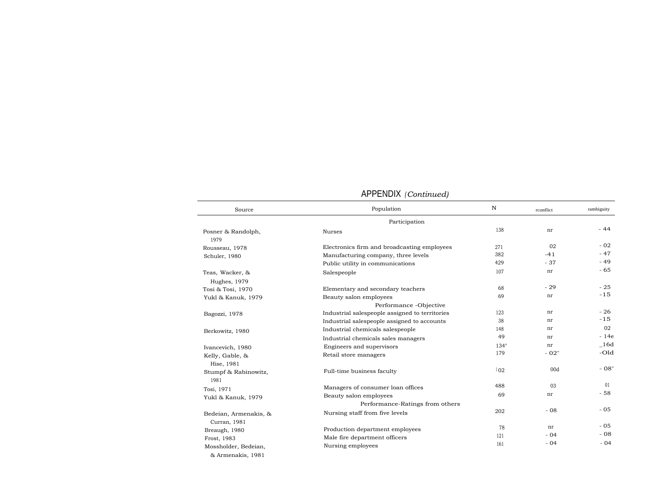| Source                                    | Population                                                | N           | rconflict | rambiguity |
|-------------------------------------------|-----------------------------------------------------------|-------------|-----------|------------|
|                                           | Participation                                             |             |           |            |
| Posner & Randolph,<br>1979                | Nurses                                                    | 138         | nr        | $-44$      |
| Rousseau, 1978                            | Electronics firm and broadcasting employees               | 271         | 02        | $-02$      |
| Schuler, 1980                             | Manufacturing company, three levels                       | 382         | $-41$     | $-47$      |
|                                           | Public utility in communications                          | 429         | $-37$     | $-49$      |
| Teas, Wacker, &<br>Hughes, 1979           | Salespeople                                               | 107         | nr        | $-65$      |
| Tosi & Tosi, 1970                         | Elementary and secondary teachers                         | 68          | $-29$     | $-25$      |
| Yukl & Kanuk, 1979                        | Beauty salon employees                                    | 69          | nr        | $-15$      |
|                                           | Performance -Objective                                    |             |           |            |
| Bagozzi, 1978                             | Industrial salespeople assigned to territories            | 123         | nr        | $-26$      |
|                                           | Industrial salespeople assigned to accounts               | 38          | nr        | $-15$      |
| Berkowitz, 1980                           | Industrial chemicals salespeople                          | 148         | nr        | 02         |
|                                           | Industrial chemicals sales managers                       | 49          | nr        | $-14e$     |
| Ivancevich, 1980                          | Engineers and supervisors                                 | $134^\circ$ | nr        | $\_16d$    |
| Kelly, Gable, &<br>Hise, 1981             | Retail store managers                                     | 179         | $-02"$    | $-O1d$     |
| Stumpf & Rabinowitz,<br>1981              | Full-time business faculty                                | 102         | 00d       | $-08"$     |
| Tosi, 1971                                | Managers of consumer loan offices                         | 488         | 03        | 01         |
| Yukl & Kanuk, 1979                        | Beauty salon employees<br>Performance-Ratings from others | 69          | nr        | $-58$      |
| Bedeian, Armenakis, &<br>Curran, 1981     | Nursing staff from five levels                            | 202         | $-08$     | $-05$      |
| Breaugh, 1980                             | Production department employees                           | 78          | nr        | $-05$      |
| Frost, 1983                               | Male fire department officers                             | 121         | $-04$     | $-08$      |
| Mossholder, Bedeian,<br>& Armenakis, 1981 | Nursing employees                                         | 161         | $-04$     | $-04$      |

#### APPENDIX *(Continued)*

 $\overline{\phantom{a}}$  $\sim$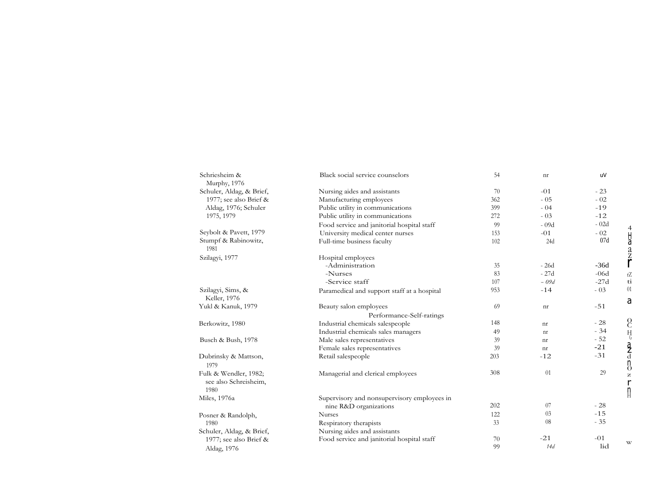| Schriesheim &<br>Murphy, 1976 | Black social service counselors             | 54  | nr                         | uV     |                                 |
|-------------------------------|---------------------------------------------|-----|----------------------------|--------|---------------------------------|
| Schuler, Aldag, & Brief,      | Nursing aides and assistants                | 70  | $-01$                      | $-23$  |                                 |
| 1977; see also Brief &        | Manufacturing employees                     | 362 | $-05$                      | $-02$  |                                 |
| Aldag, 1976; Schuler          | Public utility in communications            | 399 | $-04$                      | $-19$  |                                 |
| 1975, 1979                    | Public utility in communications            | 272 | $-03$                      | $-12$  |                                 |
|                               | Food service and janitorial hospital staff  | 99  | $-09d$                     | $-02d$ |                                 |
| Seybolt & Pavett, 1979        | University medical center nurses            | 153 | $-01$                      | $-02$  |                                 |
| Stumpf & Rabinowitz,          | Full-time business faculty                  | 102 | 24d                        | 07d    |                                 |
| 1981                          |                                             |     |                            |        | $4$ Ha $2$ Z $\zeta$            |
| Szilagyi, 1977                | Hospital employees                          |     |                            |        |                                 |
|                               | -Administration                             | 35  | $-26d$                     | $-36d$ |                                 |
|                               | -Nurses                                     | 83  | $-27d$                     | $-06d$ | rZ                              |
|                               | -Service staff                              | 107 | $-09d$                     | $-27d$ | ti                              |
| Szilagyi, Sims, &             | Paramedical and support staff at a hospital | 953 | $-14$                      | $-03$  | 01                              |
| Keller, 1976                  |                                             |     |                            |        | a                               |
| Yukl & Kanuk, 1979            | Beauty salon employees                      | 69  | $\mathop{\rm nr}\nolimits$ | $-51$  |                                 |
|                               | Performance-Self-ratings                    |     |                            |        |                                 |
| Berkowitz, 1980               | Industrial chemicals salespeople            | 148 | nr                         | $-28$  | S                               |
|                               | Industrial chemicals sales managers         | 49  | nr                         | $-34$  | $\rm H_{G}$                     |
| Busch & Bush, 1978            | Male sales representatives                  | 39  | nr                         | $-52$  |                                 |
|                               | Female sales representatives                | 39  | nr                         | $-21$  |                                 |
| Dubrinsky & Mattson,          | Retail salespeople                          | 203 | $-12$                      | $-31$  | $\frac{d}{d}$<br>$\frac{d}{d}$  |
| 1979                          |                                             |     |                            |        |                                 |
| Fulk & Wendler, 1982;         | Managerial and clerical employees           | 308 | 01                         | 29     |                                 |
| see also Schreisheim,         |                                             |     |                            |        | $\mathsf{r}$                    |
| 1980                          |                                             |     |                            |        | $\underset{\text{H}}{\text{n}}$ |
| Miles, 1976a                  | Supervisory and nonsupervisory employees in |     |                            |        |                                 |
|                               | nine R&D organizations                      | 202 | 07                         | $-28$  |                                 |
| Posner & Randolph,            | <b>Nurses</b>                               | 122 | 03                         | $-15$  |                                 |
| 1980                          | Respiratory therapists                      | 33  | 08                         | $-35$  |                                 |
| Schuler, Aldag, & Brief,      | Nursing aides and assistants                |     |                            |        |                                 |
| 1977; see also Brief &        | Food service and janitorial hospital staff  | 70  | $-21$                      | $-01$  | W                               |
| Aldag, 1976                   |                                             | 99  | 14d                        | lid    |                                 |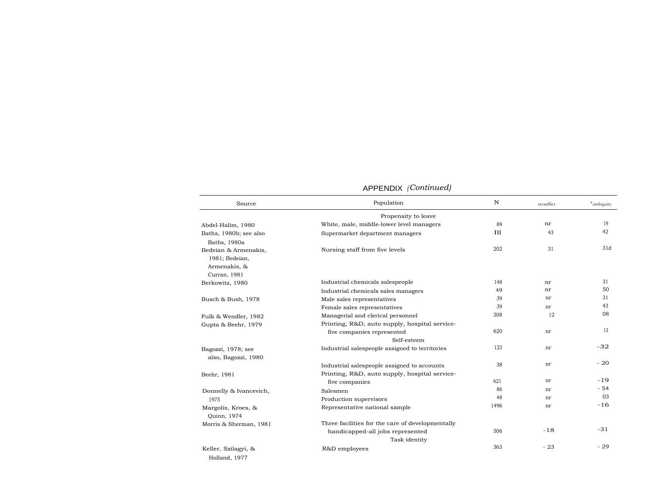#### APPENDIX *(Continued)*

| Source                                                                 | Population                                                                           | $\mathbf N$ | rconflict | "ambiguity |
|------------------------------------------------------------------------|--------------------------------------------------------------------------------------|-------------|-----------|------------|
|                                                                        | Propensity to leave                                                                  |             |           |            |
| Abdel-Halim, 1980                                                      | White, male, middle-lower level managers                                             | 89          | nr        | 19         |
| Baths, 1980b; see also<br>Baths, 1980a                                 | Supermarket department managers                                                      | <b>I11</b>  | 43        | 42         |
| Bedeian & Armenakis,<br>1981; Bedeian,<br>Armenakis, &<br>Curran, 1981 | Nursing staff from five levels                                                       | 202         | 31        | 31d        |
| Berkowitz, 1980                                                        | Industrial chemicals salespeople                                                     | 148         | nr        | 31         |
|                                                                        | Industrial chemicals sales managers                                                  | 49          | nr        | 50         |
| Busch & Bush, 1978                                                     | Male sales representatives                                                           | 39          | nr        | 31         |
|                                                                        | Female sales representatives                                                         | 39          | nr        | 43         |
| Fulk & Wendler, 1982                                                   | Managerial and clerical personnel                                                    | 308         | 12        | 08         |
| Gupta & Beehr, 1979                                                    | Printing, R&D, auto supply, hospital service-<br>five companies represented          | 620         | nr        | 13         |
|                                                                        | Self-esteem                                                                          |             |           |            |
| Bagozzi, 1978; see<br>also, Bagozzi, 1980                              | Industrial salespeople assigned to territories                                       | 123         | nr        | $-32$      |
|                                                                        | Industrial salespeople assigned to accounts                                          | 38          | nr        | $-20$      |
| Beehr, 1981                                                            | Printing, R&D, auto supply, hospital service-                                        |             |           |            |
|                                                                        | five companies                                                                       | 621         | nr        | $-19$      |
| Donnelly & Ivancevich,                                                 | Salesmen                                                                             | 86          | nr        | $-54$      |
| 1975                                                                   | Production supervisors                                                               | 48          | nr        | 03         |
| Margolis, Kroes, &<br>Quinn, 1974                                      | Representative national sample                                                       | 1496        | nr        | $-16$      |
| Morris & Sherman, 1981                                                 | Three facilities for the care of developmentally<br>handicapped-all jobs represented | 506         | $-18$     | $-31$      |
|                                                                        | Task identity                                                                        |             |           |            |
| Keller, Szilagyi, &                                                    | R&D employees                                                                        | 363         | $-23$     | $-29$      |

Holland, 1977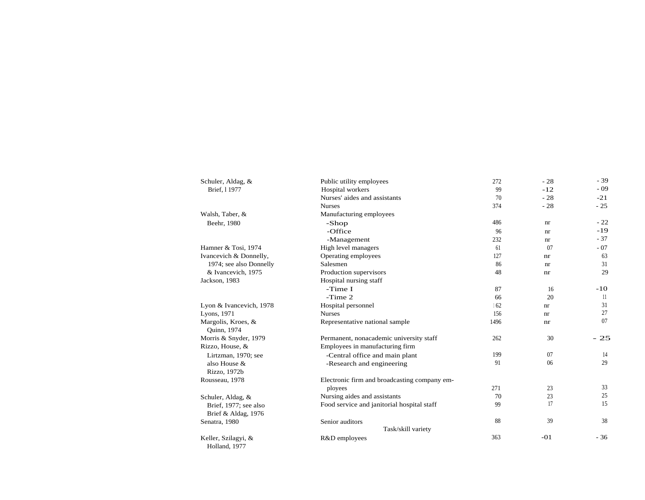| Schuler, Aldag, &                 | Public utility employees                     | 272  | $-28$ | $-39$ |
|-----------------------------------|----------------------------------------------|------|-------|-------|
| Brief, 11977                      | Hospital workers                             | 99   | $-12$ | $-09$ |
|                                   | Nurses' aides and assistants                 | 70   | $-28$ | $-21$ |
|                                   | <b>Nurses</b>                                | 374  | $-28$ | $-25$ |
| Walsh, Taber, &                   | Manufacturing employees                      |      |       |       |
| Beehr, 1980                       | -Shop                                        | 486  | nr    | $-22$ |
|                                   | -Office                                      | 96   | nr    | $-19$ |
|                                   | -Management                                  | 232  | nr    | $-37$ |
| Hamner & Tosi, 1974               | High level managers                          | 61   | 07    | $-07$ |
| Ivancevich & Donnelly,            | Operating employees                          | 127  | nr    | 63    |
| 1974; see also Donnelly           | Salesmen                                     | 86   | nr    | 31    |
| & Ivancevich, 1975                | Production supervisors                       | 48   | nr    | 29    |
| Jackson, 1983                     | Hospital nursing staff                       |      |       |       |
|                                   | -Time I                                      | 87   | 16    | $-10$ |
|                                   | $-Time 2$                                    | 66   | 20    | 11    |
| Lyon & Ivancevich, 1978           | Hospital personnel                           | 162  | nr    | 31    |
| Lyons, 1971                       | <b>Nurses</b>                                | 156  | nr    | 27    |
| Margolis, Kroes, &<br>Quinn, 1974 | Representative national sample               | 1496 | nr    | 07    |
| Morris & Snyder, 1979             | Permanent, nonacademic university staff      | 262  | 30    | $-25$ |
| Rizzo, House, &                   | Employees in manufacturing firm              |      |       |       |
| Lirtzman, 1970; see               | -Central office and main plant               | 199  | 07    | 14    |
| also House &                      | -Research and engineering                    | 91   | 06    | 29    |
| Rizzo, 1972b<br>Rousseau, 1978    | Electronic firm and broadcasting company em- |      |       |       |
|                                   | ployees                                      | 271  | 23    | 33    |
|                                   | Nursing aides and assistants                 | 70   | 23    | 25    |
| Schuler, Aldag, &                 | Food service and janitorial hospital staff   | 99   | 17    | 15    |
| Brief, 1977; see also             |                                              |      |       |       |
| Brief & Aldag, 1976               | Senior auditors                              | 88   | 39    | 38    |
| Senatra, 1980                     | Task/skill variety                           |      |       |       |
| Keller, Szilagyi, &               | R&D employees                                | 363  | $-01$ | $-36$ |
| Holland, 1977                     |                                              |      |       |       |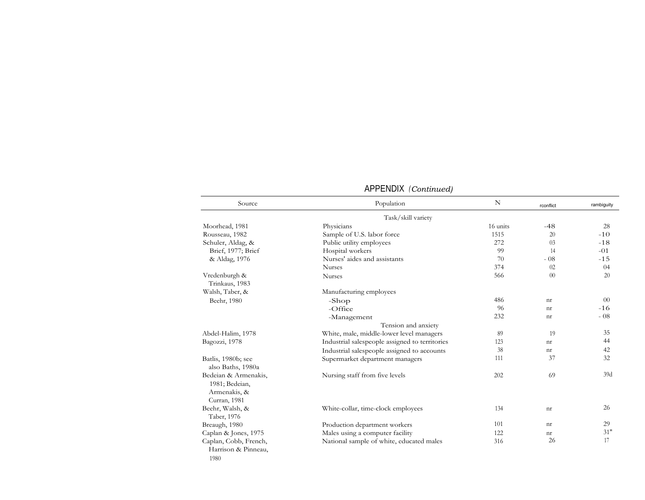| Source                                                                 | Population                                     | N        | rconflict      | rambiguity |
|------------------------------------------------------------------------|------------------------------------------------|----------|----------------|------------|
|                                                                        | Task/skill variety                             |          |                |            |
| Moorhead, 1981                                                         | Physicians                                     | 16 units | $-48$          | 28         |
| Rousseau, 1982                                                         | Sample of U.S. labor force                     | 1515     | 20             | $-10$      |
| Schuler, Aldag, &                                                      | Public utility employees                       | 272      | 03             | $-18$      |
| Brief, 1977; Brief                                                     | Hospital workers                               | 99       | 14             | $-01$      |
| & Aldag, 1976                                                          | Nurses' aides and assistants                   | 70       | $-08$          | $-15$      |
|                                                                        | <b>Nurses</b>                                  | 374      | 02             | 04         |
| Vredenburgh &<br>Trinkaus, 1983                                        | <b>Nurses</b>                                  | 566      | 0 <sup>0</sup> | 20         |
| Walsh, Taber, &                                                        | Manufacturing employees                        |          |                |            |
| Beehr, 1980                                                            | -Shop                                          | 486      | nr             | $00\,$     |
|                                                                        | $-$ Office                                     | 96       | nr             | $-16$      |
|                                                                        | -Management                                    | 232      | nr             | $-08$      |
|                                                                        | Tension and anxiety                            |          |                |            |
| Abdel-Halim, 1978                                                      | White, male, middle-lower level managers       | 89       | 19             | 35         |
| Bagozzi, 1978                                                          | Industrial salespeople assigned to territories | 123      | nr             | 44         |
|                                                                        | Industrial salespeople assigned to accounts    | 38       | nr             | 42         |
| Batlis, 1980b; see<br>also Baths, 1980a                                | Supermarket department managers                | 111      | 37             | 32         |
| Bedeian & Armenakis,<br>1981; Bedeian,<br>Armenakis, &<br>Curran, 1981 | Nursing staff from five levels                 | 202      | 69             | 39d        |
| Beehr, Walsh, &<br>Taber, 1976                                         | White-collar, time-clock employees             | 134      | nr             | 26         |
| Breaugh, 1980                                                          | Production department workers                  | 101      | nr             | 29         |
| Caplan & Jones, 1975                                                   | Males using a computer facility                | 122      | nr             | 31"        |
| Caplan, Cobb, French,<br>Harrison & Pinneau,<br>1980                   | National sample of white, educated males       | 316      | 26             | 17         |

## APPENDIX *(Continued)*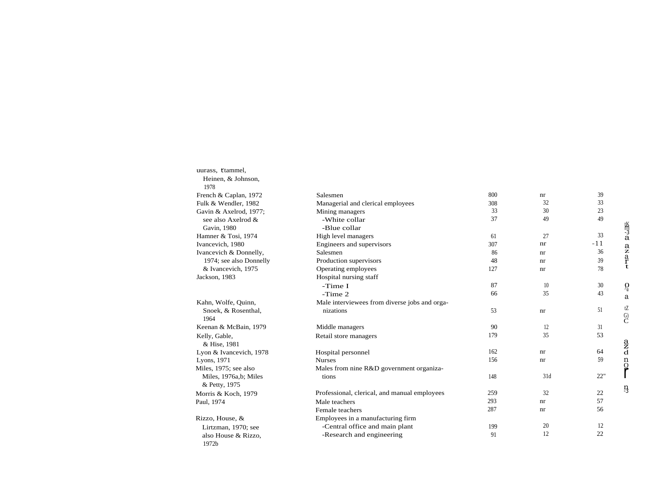| uurass, ttammel,        |                                               |     |     |       |                             |
|-------------------------|-----------------------------------------------|-----|-----|-------|-----------------------------|
| Heinen, & Johnson,      |                                               |     |     |       |                             |
| 1978                    |                                               |     |     |       |                             |
| French & Caplan, 1972   | Salesmen                                      | 800 | nr  | 39    |                             |
| Fulk & Wendler, 1982    | Managerial and clerical employees             | 308 | 32  | 33    |                             |
| Gavin & Axelrod, 1977;  | Mining managers                               | 33  | 30  | 23    |                             |
| see also Axelrod &      | -White collar                                 | 37  | 49  | 49    |                             |
| Gavin, 1980             | -Blue collar                                  |     |     |       |                             |
| Hamner & Tosi, 1974     | High level managers                           | 61  | 27  | 33    | 监<br>13<br>a                |
| Ivancevich, 1980        | Engineers and supervisors                     | 307 | nr  | $-11$ |                             |
| Ivancevich & Donnelly,  | Salesmen                                      | 86  | nr  | 36    | $\frac{a}{z}$ $\frac{a}{r}$ |
| 1974; see also Donnelly | Production supervisors                        | 48  | nr  | 39    |                             |
| & Ivancevich, 1975      | Operating employees                           | 127 | nr  | 78    |                             |
| Jackson, 1983           | Hospital nursing staff                        |     |     |       |                             |
|                         | -Time I                                       | 87  | 10  | 30    | $\Omega_{\hat{a}}$          |
|                         | $-Time 2$                                     | 66  | 35  | 43    | a                           |
| Kahn, Wolfe, Quinn,     | Male interviewees from diverse jobs and orga- |     |     |       |                             |
| Snoek, & Rosenthal,     | nizations                                     | 53  | nr  | 51    | tZ                          |
| 1964                    |                                               |     |     |       | $\overset{G)}{C}$           |
| Keenan & McBain, 1979   | Middle managers                               | 90  | 12  | 31    |                             |
| Kelly, Gable,           | Retail store managers                         | 179 | 35  | 53    |                             |
| & Hise, 1981            |                                               |     |     |       | $\frac{a}{d}$               |
| Lyon & Ivancevich, 1978 | Hospital personnel                            | 162 | nr  | 64    |                             |
| Lyons, 1971             | <b>Nurses</b>                                 | 156 | nr  | 59    | $\mathbf n$                 |
| Miles, 1975; see also   | Males from nine R&D government organiza-      |     |     |       | ပို                         |
| Miles, 1976a,b; Miles   | tions                                         | 148 | 31d | 22"   |                             |
| & Petty, 1975           |                                               |     |     |       | ŋ                           |
| Morris & Koch, 1979     | Professional, clerical, and manual employees  | 259 | 32  | 22    |                             |
| Paul, 1974              | Male teachers                                 | 293 | nr  | 57    |                             |
|                         | Female teachers                               | 287 | nr  | 56    |                             |
| Rizzo, House, &         | Employees in a manufacturing firm             |     |     |       |                             |
| Lirtzman, 1970; see     | -Central office and main plant                | 199 | 20  | 12    |                             |
| also House & Rizzo,     | -Research and engineering                     | 91  | 12  | 22    |                             |
| 1972b                   |                                               |     |     |       |                             |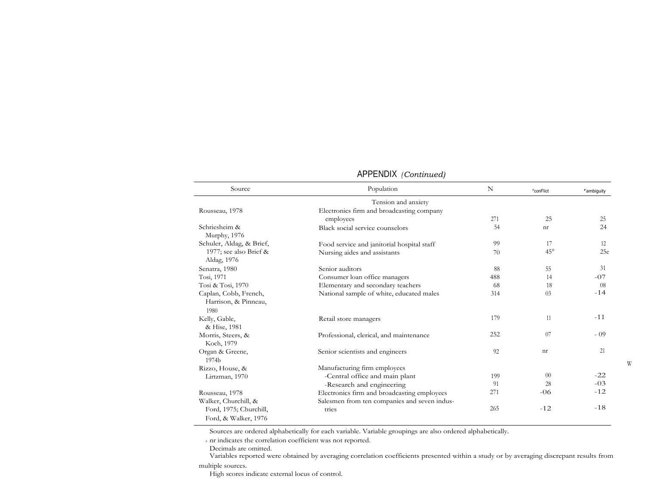| Source                                                | Population                                   | N   | <sup>r</sup> conFlict | rambiguity |
|-------------------------------------------------------|----------------------------------------------|-----|-----------------------|------------|
|                                                       | Tension and anxiety                          |     |                       |            |
| Rousseau, 1978                                        | Electronics firm and broadcasting company    |     |                       |            |
|                                                       | employees                                    | 271 | 25                    | 25         |
| Schriesheim &<br>Murphy, 1976                         | Black social service counselors              | 54  | nr                    | 24         |
| Schuler, Aldag, & Brief,                              | Food service and janitorial hospital staff   | 99  | 17                    | 12         |
| 1977; see also Brief &<br>Aldag, 1976                 | Nursing aides and assistants                 | 70  | $45^{\circ}$          | 25e        |
| Senatra, 1980                                         | Senior auditors                              | 88  | 55                    | 31         |
| Tosi, 1971                                            | Consumer loan office managers                | 488 | 14                    | $-07$      |
| Tosi & Tosi, 1970                                     | Elementary and secondary teachers            | 68  | 18                    | 08         |
| Caplan, Cobb, French,<br>Harrison, & Pinneau,<br>1980 | National sample of white, educated males     | 314 | 03                    | $-14$      |
| Kelly, Gable,<br>& Hise, 1981                         | Retail store managers                        | 179 | 11                    | $-11$      |
| Morris, Steers, &<br>Koch, 1979                       | Professional, clerical, and maintenance      | 252 | 07                    | $-09$      |
| Organ & Greene,<br>1974b                              | Senior scientists and engineers              | 92  | nr                    | 21         |
| Rizzo, House, &                                       | Manufacturing firm employees                 |     |                       |            |
| Lirtzman, 1970                                        | -Central office and main plant               | 199 | $00\,$                | $-22$      |
|                                                       | -Research and engineering                    | 91  | 28                    | $-03$      |
| Rousseau, 1978                                        | Electronics firm and broadcasting employees  | 271 | $-06$                 | $-12$      |
| Walker, Churchill, &                                  | Salesmen from ten companies and seven indus- |     |                       |            |
| Ford, 1975; Churchill,<br>Ford, & Walker, 1976        | tries                                        | 265 | $-12$                 | $-18$      |

## APPENDIX *(Continued)*

Sources are ordered alphabetically for each variable. Variable groupings are also ordered alphabetically.

 $\boldsymbol{\theta}$ nr indicates the correlation coefficient was not reported.

Decimals are omitted.

Variables reported were obtained by averaging correlation coefficients presented within a study or by averaging discrepant results from multiple sources.

High scores indicate external locus of control.

W